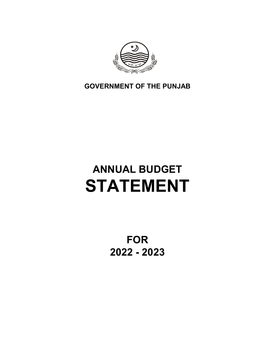

**GOVERNMENT OF THE PUNJAB**

# **ANNUAL BUDGET STATEMENT**

**FOR 2022 - 2023**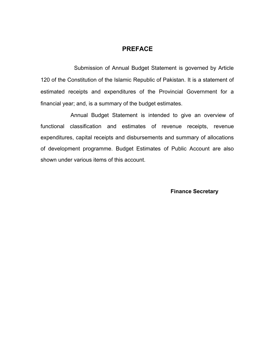#### **PREFACE**

Submission of Annual Budget Statement is governed by Article 120 of the Constitution of the Islamic Republic of Pakistan. It is a statement of estimated receipts and expenditures of the Provincial Government for a financial year; and, is a summary of the budget estimates.

Annual Budget Statement is intended to give an overview of functional classification and estimates of revenue receipts, revenue expenditures, capital receipts and disbursements and summary of allocations of development programme. Budget Estimates of Public Account are also shown under various items of this account.

 **Finance Secretary**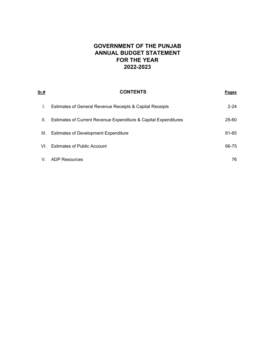# **2022-2023 ANNUAL BUDGET STATEMENT GOVERNMENT OF THE PUNJAB FOR THE YEAR**

| Sr.# | <b>CONTENTS</b>                                                 | <b>Pages</b> |
|------|-----------------------------------------------------------------|--------------|
| I.   | Estimates of General Revenue Receipts & Capital Receipts        | $2 - 24$     |
| Ш.   | Estimates of Current Revenue Expenditure & Capital Expenditures | 25-60        |
| III. | <b>Estimates of Development Expenditure</b>                     | 61-65        |
| VL.  | <b>Estimates of Public Account</b>                              | 66-75        |
| V.   | <b>ADP Resources</b>                                            | 76           |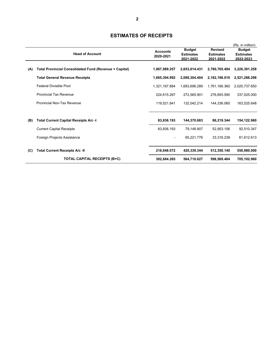|     | <b>Head of Account</b>                                        | <b>Accounts</b><br>2020-2021 | <b>Budget</b><br><b>Estimates</b><br>2021-2022 | <b>Revised</b><br><b>Estimates</b><br>2021-2022 | (Rs. in million)<br><b>Budget</b><br><b>Estimates</b><br>2022-2023 |
|-----|---------------------------------------------------------------|------------------------------|------------------------------------------------|-------------------------------------------------|--------------------------------------------------------------------|
| (A) | <b>Total Provincial Consolidated Fund (Revenue + Capital)</b> | 1,967,989.257                | 2,653,014.431                                  | 2,780,765.494                                   | 3,226,391.258                                                      |
|     | <b>Total General Revenue Receipts</b>                         | 1,665,304.992                | 2,088,304.404                                  | 2,182,196.010                                   | 2,521,288.298                                                      |
|     | <b>Federal Divisible Pool</b>                                 | 1,321,167.884                | 1,683,696.289                                  | 1,761,166.360                                   | 2,020,737.650                                                      |
|     | <b>Provincial Tax Revenue</b>                                 | 224,615.267                  | 272,565.901                                    | 276,693.590                                     | 337,025.000                                                        |
|     | Provincial Non-Tax Revenue                                    | 119,521.841                  | 132,042.214                                    | 144,336.060                                     | 163,525.648                                                        |
| (B) | Total Current Capital Receipts A/c -I                         | 83,836.193                   | 144,370.683                                    | 86,219.344                                      | 154,122.960                                                        |
|     | <b>Current Capital Receipts</b>                               | 83,836.193                   | 79.148.907                                     | 52.903.106                                      | 92,510.347                                                         |
|     | Foreign Projects Assistance                                   | $\blacksquare$               | 65,221.776                                     | 33.316.238                                      | 61,612.613                                                         |
| (C) | <b>Total Current Receipts A/c -II</b>                         | 218,848.072                  | 420,339.344                                    | 512,350.140                                     | 550,980.000                                                        |
|     | <b>TOTAL CAPITAL RECEIPTS (B+C)</b>                           | 302,684.265                  | 564,710.027                                    | 598,569.484                                     | 705,102.960                                                        |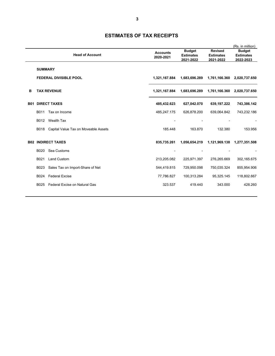|            |                |                                      |                              |                                                |                                                 | (Rs. in million)                               |
|------------|----------------|--------------------------------------|------------------------------|------------------------------------------------|-------------------------------------------------|------------------------------------------------|
|            |                | <b>Head of Account</b>               | <b>Accounts</b><br>2020-2021 | <b>Budget</b><br><b>Estimates</b><br>2021-2022 | <b>Revised</b><br><b>Estimates</b><br>2021-2022 | <b>Budget</b><br><b>Estimates</b><br>2022-2023 |
|            | <b>SUMMARY</b> |                                      |                              |                                                |                                                 |                                                |
|            |                | <b>FEDERAL DIVISIBLE POOL</b>        | 1,321,167.884                | 1,683,696.289                                  | 1,761,166.360                                   | 2,020,737.650                                  |
| в          |                | <b>TAX REVENUE</b>                   | 1,321,167.884                | 1,683,696.289                                  | 1,761,166.360                                   | 2,020,737.650                                  |
| <b>B01</b> |                | <b>DIRECT TAXES</b>                  | 485,432.623                  | 627,042.070                                    | 639,197.222                                     | 743,386.142                                    |
|            | B011           | Tax on Income                        | 485,247.175                  | 626,878.200                                    | 639,064.842                                     | 743,232.186                                    |
|            | B012           | <b>Wealth Tax</b>                    |                              |                                                |                                                 |                                                |
|            | B018           | Capital Value Tax on Moveable Assets | 185.448                      | 163.870                                        | 132.380                                         | 153.956                                        |
|            |                | <b>B02 INDIRECT TAXES</b>            | 835,735.261                  | 1,056,654.219                                  | 1,121,969.138                                   | 1,277,351.508                                  |
|            | <b>B020</b>    | Sea Customs                          |                              |                                                |                                                 |                                                |
|            | B021           | <b>Land Custom</b>                   | 213,205.082                  | 225,971.397                                    | 276,265.669                                     | 302,165.675                                    |
|            | B023           | Sales Tax on Import-Share of Net     | 544,419.815                  | 729,950.098                                    | 750,035.324                                     | 855,954.906                                    |
|            | B024           | <b>Federal Excise</b>                | 77,786.827                   | 100,313.284                                    | 95,325.145                                      | 118,802.667                                    |
|            | B025           | Federal Excise on Natural Gas        | 323.537                      | 419.440                                        | 343.000                                         | 428.260                                        |
|            |                |                                      |                              |                                                |                                                 |                                                |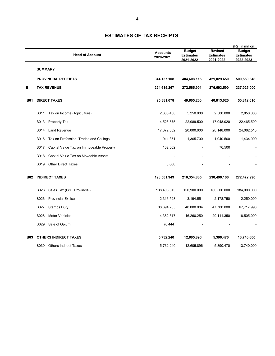|            |                | <b>Head of Account</b>                   | <b>Accounts</b><br>2020-2021 | <b>Budget</b><br><b>Estimates</b><br>2021-2022 | <b>Revised</b><br><b>Estimates</b><br>2021-2022 | (Rs. in million)<br><b>Budget</b><br><b>Estimates</b><br>2022-2023 |
|------------|----------------|------------------------------------------|------------------------------|------------------------------------------------|-------------------------------------------------|--------------------------------------------------------------------|
|            | <b>SUMMARY</b> |                                          |                              |                                                |                                                 |                                                                    |
|            |                | <b>PROVINCIAL RECEIPTS</b>               | 344,137.108                  | 404,608.115                                    | 421,029.650                                     | 500,550.648                                                        |
| в          |                | <b>TAX REVENUE</b>                       | 224,615.267                  | 272,565.901                                    | 276,693.590                                     | 337,025.000                                                        |
| <b>B01</b> |                | <b>DIRECT TAXES</b>                      | 25,381.078                   | 49,605.200                                     | 40,813.020                                      | 50,812.010                                                         |
|            | B011           | Tax on Income (Agriculture)              | 2,366.438                    | 5,250.000                                      | 2,500.000                                       | 2,850.000                                                          |
|            | B013           | Property Tax                             | 4,528.575                    | 22,989.500                                     | 17,048.020                                      | 22,465.500                                                         |
|            | B014           | <b>Land Revenue</b>                      | 17,372.332                   | 20,000.000                                     | 20,148.000                                      | 24,062.510                                                         |
|            | B016           | Tax on Profession, Trades and Callings   | 1,011.371                    | 1,365.700                                      | 1,040.500                                       | 1,434.000                                                          |
|            | B017           | Capital Value Tax on Immoveable Property | 102.362                      |                                                | 76.500                                          |                                                                    |
|            | B018           | Capital Value Tax on Moveable Assets     |                              |                                                |                                                 |                                                                    |
|            | B019           | <b>Other Direct Taxes</b>                | 0.000                        |                                                |                                                 |                                                                    |
| <b>B02</b> |                | <b>INDIRECT TAXES</b>                    | 193,501.949                  | 210,354.805                                    | 230,490.100                                     | 272,472.990                                                        |
|            | B023           | Sales Tax (GST Provincial)               | 138,408.813                  | 150,900.000                                    | 160,500.000                                     | 184,000.000                                                        |
|            | B026           | <b>Provincial Excise</b>                 | 2,316.528                    | 3,194.551                                      | 2,178.750                                       | 2,250.000                                                          |
|            | B027           | <b>Stamps Duty</b>                       | 38,394.735                   | 40,000.004                                     | 47,700.000                                      | 67,717.990                                                         |
|            | B028           | <b>Motor Vehicles</b>                    | 14,382.317                   | 16,260.250                                     | 20,111.350                                      | 18,505.000                                                         |
|            | B029           | Sale of Opium                            | (0.444)                      |                                                |                                                 |                                                                    |
| <b>B03</b> |                | <b>OTHERS INDIRECT TAXES</b>             | 5,732.240                    | 12,605.896                                     | 5,390.470                                       | 13,740.000                                                         |
|            | B030           | <b>Others Indirect Taxes</b>             | 5,732.240                    | 12,605.896                                     | 5,390.470                                       | 13,740.000                                                         |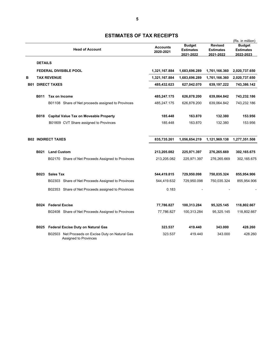|   |                |                            |                                                                                   |                              |                                                | (Rs. in million)                                |                                                |
|---|----------------|----------------------------|-----------------------------------------------------------------------------------|------------------------------|------------------------------------------------|-------------------------------------------------|------------------------------------------------|
|   |                |                            | <b>Head of Account</b>                                                            | <b>Accounts</b><br>2020-2021 | <b>Budget</b><br><b>Estimates</b><br>2021-2022 | <b>Revised</b><br><b>Estimates</b><br>2021-2022 | <b>Budget</b><br><b>Estimates</b><br>2022-2023 |
|   | <b>DETAILS</b> |                            |                                                                                   |                              |                                                |                                                 |                                                |
|   |                |                            | <b>FEDERAL DIVISIBLE POOL</b>                                                     | 1,321,167.884                | 1,683,696.289                                  | 1,761,166.360                                   | 2,020,737.650                                  |
| в |                | <b>TAX REVENUE</b>         |                                                                                   | 1,321,167.884                | 1,683,696.289                                  | 1,761,166.360                                   | 2,020,737.650                                  |
|   |                | <b>B01 DIRECT TAXES</b>    |                                                                                   | 485,432.623                  | 627,042.070                                    | 639,197.222                                     | 743,386.142                                    |
|   | B011           | Tax on Income              |                                                                                   | 485,247.175                  | 626,878.200                                    | 639,064.842                                     | 743,232.186                                    |
|   |                |                            | B01108 Share of Net proceeds assigned to Provinces                                | 485,247.175                  | 626,878.200                                    | 639,064.842                                     | 743,232.186                                    |
|   | <b>B018</b>    |                            | <b>Capital Value Tax on Moveable Property</b>                                     | 185.448                      | 163.870                                        | 132.380                                         | 153.956                                        |
|   |                |                            | B01809 CVT Share assigned to Provinces                                            | 185.448                      | 163.870                                        | 132.380                                         | 153.956                                        |
|   |                | <b>B02 INDIRECT TAXES</b>  |                                                                                   | 835,735.261                  | 1,056,654.219                                  | 1,121,969.138                                   | 1,277,351.508                                  |
|   | <b>B021</b>    | <b>Land Custom</b>         |                                                                                   | 213,205.082                  | 225,971.397                                    | 276,265.669                                     | 302,165.675                                    |
|   |                |                            | B02170 Share of Net Proceeds Assigned to Provinces                                | 213,205.082                  | 225,971.397                                    | 276,265.669                                     | 302,165.675                                    |
|   | <b>B023</b>    | <b>Sales Tax</b>           |                                                                                   | 544,419.815                  | 729,950.098                                    | 750,035.324                                     | 855,954.906                                    |
|   |                |                            | B02303 Share of Net Proceeds Assigned to Provinces                                | 544,419.632                  | 729,950.098                                    | 750,035.324                                     | 855,954.906                                    |
|   |                |                            | B02353 Share of Net Proceeds assigned to Provinces                                | 0.183                        |                                                |                                                 |                                                |
|   |                | <b>B024</b> Federal Excise |                                                                                   | 77,786.827                   | 100,313.284                                    | 95,325.145                                      | 118,802.667                                    |
|   |                |                            | B02408 Share of Net Proceeds Assigned to Provinces                                | 77,786.827                   | 100,313.284                                    | 95,325.145                                      | 118,802.667                                    |
|   |                |                            | B025 Federal Excise Duty on Natural Gas                                           | 323.537                      | 419.440                                        | 343.000                                         | 428.260                                        |
|   |                |                            | B02503 Net Proceeds on Excise Duty on Natural Gas<br><b>Assigned to Provinces</b> | 323.537                      | 419.440                                        | 343.000                                         | 428.260                                        |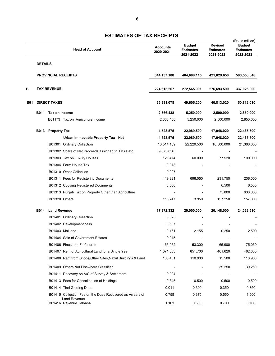|            |                |                            |                                                                                  |                 |                               | (Rs. in million)              |                               |
|------------|----------------|----------------------------|----------------------------------------------------------------------------------|-----------------|-------------------------------|-------------------------------|-------------------------------|
|            |                |                            |                                                                                  | <b>Accounts</b> | <b>Budget</b>                 | <b>Revised</b>                | <b>Budget</b>                 |
|            |                |                            | <b>Head of Account</b>                                                           | 2020-2021       | <b>Estimates</b><br>2021-2022 | <b>Estimates</b><br>2021-2022 | <b>Estimates</b><br>2022-2023 |
|            | <b>DETAILS</b> |                            |                                                                                  |                 |                               |                               |                               |
|            |                |                            |                                                                                  |                 |                               |                               |                               |
|            |                | <b>PROVINCIAL RECEIPTS</b> |                                                                                  | 344,137.108     | 404,608.115                   | 421,029.650                   | 500,550.648                   |
| в          |                | <b>TAX REVENUE</b>         |                                                                                  | 224,615.267     | 272,565.901                   | 276,693.590                   | 337,025.000                   |
| <b>B01</b> |                | <b>DIRECT TAXES</b>        |                                                                                  | 25,381.078      | 49,605.200                    | 40,813.020                    | 50,812.010                    |
|            | <b>B011</b>    | Tax on Income              |                                                                                  | 2,366.438       | 5,250.000                     | 2,500.000                     | 2,850.000                     |
|            |                |                            | B01173 Tax on Agriculture Income                                                 | 2,366.438       | 5,250.000                     | 2,500.000                     | 2,850.000                     |
|            | <b>B013</b>    | <b>Property Tax</b>        |                                                                                  | 4,528.575       | 22,989.500                    | 17,048.020                    | 22,465.500                    |
|            |                |                            | Urban Immovable Property Tax - Net                                               | 4,528.575       | 22,989.500                    | 17,048.020                    | 22,465.500                    |
|            |                | B01301 Ordinary Collection |                                                                                  | 13,514.159      | 22,229.500                    | 16,500.000                    | 21,366.000                    |
|            |                |                            | B01302 Share of Net Proceeds assigned to TMAs etc                                | (9,673.856)     |                               |                               |                               |
|            |                |                            | B01303 Tax on Luxury Houses                                                      | 121.474         | 60.000                        | 77.520                        | 100.000                       |
|            |                | B01304 Farm House Tax      |                                                                                  | 0.073           |                               |                               |                               |
|            |                | B01310 Other Collection    |                                                                                  | 0.097           |                               |                               |                               |
|            |                |                            | B01311 Fees for Registering Documents                                            | 449.831         | 696.050                       | 231.750                       | 206.000                       |
|            |                |                            | B01312 Copying Registered Documents                                              | 3.550           |                               | 6.500                         | 6.500                         |
|            |                |                            | B01313 Punjab Tax on Property Other than Agriculture                             |                 |                               | 75.000                        | 630.000                       |
|            |                | B01320 Others              |                                                                                  | 113.247         | 3.950                         | 157.250                       | 157.000                       |
|            | <b>B014</b>    | <b>Land Revenue</b>        |                                                                                  | 17,372.332      | 20,000.000                    | 20,148.000                    | 24,062.510                    |
|            |                | B01401 Ordinary Collection |                                                                                  | 0.025           |                               |                               |                               |
|            |                | B01402 Development cess    |                                                                                  | 0.507           |                               |                               |                               |
|            |                | B01403 Malkana             |                                                                                  | 0.161           | 2.155                         | 0.250                         | 2.500                         |
|            |                |                            | B01404 Sale of Government Estates                                                | 0.015           |                               |                               |                               |
|            |                |                            | B01406 Fines and Forfeitures                                                     | 65.962          | 53.300                        | 65.900                        | 75.050                        |
|            |                |                            | B01407 Rent of Agricultural Land for a Single Year                               | 1,071.333       | 851.700                       | 461.620                       | 462.000                       |
|            |                |                            | B01408 Rent from Shops/Other Sites, Nazul Buildings & Land                       | 108.401         | 110.900                       | 15.500                        | 110.900                       |
|            |                |                            | B01409 Others Not Elsewhere Classified                                           |                 |                               | 39.250                        | 39.250                        |
|            |                |                            | B01411 Recovery on A/C of Survey & Settlement                                    | 0.004           |                               |                               |                               |
|            |                |                            | B01413 Fees for Consolidation of Holdings                                        | 0.345           | 0.500                         | 0.500                         | 0.500                         |
|            |                | B01414 Tirni Grazing Dues  |                                                                                  | 0.011           | 0.390                         | 0.350                         | 0.350                         |
|            |                |                            | B01415 Collection Fee on the Dues Recovered as Arrears of<br><b>Land Revenue</b> | 0.758           | 0.375                         | 0.550                         | 1.500                         |
|            |                | B01416 Revenue Talbana     |                                                                                  | 1.101           | 0.500                         | 0.700                         | 0.700                         |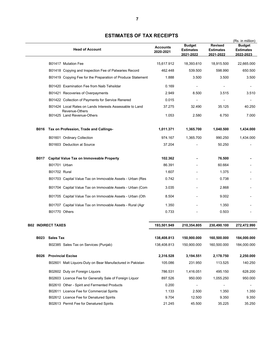|             |                                                             |                              |                                                |                                                 | (Rs. in million)                               |
|-------------|-------------------------------------------------------------|------------------------------|------------------------------------------------|-------------------------------------------------|------------------------------------------------|
|             | <b>Head of Account</b>                                      | <b>Accounts</b><br>2020-2021 | <b>Budget</b><br><b>Estimates</b><br>2021-2022 | <b>Revised</b><br><b>Estimates</b><br>2021-2022 | <b>Budget</b><br><b>Estimates</b><br>2022-2023 |
|             | B01417 Mutation Fee                                         | 15,617.912                   | 18,393.610                                     | 18,915.500                                      | 22,665.000                                     |
|             | B01418 Copying and Inspection Fee of Patwaries Record       | 462.448                      | 539.500                                        | 598.990                                         | 650.500                                        |
|             | B01419 Copying Fee for the Preparation of Produce Statement | 1.888                        | 3.500                                          | 3.500                                           | 3.500                                          |
|             | B01420 Examination Fee from Naib Tehsildar                  | 0.169                        | ÷                                              |                                                 |                                                |
|             | B01421 Recoveries of Overpayments                           | 2.949                        | 8.500                                          | 3.515                                           | 3.510                                          |
|             | B01422 Collection of Payments for Service Renered           | 0.015                        |                                                |                                                 |                                                |
|             | B01424 Local Rates on Lands Interests Assessable to Land    | 37.275                       | 32.490                                         | 35.125                                          | 40.250                                         |
|             | Revenue-Others<br>B01425 Land Revenue-Others                | 1.053                        | 2.580                                          | 6.750                                           | 7.000                                          |
| <b>B016</b> | Tax on Profession, Trade and Callings-                      | 1,011.371                    | 1,365.700                                      | 1,040.500                                       | 1,434.000                                      |
|             | B01601 Ordinary Collection                                  | 974.167                      | 1.365.700                                      | 990.250                                         | 1,434.000                                      |
|             | B01603 Deduction at Source                                  | 37.204                       |                                                | 50.250                                          |                                                |
| <b>B017</b> | <b>Capital Value Tax on Immoveable Property</b>             | 102.362                      |                                                | 76.500                                          |                                                |
|             | B01701 Urban                                                | 86.391                       |                                                | 60.664                                          |                                                |
|             | <b>B01702 Rural</b>                                         | 1.607                        |                                                | 1.375                                           |                                                |
|             | B01703 Capital Value Tax on Immovable Assets - Urban (Res   | 0.742                        |                                                | 0.738                                           |                                                |
|             | B01704 Capital Value Tax on Immovable Assets - Urban (Com   | 3.035                        |                                                | 2.868                                           |                                                |
|             | B01705 Capital Value Tax on Immovable Assets - Urban (Oth   | 8.504                        |                                                | 9.002                                           |                                                |
|             | B01707 Capital Value Tax on Immovable Assets - Rural (Agr   | 1.350                        |                                                | 1.350                                           |                                                |
|             | B01770 Others                                               | 0.733                        |                                                | 0.503                                           |                                                |
|             | <b>B02 INDIRECT TAXES</b>                                   | 193,501.949                  | 210,354.805                                    | 230,490.100                                     | 272,472.990                                    |
| <b>B023</b> | <b>Sales Tax</b>                                            | 138,408.813                  | 150,900.000                                    | 160,500.000                                     | 184,000.000                                    |
|             | B02385 Sales Tax on Services (Punjab)                       | 138,408.813                  | 150,900.000                                    | 160,500.000                                     | 184,000.000                                    |
|             |                                                             |                              |                                                |                                                 |                                                |

**B026 Provincial Excise 2,316.528 3,194.551 2,178.750 2,250.000** 

B02601 Malt Liquors-Duty on Bear Manufactured in Pakistan 105.086 231.950 113.525 140.250 B02602 Duty on Foreign Liquors 786.531 1,416.051 495.150 628.200 B02603 Licence Fee for Generally Sale of Foreign Liquor 897.526 950.000 1,055.250 950.000 B02610 Other - Spirit and Fermented Products 0.200 - - - B02611 Licence Fee for Commercial Spirits 1.133 1.133 2.500 1.350 1.350 1.350 B02612 Licence Fee for Denatured Spirits 9.704 12.500 9.350 9.350 B02613 Permit Fee for Denatured Spirits 21.245 45.500 35.225 35.250

#### **ESTIMATES OF TAX RECEIPTS**

**7**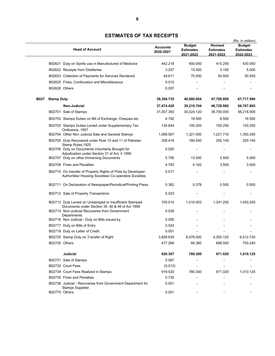|             | <b>Head of Account</b>                                                                                                | <b>Accounts</b><br>2020-2021 | <b>Budget</b><br><b>Estimates</b><br>2021-2022 | <b>Revised</b><br><b>Estimates</b><br>2021-2022 | (Rs. in million)<br><b>Budget</b><br><b>Estimates</b><br>2022-2023 |
|-------------|-----------------------------------------------------------------------------------------------------------------------|------------------------------|------------------------------------------------|-------------------------------------------------|--------------------------------------------------------------------|
|             | B02621 Duty on Spirits use in Manufactured of Medicine                                                                | 442.218                      | 450.050                                        | 415.250                                         | 430.050                                                            |
|             | B02622 Receipts from Distilleries                                                                                     | 3.257                        | 15.500                                         | 3.150                                           | 5.000                                                              |
|             | B02623 Collection of Payments for Services Rendered                                                                   | 49.611                       | 70.500                                         | 50.500                                          | 50.550                                                             |
|             | B02625 Fines, Confiscation and Miscellaneous                                                                          | 0.010                        |                                                |                                                 |                                                                    |
|             | B02628 Others                                                                                                         | 0.007                        |                                                |                                                 |                                                                    |
| <b>B027</b> | <b>Stamp Duty</b>                                                                                                     | 38,394.735                   | 40,000.004                                     | 47,700.000                                      | 67,717.990                                                         |
|             | Non-Judicial                                                                                                          | 37,474.428                   | 39,219.704                                     | 46,728.980                                      | 66,707.865                                                         |
|             | B02701 Sale of Stamps                                                                                                 | 31,007.350                   | 30,024.120                                     | 38,700.000                                      | 56,218.000                                                         |
|             | B02702 Stamps Duties on Bill of Exchange, Cheques etc                                                                 | 6.792                        | 16.500                                         | 6.500                                           | 16.500                                                             |
|             | B02703 Stamps Duties Levied under Supplementary Tax<br>Ordinance, 1957                                                | 130.844                      | 105.200                                        | 150.250                                         | 150.250                                                            |
|             | B02704 Other Non Judicial Sale and General Stamps                                                                     | 1,068.567                    | 1,321.000                                      | 1,221.710                                       | 1,350.250                                                          |
|             | B02705 Duty Recovered under Rule 10 and 11 of Pakistan<br>Stamp Rules, 1925                                           | 208.416                      | 180.540                                        | 250.145                                         | 250.145                                                            |
|             | B02706 Duty on Documents Voluntarily Brought for<br>Adjudication under Section 31 of Act. II 1899                     | 0.020                        |                                                |                                                 |                                                                    |
|             | B02707 Duty on other Immersing Documents                                                                              | 5.758                        | 13.500                                         | 5.500                                           | 5.500                                                              |
|             | B02708 Fines and Penalties                                                                                            | 4.793                        | 4.102                                          | 3.500                                           | 3.500                                                              |
|             | B02710 On transfer of Property Rights of Plots by Developed<br>Authorities/ Housing Societies/ Co-operative Societies | 0.017                        |                                                |                                                 |                                                                    |
|             | B02711 On Declaration of Newspaper/Periodical/Printing Press                                                          | 0.362                        | 0.379                                          | 0.500                                           | 0.500                                                              |
|             | B02712 Sale of Property Transactions                                                                                  | 0.023                        |                                                |                                                 |                                                                    |
|             | B02713 Duty Levied on Unstamped or Insufficient Stamped<br>Documents under Section 35, 40 & 48 of Act 1899            | 705.010                      | 1,010.003                                      | 1,341.250                                       | 1,450.250                                                          |
|             | B02714 Non-Judicial Recoveries from Government<br>Departments                                                         | 0.039                        |                                                |                                                 |                                                                    |
|             | B02716 Non Judicial - Duty on Bills issued by                                                                         | 0.005                        |                                                |                                                 |                                                                    |
|             | B02717 Duty on Bills of Entry                                                                                         | 0.524                        |                                                |                                                 |                                                                    |
|             | B02718 Duty on Letter of Credit                                                                                       | 0.001                        |                                                |                                                 |                                                                    |
|             | B02720 Stamp Duty on Transfer of Right                                                                                | 3,858.639                    | 6,478.000                                      | 4,350.125                                       | 6,512.730                                                          |
|             | B02730 Others                                                                                                         | 477.268                      | 66.360                                         | 699.500                                         | 750.240                                                            |
|             | Judicial                                                                                                              | 920.307                      | 780.300                                        | 971.020                                         | 1,010.125                                                          |
|             | B02731 Sale of Stamps                                                                                                 | 0.067                        |                                                |                                                 |                                                                    |
|             | B02732 Court Fees                                                                                                     | (0.012)                      |                                                |                                                 |                                                                    |
|             | B02734 Court Fees Realized in Stamps                                                                                  | 919.520                      | 780.300                                        | 971.020                                         | 1,010.125                                                          |
|             | B02735 Fines and Penalties                                                                                            | 0.730                        |                                                |                                                 |                                                                    |
|             | B02736 Judicial - Recoveries from Government Department for<br><b>Stamps Supplied</b>                                 | 0.001                        |                                                |                                                 |                                                                    |
|             | B02770 Others                                                                                                         | 0.001                        |                                                |                                                 |                                                                    |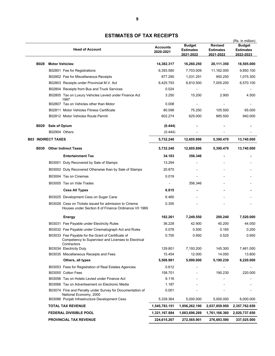|             |                           | <b>Head of Account</b>                                                                                        | <b>Accounts</b><br>2020-2021 | <b>Budget</b><br><b>Estimates</b> | <b>Revised</b><br><b>Estimates</b> | (Rs. in million)<br><b>Budget</b><br><b>Estimates</b> |
|-------------|---------------------------|---------------------------------------------------------------------------------------------------------------|------------------------------|-----------------------------------|------------------------------------|-------------------------------------------------------|
| <b>B028</b> | <b>Motor Vehicles:</b>    |                                                                                                               | 14,382.317                   | 2021-2022<br>16,260.250           | 2021-2022<br>20,111.350            | 2022-2023<br>18,505.000                               |
|             |                           | B02801 Fee for Registrations                                                                                  | 6,393.580                    | 7,703.009                         | 11,162.000                         | 9,850.100                                             |
|             |                           | B02802 Fee for Miscellaneous Receipts                                                                         | 877.290                      | 1,031.291                         | 950.250                            | 1,075.300                                             |
|             |                           | B02803 Receipts under Provincial M.V. Act                                                                     | 6,425.793                    | 6,810.500                         | 7,005.200                          | 6,570.100                                             |
|             |                           | B02804 Receipts from Bus and Truck Services                                                                   | 0.024                        |                                   |                                    |                                                       |
|             |                           | B02805 Tax on Luxury Vehicles Levied under Finance Act<br>1997                                                | 3.250                        | 15.200                            | 2.900                              | 4.500                                                 |
|             |                           | B02807 Tax on Vehicles other than Motor                                                                       | 0.008                        |                                   |                                    |                                                       |
|             |                           | B02811 Motor Vehicles Fitness Certificate                                                                     | 80.098                       | 75.250                            | 105.500                            | 65.000                                                |
|             |                           | B02812 Motor Vehicles Route Permit                                                                            | 602.274                      | 625.000                           | 885.500                            | 940.000                                               |
| <b>B029</b> | Sale of Opium             |                                                                                                               | (0.444)                      |                                   |                                    |                                                       |
|             |                           | B02904 Others                                                                                                 | (0.444)                      |                                   |                                    |                                                       |
|             | <b>B03 INDIRECT TAXES</b> |                                                                                                               | 5,732.240                    | 12,605.896                        | 5,390.470                          | 13,740.000                                            |
| <b>B030</b> |                           | <b>Other Indirect Taxes</b>                                                                                   | 5,732.240                    | 12,605.896                        | 5,390.470                          | 13,740.000                                            |
|             |                           | <b>Entertainment Tax</b>                                                                                      | 34.183                       | 356.346                           |                                    |                                                       |
|             |                           | B03001 Duty Recovered by Sale of Stamps                                                                       | 13.294                       |                                   |                                    |                                                       |
|             |                           | B03002 Duty Recovered Otherwise than by Sale of Stamps                                                        | 20.870                       |                                   |                                    |                                                       |
|             |                           | B03004 Tax on Cinemas                                                                                         | 0.019                        |                                   |                                    |                                                       |
|             |                           | B03005 Tax on Vide Trades                                                                                     |                              | 356.346                           |                                    |                                                       |
|             |                           | <b>Cess All Types</b>                                                                                         | 6.815                        |                                   |                                    |                                                       |
|             |                           | B03025 Development Cess on Sugar Cane                                                                         | 6.460                        |                                   |                                    |                                                       |
|             |                           | B03026 Cess on Tickets issued for admission to Cinema<br>Houses under Section 8 of Finance Ordinance VII 1969 | 0.355                        |                                   |                                    |                                                       |
|             |                           | <b>Energy</b>                                                                                                 | 182.261                      | 7,249.550                         | 200.240                            | 7,520.000                                             |
|             |                           | B03031 Fee Payable under Electricity Rules                                                                    | 36.228                       | 42.900                            | 40.200                             | 44.050                                                |
|             |                           | B03032 Fee Payable under Cinematograph Act and Rules                                                          | 0.078                        | 0.500                             | 0.165                              | 0.200                                                 |
|             |                           | B03033 Fee Payable for the Grant of Certificate of<br>Competency to Supervisor and Licenses to Electrical     | 0.700                        | 0.950                             | 0.525                              | 0.950                                                 |
|             |                           | Contractors<br>B03034 Electricity Duty                                                                        | 129.801                      | 7,193.200                         | 145.300                            | 7,461.000                                             |
|             |                           | B03035 Miscellaneous Receipts and Fees                                                                        | 15.454                       | 12.000                            | 14.050                             | 13.800                                                |
|             |                           | Others, all types                                                                                             | 5,508.981                    | 5,000.000                         | 5,190.230                          | 6,220.000                                             |
|             |                           | B03053 Fees for Registration of Real Estates Agencies                                                         | 0.612                        |                                   |                                    |                                                       |
|             |                           | B03055 Cotton Fees                                                                                            | 158.701                      |                                   | 190.230                            | 220.000                                               |
|             |                           | B03056 Tax on Hotels Levied under Finance Act                                                                 | 9.116                        |                                   |                                    |                                                       |
|             |                           | B03066 Tax on Advertisement on Electronic Media                                                               | 1.187                        |                                   |                                    |                                                       |
|             |                           | B03074 Fine and Penalty under Survey for Documentation of<br>National Economy, 2000                           | 0.001                        |                                   |                                    |                                                       |
|             |                           | B03086 Punjab Infrastructure Development Cess                                                                 | 5,339.364                    | 5,000.000                         | 5,000.000                          | 6,000.000                                             |
|             |                           | <b>TOTAL TAX REVENUE</b>                                                                                      | 1,545,783.151                | 1,956,262.190                     | 2,037,859.950                      | 2,357,762.650                                         |
|             |                           | <b>FEDERAL DIVISIBLE POOL</b>                                                                                 | 1,321,167.884                | 1,683,696.289                     | 1,761,166.360                      | 2,020,737.650                                         |
|             |                           | <b>PROVINCIAL TAX REVENUE</b>                                                                                 | 224,615.267                  | 272,565.901                       | 276,693.590                        | 337,025.000                                           |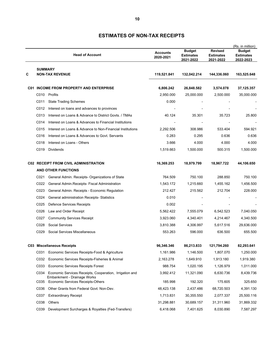|   |                | <b>Head of Account</b>                                                                 | <b>Accounts</b><br>2020-2021 | <b>Budget</b><br><b>Estimates</b><br>2021-2022 | <b>Revised</b><br><b>Estimates</b><br>2021-2022 | (Rs. in million)<br><b>Budget</b><br><b>Estimates</b><br><u>2022-2023</u> |
|---|----------------|----------------------------------------------------------------------------------------|------------------------------|------------------------------------------------|-------------------------------------------------|---------------------------------------------------------------------------|
| С | <b>SUMMARY</b> | <b>NON-TAX REVENUE</b>                                                                 | 119,521.841                  | 132,042.214                                    | 144,336.060                                     | 163,525.648                                                               |
|   |                | <b>C01 INCOME FROM PROPERTY AND ENTERPRISE</b>                                         | 6,806.242                    | 26,848.582                                     | 3,574.078                                       | 37, 125.357                                                               |
|   |                | C010 Profits                                                                           | 2,950.000                    | 25,000.000                                     | 2,500.000                                       | 35,000.000                                                                |
|   | C011           | <b>State Trading Schemes</b>                                                           | 0.000                        |                                                |                                                 |                                                                           |
|   | C012           | Interest on loans and advances to provinces                                            |                              |                                                |                                                 |                                                                           |
|   | C013           | Interest on Loans & Advance to District Govts. / TMAs                                  | 40.124                       | 35.301                                         | 35.723                                          | 25.800                                                                    |
|   | C014           | Interest on Loans & Advances to Financial Institutions                                 |                              |                                                |                                                 |                                                                           |
|   | C015           | Interest on Loans & Advance to Non-Financial Institutions                              | 2,292.506                    | 308.986                                        | 533.404                                         | 594.921                                                                   |
|   | C016           | Interest on Loans & Advances to Govt. Servants                                         | 0.283                        | 0.295                                          | 0.636                                           | 0.636                                                                     |
|   | C018           | Interest on Loans - Others                                                             | 3.666                        | 4.000                                          | 4.000                                           | 4.000                                                                     |
|   | C019           | Dividends                                                                              | 1,519.663                    | 1,500.000                                      | 500.315                                         | 1,500.000                                                                 |
|   |                | <b>C02 RECEIPT FROM CIVIL ADMINISTRATION</b>                                           | 16,369.253                   | 18,979.799                                     | 18,967.722                                      | 44,106.650                                                                |
|   |                | <b>AND OTHER FUNCTIONS</b>                                                             |                              |                                                |                                                 |                                                                           |
|   | C021           | General Admin. Receipts- Organizations of State                                        | 764.509                      | 750.100                                        | 288.850                                         | 750.100                                                                   |
|   | C022           | General Admin. Receipts- Fiscal Administration                                         | 1,543.172                    | 1,215.660                                      | 1,455.162                                       | 1,456.500                                                                 |
|   | C023           | General Admin. Receipts - Economic Regulation                                          | 212.427                      | 215.562                                        | 212.704                                         | 228.000                                                                   |
|   | C024           | General administration Receipts- Statistics                                            | 0.010                        |                                                |                                                 |                                                                           |
|   | C025           | Defence Services Receipts                                                              | 0.002                        |                                                |                                                 |                                                                           |
|   | C026           | Law and Order Receipt                                                                  | 5,562.422                    | 7,555.079                                      | 6,542.523                                       | 7,040.050                                                                 |
|   | C027           | <b>Community Services Receipt</b>                                                      | 3,923.060                    | 4,340.401                                      | 4,214.467                                       | 4,340.500                                                                 |
|   | C028           | <b>Social Services</b>                                                                 | 3,810.388                    | 4,306.997                                      | 5,617.516                                       | 29,636.000                                                                |
|   | C029           | Social Services Miscellaneous                                                          | 553.263                      | 596.000                                        | 636.500                                         | 655.500                                                                   |
|   |                | C03 Miscellaneous Receipts                                                             | 96,346.346                   | 86,213.833                                     | 121,794.260                                     | 82,293.641                                                                |
|   |                | C031 Economic Services Receipts-Food & Agriculture                                     | 1,161.986                    | 1,146.500                                      | 1,807.070                                       | 1,250.000                                                                 |
|   | C032           | Economic Services Receipts-Fisheries & Animal                                          | 2,163.278                    | 1,649.910                                      | 1,913.180                                       | 1,919.380                                                                 |
|   | C033           | <b>Economic Services Receipts Forest</b>                                               | 988.754                      | 1,020.195                                      | 1,126.979                                       | 1,011.000                                                                 |
|   | C034           | Economic Services Receipts, Cooperation, Irrigation and<br>Embankment - Drainage Works | 3,992.412                    | 11,321.090                                     | 6,630.736                                       | 8,439.736                                                                 |
|   |                | C035 Economic Services Receipts-Others                                                 | 185.998                      | 192.320                                        | 175.605                                         | 325.650                                                                   |
|   | C036           | Other Grants from Federal Govt. Non-Dev.                                               | 48,423.138                   | 2,437.486                                      | 68,720.503                                      | 4,391.130                                                                 |
|   | C037           | Extraordinary Receipt                                                                  | 1,713.831                    | 30,355.550                                     | 2,077.337                                       | 25,500.116                                                                |
|   | C038           | Others                                                                                 | 31,298.881                   | 30,689.157                                     | 31,311.960                                      | 31,869.332                                                                |
|   | C039           | Development Surcharges & Royalties (Fed-Transfers)                                     | 6,418.068                    | 7,401.625                                      | 8,030.890                                       | 7,587.297                                                                 |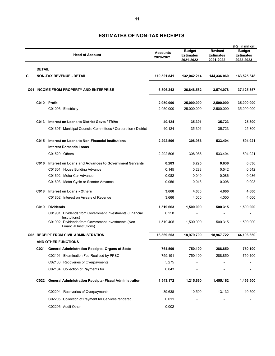|   |               | <b>Head of Account</b>                                                        | <b>Accounts</b><br>2020-2021 | <b>Budget</b><br><b>Estimates</b><br>2021-2022 | <b>Revised</b><br><b>Estimates</b><br>2021-2022 | (Rs. in million)<br><b>Budget</b><br><b>Estimates</b><br>2022-2023 |
|---|---------------|-------------------------------------------------------------------------------|------------------------------|------------------------------------------------|-------------------------------------------------|--------------------------------------------------------------------|
|   | <b>DETAIL</b> |                                                                               |                              |                                                |                                                 |                                                                    |
| C |               | <b>NON-TAX REVENUE - DETAIL</b>                                               | 119,521.841                  | 132,042.214                                    | 144,336.060                                     | 163,525.648                                                        |
|   |               | <b>C01 INCOME FROM PROPERTY AND ENTERPRISE</b>                                | 6,806.242                    | 26,848.582                                     | 3,574.078                                       | 37,125.357                                                         |
|   |               | C010 Profit                                                                   | 2,950.000                    | 25,000.000                                     | 2,500.000                                       | 35,000.000                                                         |
|   |               | C01006 Electricity                                                            | 2,950.000                    | 25,000.000                                     | 2,500.000                                       | 35,000.000                                                         |
|   | C013          | Interest on Loans to District Govts / TMAs                                    | 40.124                       | 35.301                                         | 35.723                                          | 25,800                                                             |
|   |               | C01307 Municipal Councils Committees / Corporation / District                 | 40.124                       | 35.301                                         | 35.723                                          | 25.800                                                             |
|   | C015          | Interest on Loans to Non-Financial Institutions                               | 2,292.506                    | 308.986                                        | 533.404                                         | 594.921                                                            |
|   |               | <b>Interest Domestic Loans</b>                                                |                              |                                                |                                                 |                                                                    |
|   |               | C01529 Others                                                                 | 2,292.506                    | 308.986                                        | 533.404                                         | 594.921                                                            |
|   | C016          | Interest on Loans and Advances to Government Servants                         | 0.283                        | 0.295                                          | 0.636                                           | 0.636                                                              |
|   |               | C01601 House Building Advance                                                 | 0.145                        | 0.228                                          | 0.542                                           | 0.542                                                              |
|   |               | C01602 Motor Car Advance                                                      | 0.082                        | 0.049                                          | 0.086                                           | 0.086                                                              |
|   |               | C01603 Motor Cycle or Scooter Advance                                         | 0.056                        | 0.018                                          | 0.008                                           | 0.008                                                              |
|   | C018          | <b>Interest on Loans - Others</b>                                             | 3.666                        | 4.000                                          | 4.000                                           | 4.000                                                              |
|   |               | C01802 Interest on Arrears of Revenue                                         | 3.666                        | 4.000                                          | 4.000                                           | 4.000                                                              |
|   | C019          | <b>Dividends</b>                                                              | 1,519.663                    | 1,500.000                                      | 500.315                                         | 1,500.000                                                          |
|   |               | C01901 Dividends from Government Investments (Financial<br>Institutions)      | 0.258                        |                                                |                                                 |                                                                    |
|   |               | C01902 Dividends from Government Investments (Non-<br>Financial Institutions) | 1,519.405                    | 1,500.000                                      | 500.315                                         | 1,500.000                                                          |
|   |               | <b>C02 RECEIPT FROM CIVIL ADMINISTRATION</b>                                  | 16,369.253                   | 18,979.799                                     | 18,967.722                                      | 44,106.650                                                         |
|   |               | <b>AND OTHER FUNCTIONS</b>                                                    |                              |                                                |                                                 |                                                                    |
|   | C021          | General Administration Receipts- Organs of State                              | 764.509                      | 750.100                                        | 288.850                                         | 750.100                                                            |
|   |               | C02101 Examination Fee Realised by PPSC                                       | 759.191                      | 750.100                                        | 288.850                                         | 750.100                                                            |
|   |               | C02103 Recoveries of Overpayments                                             | 5.275                        |                                                |                                                 |                                                                    |
|   |               | C02104 Collection of Payments for                                             | 0.043                        |                                                |                                                 |                                                                    |
|   | C022          | <b>General Administration Receipts- Fiscal Administration</b>                 | 1,543.172                    | 1,215.660                                      | 1,455.162                                       | 1,456.500                                                          |
|   |               | C02204 Recoveries of Overpayments                                             | 39.638                       | 10.500                                         | 13.132                                          | 10.500                                                             |
|   |               | C02205 Collection of Payment for Services rendered                            | 0.011                        |                                                |                                                 |                                                                    |
|   |               | C02206 Audit Other                                                            | 0.002                        | -                                              |                                                 |                                                                    |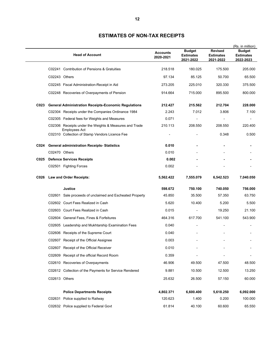|      | <b>Head of Account</b>                                                  | <b>Accounts</b><br>2020-2021 | <b>Budget</b><br><b>Estimates</b><br>2021-2022 | <b>Revised</b><br><b>Estimates</b><br>2021-2022 | (Rs. in million)<br><b>Budget</b><br><b>Estimates</b><br><u>2022-2023</u> |
|------|-------------------------------------------------------------------------|------------------------------|------------------------------------------------|-------------------------------------------------|---------------------------------------------------------------------------|
|      | C02241 Contribution of Pensions & Gratuities                            | 218.518                      | 180.025                                        | 175.500                                         | 205.000                                                                   |
|      | C02243 Others                                                           | 97.134                       | 85.125                                         | 50.700                                          | 65.500                                                                    |
|      | C02245 Fiscal Administration-Receipt in Aid                             | 273.205                      | 225.010                                        | 320.330                                         | 375.500                                                                   |
|      | C02248 Recoveries of Overpayments of Pension                            | 914.664                      | 715.000                                        | 895.500                                         | 800.000                                                                   |
| C023 | <b>General Administration Receipts-Economic Regulations</b>             | 212.427                      | 215.562                                        | 212.704                                         | 228.000                                                                   |
|      | C02304 Receipts under the Companies Ordinance 1984                      | 2.243                        | 7.012                                          | 3.806                                           | 7.100                                                                     |
|      | C02305 Federal fees for Weights and Measures                            | 0.071                        |                                                |                                                 |                                                                           |
|      | C02306 Receipts under the Weights & Measures and Trade<br>Employees Act | 210.113                      | 208.550                                        | 208.550                                         | 220.400                                                                   |
|      | C02310 Collection of Stamp Vendors Licence Fee                          |                              |                                                | 0.348                                           | 0.500                                                                     |
|      | C024 General administration Receipts-Statistics                         | 0.010                        |                                                |                                                 |                                                                           |
|      | C02470 Others                                                           | 0.010                        |                                                |                                                 |                                                                           |
| C025 | <b>Defence Services Receipts</b>                                        | 0.002                        |                                                |                                                 |                                                                           |
|      | C02501 Fighting Forces                                                  | 0.002                        |                                                |                                                 |                                                                           |
| C026 | <b>Law and Order Receipts:</b>                                          | 5,562.422                    | 7,555.079                                      | 6,542.523                                       | 7,040.050                                                                 |
|      | <b>Justice</b>                                                          | 598.672                      | 750.100                                        | 740.050                                         | 756.000                                                                   |
|      | C02601 Sale proceeds of unclaimed and Escheated Property                | 45.850                       | 35.500                                         | 57.350                                          | 63.750                                                                    |
|      | C02602 Court Fees Realized in Cash                                      | 5.620                        | 10.400                                         | 5.200                                           | 5.500                                                                     |
|      | C02603 Court Fees Realized in Cash                                      | 0.015                        |                                                | 19.250                                          | 21.100                                                                    |
|      | C02604 General Fees, Fines & Forfeitures                                | 464.316                      | 617.700                                        | 541.100                                         | 543.900                                                                   |
|      | C02605 Leadership and Mukhtarship Examination Fees                      | 0.040                        |                                                |                                                 |                                                                           |
|      | C02606 Receipts of the Supreme Court                                    | 0.040                        |                                                |                                                 |                                                                           |
|      | C02607 Receipt of the Official Assignee                                 | 0.003                        |                                                |                                                 |                                                                           |
|      | C02607 Receipt of the Official Receiver                                 | 0.010                        |                                                |                                                 |                                                                           |
|      | C02609 Receipt of the official Record Room                              | 0.359                        |                                                |                                                 |                                                                           |
|      | C02610 Recoveries of Overpayments                                       | 46.906                       | 49.500                                         | 47.500                                          | 48.500                                                                    |
|      | C02612 Collection of the Payments for Service Rendered                  | 9.881                        | 10.500                                         | 12.500                                          | 13.250                                                                    |
|      | C02613 Others                                                           | 25.632                       | 26.500                                         | 57.150                                          | 60.000                                                                    |
|      | <b>Police Departments Receipts</b>                                      | 4,802.371                    | 6,600.400                                      | 5,618.250                                       | 6,092.000                                                                 |
|      | Police supplied to Railway<br>C02631                                    | 120.623                      | 1.400                                          | 0.200                                           | 100.000                                                                   |
|      | C02632 Police supplied to Federal Govt                                  | 61.814                       | 40.100                                         | 60.600                                          | 65.550                                                                    |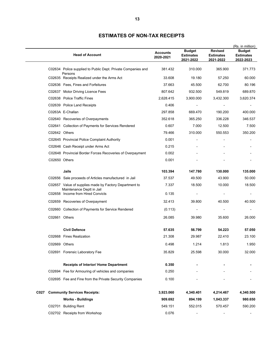|      |               | <b>Head of Account</b>                                                              | <b>Accounts</b><br>2020-2021 | <b>Budget</b><br><b>Estimates</b><br>2021-2022 | <b>Revised</b><br><b>Estimates</b><br>2021-2022 | (Rs. in million)<br><b>Budget</b><br><b>Estimates</b><br>2022-2023 |
|------|---------------|-------------------------------------------------------------------------------------|------------------------------|------------------------------------------------|-------------------------------------------------|--------------------------------------------------------------------|
|      |               | C02634 Police supplied to Public Dept. Private Companies and<br>Persons             | 381.432                      | 310.000                                        | 365.900                                         | 371.773                                                            |
|      |               | C02635 Receipts Realized under the Arms Act                                         | 33.608                       | 19.180                                         | 57.250                                          | 60.000                                                             |
|      |               | C02636 Fees, Fines and Forfeitures                                                  | 37.663                       | 45.500                                         | 62.700                                          | 80.196                                                             |
|      |               | C02637 Motor Driving Licence Fees                                                   | 807.642                      | 932.500                                        | 549.819                                         | 689.870                                                            |
|      |               | C02638 Police Traffic Fines                                                         | 2,628.415                    | 3,900.000                                      | 3,432.300                                       | 3,620.374                                                          |
|      |               | C02639 Police Land Receipts                                                         | 0.406                        |                                                |                                                 |                                                                    |
|      |               | C0263A E-Challan                                                                    | 297.858                      | 669.470                                        | 190.200                                         | 400.000                                                            |
|      |               | C02640 Recoveries of Overpayments                                                   | 352.618                      | 365.250                                        | 336.228                                         | 346.537                                                            |
|      |               | C02641 Collection of Payments for Services Rendered                                 | 0.607                        | 7.000                                          | 12.500                                          | 7.500                                                              |
|      | C02642 Others |                                                                                     | 79.466                       | 310.000                                        | 550.553                                         | 350.200                                                            |
|      |               | C02645 Provincial Police Complaint Authority                                        | 0.001                        |                                                |                                                 |                                                                    |
|      |               | C02646 Cash Receipt under Arms Act                                                  | 0.215                        |                                                |                                                 |                                                                    |
|      |               | C02648 Provincial Border Forces Recoveries of Overpayment                           | 0.002                        |                                                |                                                 |                                                                    |
|      | C02650 Others |                                                                                     | 0.001                        |                                                |                                                 |                                                                    |
|      |               | Jails                                                                               | 103.394                      | 147.780                                        | 130.000                                         | 135.000                                                            |
|      |               | C02656 Sale proceeds of Articles manufactured in Jail                               | 37.537                       | 49.500                                         | 43.900                                          | 50.000                                                             |
|      |               | C02657 Value of supplies made by Factory Department to<br>Maintenance Deptt in Jail | 7.337                        | 18.500                                         | 10.000                                          | 18.500                                                             |
|      |               | C02658 Income from Hired Convicts                                                   | 0.135                        |                                                |                                                 | -                                                                  |
|      |               | C02659 Recoveries of Overpayment                                                    | 32.413                       | 39.800                                         | 40.500                                          | 40.500                                                             |
|      |               | C02660 Collection of Payments for Service Rendered                                  | (0.113)                      |                                                |                                                 |                                                                    |
|      | C02661 Others |                                                                                     | 26.085                       | 39.980                                         | 35.600                                          | 26.000                                                             |
|      |               | <b>Civil Defence</b>                                                                | 57.635                       | 56.799                                         | 54.223                                          | 57.050                                                             |
|      |               | C02668 Fines Realization                                                            | 21.308                       | 29.987                                         | 22.410                                          | 23.100                                                             |
|      | C02669 Others |                                                                                     | 0.498                        | 1.214                                          | 1.813                                           | 1.950                                                              |
|      |               | C02691 Forensic Laboratory Fee                                                      | 35.829                       | 25.598                                         | 30.000                                          | 32.000                                                             |
|      |               | <b>Receipts of Interior/ Home Department</b>                                        | 0.350                        |                                                |                                                 |                                                                    |
|      |               | C02694 Fee for Armouring of vehicles and companies                                  | 0.250                        |                                                |                                                 |                                                                    |
|      |               | C02695 Fee and Fine from the Private Security Companies                             | 0.100                        |                                                |                                                 |                                                                    |
| C027 |               | <b>Community Services Receipts:</b>                                                 | 3,923.060                    | 4,340.401                                      | 4,214.467                                       | 4,340.500                                                          |
|      |               | <b>Works - Buildings</b>                                                            | 909.692                      | 894.199                                        | 1,043.337                                       | 980.650                                                            |
|      |               | C02701 Building Rent                                                                | 549.151                      | 552.015                                        | 570.457                                         | 590.200                                                            |
|      |               | C02702 Receipts from Workshop                                                       | 0.076                        | $\overline{\phantom{a}}$                       |                                                 | $\overline{\phantom{a}}$                                           |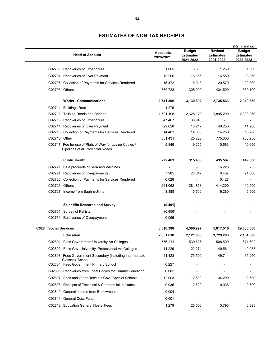|        | <b>Head of Account</b>                                                                      | <b>Accounts</b><br>2020-2021 | <b>Budget</b><br><b>Estimates</b><br>2021-2022 | <b>Revised</b><br><b>Estimates</b><br>2021-2022 | (Rs. in million)<br><b>Budget</b><br><b>Estimates</b><br><u>2022-2023</u> |
|--------|---------------------------------------------------------------------------------------------|------------------------------|------------------------------------------------|-------------------------------------------------|---------------------------------------------------------------------------|
|        | C02703 Recoveries of Expenditure                                                            | 1.065                        | 5.000                                          | 1.260                                           | 1.300                                                                     |
|        | C02704 Recoveries of Over Payment                                                           | 13.200                       | 16.166                                         | 16.550                                          | 18.250                                                                    |
|        | C02705 Collection of Payments for Services Rendered                                         | 15.472                       | 16.018                                         | 20.570                                          | 20.800                                                                    |
|        | C02706 Others                                                                               | 330.728                      | 305.000                                        | 434.500                                         | 350.100                                                                   |
|        | <b>Works - Communications</b>                                                               | 2,741.306                    | 3,130.802                                      | 2,735.563                                       | 2,910.350                                                                 |
| C02711 | <b>Buildings Rent</b>                                                                       | 1.276                        |                                                |                                                 |                                                                           |
|        | C02712 Tolls on Roads and Bridges                                                           | 1,791.198                    | 2,628.170                                      | 1,895.200                                       | 2,093.050                                                                 |
|        | C02713 Recoveries of Expenditure                                                            | 47.467                       | 38.940                                         |                                                 |                                                                           |
|        | C02714 Recoveries of Over Payment                                                           | 29.628                       | 15.217                                         | 40.250                                          | 41.200                                                                    |
|        | C02715 Collection of Payments for Services Rendered                                         | 14.461                       | 14.000                                         | 14.250                                          | 15.200                                                                    |
|        | C02716 Other                                                                                | 851.431                      | 425.220                                        | 775.300                                         | 750.250                                                                   |
|        | C02717 Fee for use of Right of Way for Laying Cables /<br>Pipelines of all Provincial Roads | 5.845                        | 9.255                                          | 10.563                                          | 10.650                                                                    |
|        | <b>Public Health</b>                                                                        | 272.463                      | 315.400                                        | 435.567                                         | 449.500                                                                   |
| C02721 | Sale proceeds of Sera and Vaccines                                                          |                              |                                                | 6.223                                           |                                                                           |
|        | C02724 Recoveries of Overpayments                                                           | 7.985                        | 28.047                                         | 8.437                                           | 24.500                                                                    |
|        | C02725 Collection of Payments for Services Rendered                                         | 0.028                        |                                                | 0.427                                           |                                                                           |
|        | C02726 Others                                                                               | 261.062                      | 281.853                                        | 414.200                                         | 419.500                                                                   |
|        | C02727 Income from Bagh-e-Jinnah                                                            | 3.388                        | 5.500                                          | 6.280                                           | 5.500                                                                     |
|        | <b>Scientific Research and Survey</b>                                                       | (0.401)                      |                                                |                                                 |                                                                           |
|        | C02731 Survey of Pakistan                                                                   | (0.456)                      |                                                |                                                 |                                                                           |
|        | C02732 Recoveries of Overpayments                                                           | 0.055                        |                                                |                                                 |                                                                           |
| C028   | <b>Social Services</b>                                                                      | 3,810.388                    | 4,306.997                                      | 5,617.516                                       | 29,636.000                                                                |
|        | <b>Education</b>                                                                            | 2,051.618                    | 2,121.000                                      | 3,729.283                                       | 2,164.000                                                                 |
|        | C02801 Fees Government University Art Colleges                                              | 576.211                      | 530.626                                        | 508.500                                         | 671.602                                                                   |
|        | C02802 Fees Govt University, Professional Art Colleges                                      | 14.229                       | 22.274                                         | 40.581                                          | 49.053                                                                    |
|        | C02803 Fees Government Secondary (including Intermediate<br>Classes), School                | 41.423                       | 75.500                                         | 49.711                                          | 65.250                                                                    |
|        | C02804 Fees Government Primary School                                                       | 0.227                        |                                                |                                                 |                                                                           |
|        | C02806 Recoveries from Local Bodies for Primary Education                                   | 0.002                        |                                                |                                                 |                                                                           |
|        | C02807 Fees and Other Receipts Govt. Special Schools                                        | 12.003                       | 12.500                                         | 34.200                                          | 12.500                                                                    |
|        | C02808 Receipts of Technical & Commercial Institutes                                        | 0.035                        | 2.500                                          | 0.035                                           | 2.500                                                                     |
|        | C02810 General Income from Endowments                                                       | 0.004                        |                                                |                                                 |                                                                           |
|        | C02811 General Cess Fund                                                                    | 0.001                        |                                                |                                                 |                                                                           |
|        | C02812 Education General Hostel Fees                                                        | 1.279                        | 25.500                                         | 0.795                                           | 0.895                                                                     |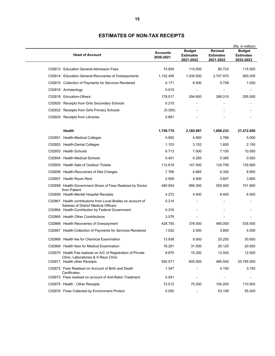| <b>Head of Account</b>                                                                               | <b>Accounts</b><br>2020-2021 | <b>Budget</b><br><b>Estimates</b><br>2021-2022 | <b>Revised</b><br><b>Estimates</b><br>2021-2022 | (Rs. in million)<br><b>Budget</b><br><b>Estimates</b><br>2022-2023 |
|------------------------------------------------------------------------------------------------------|------------------------------|------------------------------------------------|-------------------------------------------------|--------------------------------------------------------------------|
|                                                                                                      |                              |                                                |                                                 |                                                                    |
| C02813 Education General-Admission Fees                                                              | 74.954                       | 115.500                                        | 80.723                                          | 115.500                                                            |
| C02814 Education General-Recoveries of Overpayments                                                  | 1,152.456                    | 1,035.500                                      | 2,747.970                                       | 950.200                                                            |
| C02815 Collection of Payments for Services Rendered                                                  | 0.171                        | 6.500                                          | 0.758                                           | 1.000                                                              |
| C02816 Archaeology                                                                                   | 0.015                        |                                                |                                                 |                                                                    |
| C02818 Education-Others                                                                              | 178.017                      | 294.600                                        | 266.010                                         | 295.500                                                            |
| C02820 Receipts from Girls Secondary Schools                                                         | 0.215                        |                                                |                                                 |                                                                    |
| C02822 Receipts from Girls Primary Schools                                                           | (0.305)                      |                                                |                                                 |                                                                    |
| C02824 Receipts from Libraries                                                                       | 0.681                        |                                                |                                                 |                                                                    |
| Health                                                                                               | 1,758.770                    | 2,185.997                                      | 1,888.233                                       | 27,472.000                                                         |
| C02851 Health-Medical Colleges                                                                       | 0.955                        | 4.950                                          | 2.766                                           | 5.000                                                              |
| C02852 Health-Dental Colleges                                                                        | 1.103                        | 3.152                                          | 1.600                                           | 2.150                                                              |
| C02853 Health Schools                                                                                | 6.713                        | 7.500                                          | 7.150                                           | 10.050                                                             |
| C02854 Health-Medical Schools                                                                        | 0.401                        | 0.250                                          | 0.385                                           | 0.500                                                              |
| C02855 Health Sale of Outdoor Tickets                                                                | 112.616                      | 147.930                                        | 124.756                                         | 135.900                                                            |
| C02856 Health-Recoveries of Diet Charges                                                             | 7.766                        | 4.665                                          | 6.350                                           | 8.950                                                              |
| C02857 Health Room Rent                                                                              | 2.509                        | 4.500                                          | 3.607                                           | 3.800                                                              |
| C02858 Health-Government Share of Fees Realized by Doctor<br>from Patient                            | 480.654                      | 890.300                                        | 550.500                                         | 741.900                                                            |
| C02859 Health-Mental Hospital Receipts                                                               | 4.272                        | 4.500                                          | 6.400                                           | 6.500                                                              |
| C02861 Health contributions from Local Bodies on account of<br>Salaries of District Medical Officers | 0.214                        |                                                |                                                 |                                                                    |
| C02864 Health-Contribution by Federal Government                                                     | 0.316                        |                                                |                                                 |                                                                    |
| C02865 Health Other Contributions                                                                    | 3.578                        |                                                |                                                 |                                                                    |
| C02866 Health Recoveries of Overpayment                                                              | 428.750                      | 378.500                                        | 480.000                                         | 535.500                                                            |
| C02867 Health-Collection of Payments for Services Rendered                                           | 1.032                        | 2.500                                          | 3.800                                           | 4.500                                                              |
| C02868 Health fee for Chemical Examination                                                           | 13.939                       | 9.500                                          | 25.250                                          | 30.600                                                             |
| C02869 Health fees for Medical Examination                                                           | 18.261                       | 31.500                                         | 20.120                                          | 20.500                                                             |
| C02870 Health Fee realized on A/C of Registration of Private<br>Clinic, Laboratories & X-Rays Clinic | 8.670                        | 15.250                                         | 12.500                                          | 12.500                                                             |
| C02871 Health other Receipts                                                                         | 592.571                      | 605.500                                        | 485.500                                         | 25,785.000                                                         |
| C02872 Fees Realised on Account of Birth and Death<br>Certificates                                   | 1.347                        |                                                | 4.150                                           | 3.150                                                              |
| C02873 Fees realised on account of Anti-Rabic Treatment                                              | 0.541                        |                                                |                                                 |                                                                    |
| C02875 Health - Other Receipts                                                                       | 72.512                       | 75.500                                         | 100.200                                         | 110.500                                                            |
| C02876 Fines Collected by Environment Protect                                                        | 0.050                        |                                                | 53.199                                          | 55.000                                                             |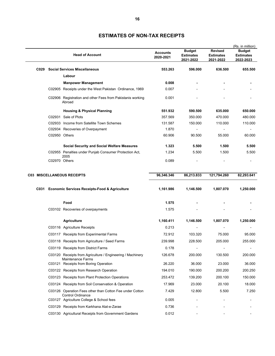|      |                                      | <b>Head of Account</b>                                               | <b>Accounts</b><br>2020-2021 | <b>Budget</b><br>Estimates<br>2021-2022 | <b>Revised</b><br><b>Estimates</b><br>2021-2022 | (Rs. in million)<br>Budget<br><b>Estimates</b><br>2022-2023 |
|------|--------------------------------------|----------------------------------------------------------------------|------------------------------|-----------------------------------------|-------------------------------------------------|-------------------------------------------------------------|
| C029 | <b>Social Services Miscellaneous</b> |                                                                      | 553.263                      | 596.000                                 | 636.500                                         | 655.500                                                     |
|      |                                      | Labour                                                               |                              |                                         |                                                 |                                                             |
|      |                                      | <b>Manpower Management</b>                                           | 0.008                        |                                         |                                                 |                                                             |
|      |                                      | C02905 Receipts under the West Pakistan Ordinance, 1969              | 0.007                        |                                         |                                                 |                                                             |
|      |                                      | C02906 Registration and other Fees from Pakistanis working<br>Abroad | 0.001                        |                                         |                                                 |                                                             |
|      |                                      | <b>Housing &amp; Physical Planning</b>                               | 551.932                      | 590.500                                 | 635.000                                         | 650.000                                                     |
|      |                                      | C02931 Sale of Plots                                                 | 357.569                      | 350.000                                 | 470.000                                         | 480.000                                                     |
|      |                                      | C02933 Income from Satellite Town Schemes                            | 131.587                      | 150.000                                 | 110.000                                         | 110.000                                                     |
|      |                                      | C02934 Recoveries of Overpayment                                     | 1.870                        | $\overline{\phantom{0}}$                | $\blacksquare$                                  |                                                             |
|      |                                      | C02950 Others                                                        | 60.906                       | 90.500                                  | 55.000                                          | 60.000                                                      |
|      |                                      | <b>Social Security and Social Welfare Measures</b>                   | 1.323                        | 5.500                                   | 1.500                                           | 5.500                                                       |
|      |                                      | C02955 Penalties under Punjab Consumer Protection Act,               | 1.234                        | 5.500                                   | 1.500                                           | 5.500                                                       |
|      | C02970 Others                        | 2005                                                                 | 0.089                        |                                         |                                                 |                                                             |
|      |                                      |                                                                      |                              |                                         |                                                 |                                                             |
|      |                                      | <b>C03 MISCELLANEOUS RECEIPTS</b>                                    | 96,346.346                   | 86,213.833                              | 121,794.260                                     | 82,293.641                                                  |
|      |                                      | C031 Economic Services Receipts-Food & Agriculture                   | 1,161.986                    | 1,146.500                               | 1,807.070                                       | 1,250.000                                                   |
|      |                                      | Food                                                                 | 1.575                        |                                         |                                                 |                                                             |
|      |                                      | C03102 Recoveries of overpayments                                    | 1.575                        |                                         |                                                 |                                                             |
|      |                                      | <b>Agriculture</b>                                                   | 1,160.411                    | 1,146.500                               | 1,807.070                                       | 1,250.000                                                   |
|      |                                      | C03116 Agriculture Receipts                                          | 0.213                        |                                         |                                                 |                                                             |
|      |                                      | C03117 Receipts from Experimental Farms                              | 72.912                       | 103.320                                 | 75.000                                          | 95.000                                                      |
|      |                                      | C03118 Receipts from Agriculture / Seed Farms                        | 239.998                      | 228.500                                 | 205.000                                         | 255.000                                                     |
|      |                                      | C03119 Receipts from District Farms                                  | 0.178                        |                                         |                                                 |                                                             |
|      |                                      | C03120 Receipts from Agriculture / Engineering / Machinery           | 126.678                      | 200.000                                 | 130.500                                         | 200.000                                                     |
|      |                                      | <b>Maintenance Farms</b><br>C03121 Receipts from Boring Operation    | 26.220                       | 36.000                                  | 23.000                                          | 36.000                                                      |
|      |                                      | C03122 Receipts from Research Operation                              | 194.010                      | 190.000                                 | 200.200                                         | 200.250                                                     |
|      |                                      | C03123 Receipts from Plant Protection Operations                     | 253.472                      | 139.200                                 | 200.100                                         | 150.000                                                     |
|      |                                      | C03124 Receipts from Soil Conservation & Operation                   | 17.969                       | 23.000                                  | 20.100                                          | 18.000                                                      |
|      |                                      | C03126 Operation Fees other than Cotton Fee under Cotton             | 7.429                        | 12.800                                  | 5.500                                           | 7.250                                                       |
|      |                                      | <b>Control Ordinance</b>                                             |                              |                                         |                                                 |                                                             |
|      |                                      | C03127 Agriculture College & School fees                             | 0.005                        |                                         |                                                 |                                                             |
|      |                                      | C03129 Receipts from Karkhana Alat-e-Zarae                           | 0.736                        |                                         |                                                 |                                                             |
|      |                                      | C03130 Agricultural Receipts from Government Gardens                 | 0.012                        |                                         |                                                 |                                                             |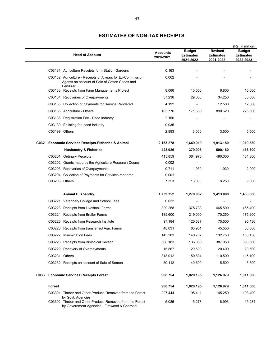|      | <b>Head of Account</b>                                                                                                       | <b>Accounts</b><br>2020-2021 | <b>Budget</b><br><b>Estimates</b><br><u>2021-2022</u> | <b>Revised</b><br><b>Estimates</b><br><u>2021-2022</u> | (Rs. in million)<br><b>Budget</b><br><b>Estimates</b><br>2022-2023 |
|------|------------------------------------------------------------------------------------------------------------------------------|------------------------------|-------------------------------------------------------|--------------------------------------------------------|--------------------------------------------------------------------|
|      | C03131 Agriculture Receipts form Station Gardens                                                                             | 0.163                        |                                                       |                                                        |                                                                    |
|      | C03132 Agriculture - Receipts of Arrears for Ex-Commission<br>Agents on account of Sale of Cotton Seeds and                  | 0.062                        |                                                       |                                                        |                                                                    |
|      | Fertilizer<br>C03133 Receipts from Farm Managements Project                                                                  | 8.066                        | 10.000                                                | 6.800                                                  | 10.000                                                             |
|      | C03134 Recoveries of Overpayments                                                                                            | 37.236                       | 29.000                                                | 34.250                                                 | 35.000                                                             |
|      | C03135 Collection of payments for Service Rendered                                                                           | 4.192                        | $\qquad \qquad \blacksquare$                          | 12.500                                                 | 12.500                                                             |
|      | C03136 Agriculture - Others                                                                                                  | 165.776                      | 171.680                                               | 890.620                                                | 225.500                                                            |
|      | C03138 Registration Fee - Seed Industry                                                                                      | 2.156                        |                                                       |                                                        | $\blacksquare$                                                     |
|      | C03139 Enlisting fee-seed industry                                                                                           | 0.035                        |                                                       |                                                        |                                                                    |
|      | C03199 Others                                                                                                                | 2.893                        | 3.000                                                 | 3.500                                                  | 5.500                                                              |
| C032 | <b>Economic Services Receipts-Fisheries &amp; Animal</b>                                                                     | 2,163.278                    | 1,649.910                                             | 1,913.180                                              | 1,919.380                                                          |
|      | <b>Husbandry &amp; Fisheries</b>                                                                                             | 423.926                      | 379.908                                               | 500.180                                                | 466.300                                                            |
|      | C03201 Ordinary Receipts                                                                                                     | 415.859                      | 364.978                                               | 490.000                                                | 454.800                                                            |
|      | C03202 Grants made by the Agriculture Research Council                                                                       | 0.002                        | $\overline{\phantom{a}}$                              |                                                        |                                                                    |
|      | C03203 Recoveries of Overpayments                                                                                            | 0.711                        | 1.930                                                 | 1.930                                                  | 2.000                                                              |
|      | C03204 Collection of Payments for Services rendered                                                                          | 0.001                        |                                                       |                                                        |                                                                    |
|      | C03205 Others                                                                                                                | 7.353                        | 13.000                                                | 8.250                                                  | 9.500                                                              |
|      | <b>Animal Husbandry</b>                                                                                                      | 1,739.352                    | 1,270.002                                             | 1,413.000                                              | 1,453.080                                                          |
|      | C03221 Veterinary College and School Fees                                                                                    | 0.022                        |                                                       |                                                        |                                                                    |
|      | C03223 Receipts from Livestock Farms                                                                                         | 329.258                      | 375.733                                               | 465.500                                                | 465.400                                                            |
|      | C03224 Receipts from Broiler Farms                                                                                           | 189.600                      | 219.000                                               | 170.250                                                | 175.200                                                            |
|      | C03225 Receipts from Research Institute                                                                                      | 97.184                       | 125.587                                               | 75.500                                                 | 95.430                                                             |
|      | C03226 Receipts from transferred Agri. Farms                                                                                 | 48.031                       | 60.951                                                | 45.550                                                 | 50.300                                                             |
|      | C03227 Insemination Fees                                                                                                     | 143.383                      | 140.767                                               | 132.750                                                | 135.150                                                            |
|      | C03228 Receipts from Biological Section                                                                                      | 568.183                      | 136.030                                               | 387.050                                                | 390.500                                                            |
|      | C03229 Recovery of Overpayments                                                                                              | 15.567                       | 20.500                                                | 20.400                                                 | 20.500                                                             |
|      | C03231 Others                                                                                                                | 318.012                      | 150.834                                               | 110.500                                                | 115.100                                                            |
|      | C03232 Receipts on account of Sale of Semen                                                                                  | 30.112                       | 40.600                                                | 5.500                                                  | 5.500                                                              |
| C033 | <b>Economic Services Receipts Forest</b>                                                                                     | 988.754                      | 1,020.195                                             | 1,126.979                                              | 1,011.000                                                          |
|      | Forest                                                                                                                       | 988.754                      | 1,020.195                                             | 1,126.979                                              | 1,011.000                                                          |
|      | C03301 Timber and Other Produce Removed from the Forest                                                                      | 227.444                      | 195.411                                               | 145.250                                                | 193.400                                                            |
|      | by Govt. Agencies<br>C03302 Timber and Other Produce Removed from the Forest<br>by Government Agencies - Firewood & Charcoal | 5.085                        | 15.273                                                | 6.993                                                  | 15.234                                                             |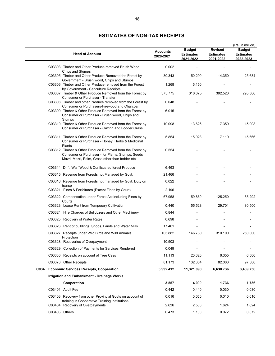|      |               | <b>Head of Account</b>                                                                                                                                           | <b>Accounts</b><br>2020-2021 | <b>Budget</b><br><b>Estimates</b><br>2021-2022 | <b>Revised</b><br><b>Estimates</b><br>2021-2022 | (Rs. in million)<br><b>Budget</b><br><b>Estimates</b><br>2022-2023 |
|------|---------------|------------------------------------------------------------------------------------------------------------------------------------------------------------------|------------------------------|------------------------------------------------|-------------------------------------------------|--------------------------------------------------------------------|
|      |               | C03303 Timber and Other Produce removed Brush Wood,<br>Chips and Stumps                                                                                          | 0.002                        |                                                |                                                 |                                                                    |
|      |               | C03305 Timber and Other Produce Removed the Forest by<br>Government - Brush wood, Chips and Stumps                                                               | 30.343                       | 50.290                                         | 14.350                                          | 25.634                                                             |
|      |               | C03306 Timber and Other Produce removed from the Forest<br>by Government - Sericulture Receipts                                                                  | 1.268                        | 5.150                                          |                                                 |                                                                    |
|      |               | C03307 Timber & Other Produce Removed from the Forest by<br>Consumer or Purchaser - Transfer                                                                     | 375.775                      | 310.675                                        | 392.520                                         | 295.366                                                            |
|      |               | C03308 Timber and other Produce removed from the Forest by<br>Consumer or Purchasers-Firewood and Charcoal                                                       | 0.048                        |                                                |                                                 |                                                                    |
|      |               | C03309 Timber & Other Produce Removed from the Forest by<br>Consumer or Purchaser - Brush wood, Chips and<br>Stumps                                              | 6.015                        |                                                |                                                 |                                                                    |
|      |               | C03310 Timber & Other Produce Removed from the Forest by<br>Consumer or Purchaser - Gazing and Fodder Grass                                                      | 10.098                       | 13.626                                         | 7.350                                           | 15.908                                                             |
|      |               | C03311 Timber & Other Produce Removed from the Forest by<br>Consumer or Purchaser - Honey, Herbs & Medicinal<br>Plants                                           | 5.854                        | 15.028                                         | 7.110                                           | 15.666                                                             |
|      |               | C03312 Timber & Other Produce Removed from the Forest by<br>Consumer or Purchaser - for Plants, Stumps, Seeds<br>Mazri, Mazri, Palm, Grass other than fodder etc | 0.554                        |                                                |                                                 |                                                                    |
|      |               | C03314 Drift. Waif Wood & Confiscated forest Produce                                                                                                             | 6.463                        |                                                |                                                 |                                                                    |
|      |               | C03315 Revenue from Forests not Managed by Govt.                                                                                                                 | 21.466                       |                                                |                                                 |                                                                    |
|      |               | C03316 Revenue from Forests not managed by Govt. Duty on<br>transp                                                                                               | 0.022                        |                                                |                                                 |                                                                    |
|      |               | C03321 Fines & Forfeitures (Except Fines by Court)                                                                                                               | 2.196                        |                                                |                                                 |                                                                    |
|      |               | C03322 Compensation under Forest Act including Fines by<br>Courts                                                                                                | 67.958                       | 59.860                                         | 125.250                                         | 65.292                                                             |
|      |               | C03323 Lease Rent from Temporary Cultivation                                                                                                                     | 0.440                        | 55.528                                         | 29.701                                          | 30.500                                                             |
|      |               | C03324 Hire Charges of Bulldozers and Other Machinery                                                                                                            | 0.844                        |                                                |                                                 |                                                                    |
|      |               | C03325 Recovery of Water Rates                                                                                                                                   | 0.698                        |                                                |                                                 |                                                                    |
|      |               | C03326 Rent of buildings, Shops, Lands and Water Mills                                                                                                           | 17.461                       |                                                |                                                 |                                                                    |
|      |               | C03327 Receipts under Wild Birds and Wild Animals<br>Protection                                                                                                  | 105.882                      | 146.730                                        | 310.100                                         | 250.000                                                            |
|      |               | C03328 Recoveries of Overpayment                                                                                                                                 | 10.503                       |                                                |                                                 |                                                                    |
|      |               | C03329 Collection of Payments for Services Rendered                                                                                                              | 0.049                        |                                                |                                                 |                                                                    |
|      |               | C03330 Receipts on account of Tree Cess                                                                                                                          | 11.113                       | 20.320                                         | 6.355                                           | 6.500                                                              |
|      |               | C03370 Other Receipts                                                                                                                                            | 81.173                       | 132.304                                        | 82.000                                          | 97.500                                                             |
| C034 |               | <b>Economic Services Receipts, Cooperation,</b>                                                                                                                  | 3,992.412                    | 11,321.090                                     | 6,630.736                                       | 8,439.736                                                          |
|      |               | Irrigation and Embankment - Drainage Works                                                                                                                       |                              |                                                |                                                 |                                                                    |
|      |               | Cooperation                                                                                                                                                      | 3.557                        | 4.090                                          | 1.736                                           | 1.736                                                              |
|      |               | C03401 Audit Fee                                                                                                                                                 | 0.442                        | 0.440                                          | 0.030                                           | 0.030                                                              |
|      |               | C03403 Recovery from other Provincial Govts on account of<br>training in Cooperative Training Institutions                                                       | 0.016                        | 0.050                                          | 0.010                                           | 0.010                                                              |
|      |               | C03404 Recovery of Overpayments                                                                                                                                  | 2.626                        | 2.500                                          | 1.624                                           | 1.624                                                              |
|      | C03406 Others |                                                                                                                                                                  | 0.473                        | 1.100                                          | 0.072                                           | 0.072                                                              |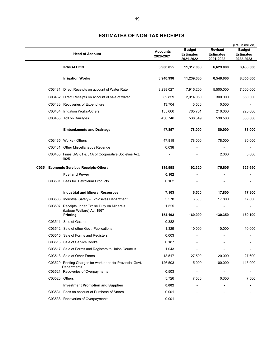|      | <b>Head of Account</b>                                                     | <b>Accounts</b><br>2020-2021 | <b>Budget</b><br><b>Estimates</b><br>2021-2022 | <b>Revised</b><br><b>Estimates</b><br>2021-2022 | (Rs. in million)<br><b>Budget</b><br><b>Estimates</b><br>2022-2023 |
|------|----------------------------------------------------------------------------|------------------------------|------------------------------------------------|-------------------------------------------------|--------------------------------------------------------------------|
|      | <b>IRRIGATION</b>                                                          | 3,988.855                    | 11,317.000                                     | 6,629.000                                       | 8,438.000                                                          |
|      | <b>Irrigation Works</b>                                                    | 3,940.998                    | 11,239.000                                     | 6,549.000                                       | 8,355.000                                                          |
|      | C03431 Direct Receipts on account of Water Rate                            | 3,238.027                    | 7,915.200                                      | 5,500.000                                       | 7,000.000                                                          |
|      | C03432 Direct Receipts on account of sale of water                         | 82.859                       | 2,014.050                                      | 300.000                                         | 550.000                                                            |
|      | C03433 Recoveries of Expenditure                                           | 13.704                       | 5.500                                          | 0.500                                           |                                                                    |
|      | C03434 Irrigation Works-Others                                             | 155.660                      | 765.701                                        | 210.000                                         | 225.000                                                            |
|      | C03435 Toll on Barrages                                                    | 450.748                      | 538.549                                        | 538.500                                         | 580.000                                                            |
|      | <b>Embankments and Drainage</b>                                            | 47.857                       | 78.000                                         | 80.000                                          | 83.000                                                             |
|      | C03465 Works - Others                                                      | 47.819                       | 78.000                                         | 78.000                                          | 80.000                                                             |
|      | C03481 Other Miscellaneous Revenue                                         | 0.038                        | $\overline{a}$                                 |                                                 |                                                                    |
|      | C03483 Fines U/S 61 & 61A of Cooperative Societies Act,<br>1925            |                              |                                                | 2.000                                           | 3.000                                                              |
| C035 | <b>Economic Services Receipts-Others</b>                                   | 185.998                      | 192.320                                        | 175.605                                         | 325.650                                                            |
|      | <b>Fuel and Power</b>                                                      | 0.102                        |                                                |                                                 |                                                                    |
|      | C03501 Fees for Petroleum Products                                         | 0.102                        |                                                |                                                 |                                                                    |
|      | <b>Industrial and Mineral Resources</b>                                    | 7.103                        | 6.500                                          | 17.800                                          | 17.800                                                             |
|      | C03506 Industrial Safety - Explosives Department                           | 5.578                        | 6.500                                          | 17.800                                          | 17.800                                                             |
|      | C03507 Receipts under Excise Duty on Minerals<br>(Labour Welfare) Act 1967 | 1.525                        | $\overline{\phantom{0}}$                       | $\overline{\phantom{a}}$                        | $\overline{\phantom{a}}$                                           |
|      | Printing                                                                   | 154.193                      | 160.000                                        | 130.350                                         | 160.100                                                            |
|      | C03511 Sale of Gazette                                                     | 0.382                        |                                                |                                                 |                                                                    |
|      | C03512 Sale of other Govt. Publications                                    | 1.329                        | 10.000                                         | 10.000                                          | 10.000                                                             |
|      | C03515 Sale of Forms and Registers                                         | 0.003                        |                                                |                                                 |                                                                    |
|      | C03516 Sale of Service Books                                               | 0.187                        |                                                |                                                 |                                                                    |
|      | C03517 Sale of Forms and Registers to Union Councils                       | 1.043                        |                                                |                                                 |                                                                    |
|      | C03518 Sale of Other Forms                                                 | 18.517                       | 27.500                                         | 20.000                                          | 27.600                                                             |
|      | C03520 Printing Charges for work done for Provincial Govt.<br>Departments  | 126.503                      | 115.000                                        | 100.000                                         | 115.000                                                            |
|      | C03521 Recoveries of Overpayments                                          | 0.503                        | $\overline{\phantom{a}}$                       | $\overline{\phantom{a}}$                        |                                                                    |
|      | C03523 Others                                                              | 5.726                        | 7.500                                          | 0.350                                           | 7.500                                                              |
|      | <b>Investment Promotion and Supplies</b>                                   | 0.002                        |                                                |                                                 |                                                                    |
|      | C03531 Fees on account of Purchase of Stores                               | 0.001                        |                                                |                                                 |                                                                    |
|      | C03538 Recoveries of Overpayments                                          | 0.001                        |                                                |                                                 |                                                                    |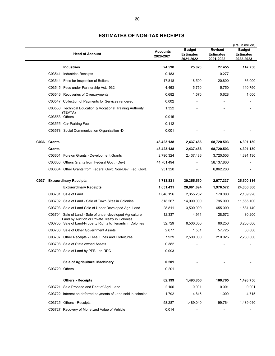| 147.750                                                                                             |
|-----------------------------------------------------------------------------------------------------|
|                                                                                                     |
|                                                                                                     |
| 36.000                                                                                              |
| 110.750                                                                                             |
| 1.000                                                                                               |
|                                                                                                     |
|                                                                                                     |
|                                                                                                     |
|                                                                                                     |
|                                                                                                     |
| 4,391.130                                                                                           |
| 4,391.130                                                                                           |
| 4,391.130                                                                                           |
|                                                                                                     |
|                                                                                                     |
| 25,500.116                                                                                          |
| 24,006.360                                                                                          |
| 2,169.920                                                                                           |
| 11,565.100                                                                                          |
| 1,681.140                                                                                           |
| 30.200                                                                                              |
| 6,250.000                                                                                           |
| 60.000                                                                                              |
| 2,250.000                                                                                           |
|                                                                                                     |
|                                                                                                     |
|                                                                                                     |
|                                                                                                     |
| 1,493.756                                                                                           |
| 0.001                                                                                               |
| 4.715                                                                                               |
|                                                                                                     |
| 1,489.040                                                                                           |
| 170.000<br>795.000<br>655.000<br>28.572<br>60.250<br>57.725<br>210.025<br>100.765<br>0.001<br>1.000 |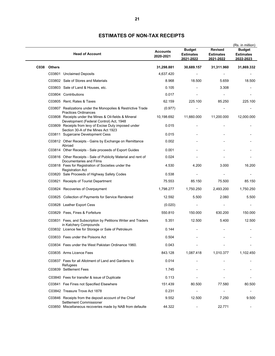|      |               | <b>Head of Account</b>                                                                                                           | <b>Accounts</b><br>2020-2021 | <b>Budget</b><br><b>Estimates</b><br>2021-2022 | <b>Revised</b><br><b>Estimates</b><br>2021-2022 | (Rs. in million)<br><b>Budget</b><br><b>Estimates</b><br>2022-2023 |
|------|---------------|----------------------------------------------------------------------------------------------------------------------------------|------------------------------|------------------------------------------------|-------------------------------------------------|--------------------------------------------------------------------|
| C038 | <b>Others</b> |                                                                                                                                  | 31,298.881                   | 30,689.157                                     | 31,311.960                                      | 31,869.332                                                         |
|      |               | C03801 Unclaimed Deposits                                                                                                        | 4,637.420                    |                                                |                                                 |                                                                    |
|      |               | C03802 Sale of Stores and Materials                                                                                              | 8.968                        | 18.500                                         | 5.659                                           | 18.500                                                             |
|      |               | C03803 Sale of Land & Houses, etc.                                                                                               | 0.105                        |                                                | 3.308                                           |                                                                    |
|      |               | C03804 Contributions                                                                                                             | 0.017                        |                                                |                                                 |                                                                    |
|      |               | C03805 Rent, Rates & Taxes                                                                                                       | 62.159                       | 225.100                                        | 85.250                                          | 225.100                                                            |
|      |               | C03807 Realizations under the Monopolies & Restrictive Trade                                                                     | (0.977)                      |                                                |                                                 |                                                                    |
|      |               | <b>Practices Ordinances</b><br>C03808 Receipts under the Mines & Oil-fields & Mineral<br>Development (Federal Control) Act, 1948 | 10,198.692                   | 11,660.000                                     | 11,200.000                                      | 12,000.000                                                         |
|      |               | C03809 Receipts from levy of Excise Duty imposed under<br>Section 30-A of the Mines Act 1923                                     | 0.015                        |                                                |                                                 |                                                                    |
|      |               | C03811 Sugarcane Development Cess                                                                                                | 0.015                        |                                                |                                                 |                                                                    |
|      |               | C03812 Other Receipts - Gains by Exchange on Remittance<br>Abroad                                                                | 0.002                        |                                                |                                                 |                                                                    |
|      |               | C03814 Other Receipts - Sale proceeds of Export Guides                                                                           | 0.001                        |                                                |                                                 |                                                                    |
|      |               | C03816 Other Receipts - Sale of Publicity Material and rent of                                                                   | 0.024                        |                                                |                                                 |                                                                    |
|      |               | Documentaries and Films<br>C03818 Fees for Registration of Societies under the<br><b>Registration Act</b>                        | 4.530                        | 4.200                                          | 3.000                                           | 16.200                                                             |
|      |               | C03820 Sale Proceeds of Highway Safety Codes                                                                                     | 0.538                        |                                                |                                                 |                                                                    |
|      |               | C03821 Receipts of Tourist Department                                                                                            | 75.553                       | 85.150                                         | 75.500                                          | 85.150                                                             |
|      |               | C03824 Recoveries of Overpayment                                                                                                 | 1,798.277                    | 1,750.250                                      | 2,493.200                                       | 1,750.250                                                          |
|      |               | C03825 Collection of Payments for Service Rendered                                                                               | 12.592                       | 5.500                                          | 2.060                                           | 5.500                                                              |
|      |               | C03828 Leather Export Cess                                                                                                       | (0.020)                      |                                                |                                                 |                                                                    |
|      |               | C03829 Fees, Fines & Forfeiture                                                                                                  | 550.810                      | 150.000                                        | 630.200                                         | 150.000                                                            |
|      |               | C03831 Fees, and Subscription by Petitions Writer and Traders<br>in Katchery Compounds                                           | 5.351                        | 12.500                                         | 5.400                                           | 12.500                                                             |
|      |               | C03832 Licence fee for Storage or Sale of Petroleum                                                                              | 0.144                        |                                                |                                                 |                                                                    |
|      |               | C03833 Fees under the Poisons Act                                                                                                | 0.504                        |                                                |                                                 |                                                                    |
|      |               | C03834 Fees under the West Pakistan Ordinance 1960.                                                                              | 0.043                        |                                                |                                                 |                                                                    |
|      |               | C03835 Arms Licence Fees                                                                                                         | 843.128                      | 1,087.418                                      | 1,010.377                                       | 1,102.450                                                          |
|      |               | C03837 Fees for all Allotment of Land and Gardens to<br>Refugees                                                                 | 0.014                        |                                                |                                                 |                                                                    |
|      |               | C03839 Settlement Fees                                                                                                           | 1.745                        |                                                |                                                 |                                                                    |
|      |               | C03840 Fees for transfer & issue of Duplicate                                                                                    | 0.113                        |                                                |                                                 |                                                                    |
|      |               | C03841 Fee Fines not Specified Elsewhere                                                                                         | 151.439                      | 80.500                                         | 77.580                                          | 80.500                                                             |
|      |               | C03842 Treasure Trove Act 1878                                                                                                   | 0.231                        |                                                |                                                 |                                                                    |
|      |               | C03846 Receipts from the deposit account of the Chief<br>Settlement Commissioner                                                 | 9.552                        | 12.500                                         | 7.250                                           | 9.500                                                              |
|      |               | C03850 Miscellaneous recoveries made by NAB from defaulte                                                                        | 44.322                       |                                                | 22.771                                          |                                                                    |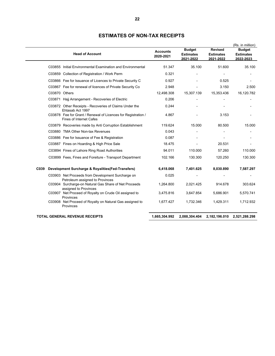|               | <b>Head of Account</b>                                                                          | <b>Accounts</b><br>2020-2021 | <b>Budget</b><br><b>Estimates</b><br>2021-2022 | <b>Revised</b><br><b>Estimates</b><br>2021-2022 | (Rs. in million)<br><b>Budget</b><br><b>Estimates</b><br>2022-2023 |
|---------------|-------------------------------------------------------------------------------------------------|------------------------------|------------------------------------------------|-------------------------------------------------|--------------------------------------------------------------------|
|               | C03855 Initial Environmental Examination and Environmental                                      | 51.347                       | 35.100                                         | 51.600                                          | 35.100                                                             |
|               | C03859 Collection of Registration / Work Perm                                                   | 0.321                        |                                                |                                                 |                                                                    |
|               | C03866 Fee for Issuance of Licences to Private Security C                                       | 0.927                        |                                                | 0.525                                           |                                                                    |
|               | C03867 Fee for renewal of licences of Private Security Co                                       | 2.948                        |                                                | 3.150                                           | 2.500                                                              |
| C03870 Others |                                                                                                 | 12,498.308                   | 15,307.139                                     | 15,353.436                                      | 16,120.782                                                         |
|               | C03871 Hajj Arrangement - Recoveries of Electric                                                | 0.206                        |                                                |                                                 |                                                                    |
|               | C03872 Other Receipts - Recoveries of Claims Under the<br>Ehtasab Act 1997                      | 0.244                        |                                                |                                                 |                                                                    |
|               | C03878 Fee for Grant / Renewal of Licences for Registration /<br><b>Fines of Internet Cafes</b> | 4.867                        |                                                | 3.153                                           |                                                                    |
|               | C03879 Recoveries made by Anti Corruption Establishment                                         | 119.624                      | 15.000                                         | 80.500                                          | 15.000                                                             |
|               | C03880 TMA Other Non-tax Revenues                                                               | 0.043                        |                                                |                                                 |                                                                    |
|               | C03886 Fee for Issuance of Fee & Registration                                                   | 0.087                        |                                                |                                                 |                                                                    |
|               | C03887 Fines on Hoarding & High Price Sale                                                      | 18.475                       |                                                | 20.531                                          |                                                                    |
|               | C03894 Fines of Lahore Ring Road Authorities                                                    | 94.011                       | 110.000                                        | 57.260                                          | 110.000                                                            |
|               | C03899 Fees, Fines and Foreiture - Transport Department                                         | 102.166                      | 130.300                                        | 120.250                                         | 130.300                                                            |
| C039          | Development Surcharge & Royalities (Fed-Transfers)                                              | 6,418.068                    | 7,401.625                                      | 8,030.890                                       | 7,587.297                                                          |
|               | C03903 Net Proceeds from Development Surcharge on<br>Petroleum assigned to Provinces            | 0.025                        |                                                |                                                 |                                                                    |
|               | C03904 Surcharge-on Natural Gas Share of Net Proceeds<br>assigned to Provinces                  | 1,264.800                    | 2,021.425                                      | 914.678                                         | 303.624                                                            |
|               | C03907 Net Proceed of Royalty on Crude Oil assigned to<br>Provinces                             | 3,475.816                    | 3,647.854                                      | 5,686.901                                       | 5,570.741                                                          |
|               | C03908 Net Proceed of Royalty on Natural Gas assigned to<br>Provinces                           | 1,677.427                    | 1,732.346                                      | 1,429.311                                       | 1,712.932                                                          |
|               | TOTAL GENERAL REVENUE RECEIPTS                                                                  | 1,665,304.992                | 2,088,304.404                                  |                                                 | 2,182,196.010 2,521,288.298                                        |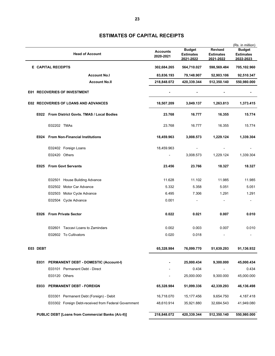|                                             |                                     |                                                      |                              | <b>Budget</b>                 | <b>Revised</b>                | (Rs. in million)<br><b>Budget</b> |
|---------------------------------------------|-------------------------------------|------------------------------------------------------|------------------------------|-------------------------------|-------------------------------|-----------------------------------|
|                                             |                                     | <b>Head of Account</b>                               | <b>Accounts</b><br>2020-2021 | <b>Estimates</b><br>2021-2022 | <b>Estimates</b><br>2021-2022 | <b>Estimates</b><br>2022-2023     |
|                                             |                                     | <b>E</b> CAPITAL RECEIPTS                            | 302,684.265                  | 564,710.027                   | 598,569.484                   | 705,102.960                       |
|                                             |                                     | <b>Account No.I</b>                                  | 83,836.193                   | 79,148.907                    | 52,903.106                    | 92,510.347                        |
|                                             |                                     | <b>Account No.II</b>                                 | 218,848.072                  | 420,339.344                   | 512,350.140                   | 550,980.000                       |
|                                             | <b>E01 RECOVERIES OF INVESTMENT</b> |                                                      |                              |                               |                               |                                   |
| <b>E02 RECOVERIES OF LOANS AND ADVANCES</b> |                                     |                                                      | 18,507.209                   | 3,049.137                     | 1,263.813                     | 1,373.415                         |
|                                             |                                     | E022 From District Govts. TMAS / Local Bodies        | 23.768                       | 16.777                        | 16.355                        | 15.774                            |
|                                             |                                     | E02202 TMAs                                          | 23.768                       | 16.777                        | 16.355                        | 15.774                            |
|                                             | E024                                | <b>From Non-Financial Institutions</b>               | 18,459.963                   | 3,008.573                     | 1,229.124                     | 1,339.304                         |
|                                             |                                     | E02402 Foreign Loans                                 | 18,459.963                   |                               |                               |                                   |
|                                             |                                     | E02420 Others                                        |                              | 3,008.573                     | 1,229.124                     | 1,339.304                         |
|                                             | E025                                | <b>From Govt Servants</b>                            | 23.456                       | 23.766                        | 18.327                        | 18.327                            |
|                                             |                                     | E02501 House Building Advance                        | 11.628                       | 11.102                        | 11.985                        | 11.985                            |
|                                             |                                     | E02502 Motor Car Advance                             | 5.332                        | 5.358                         | 5.051                         | 5.051                             |
|                                             |                                     | E02503 Motor Cycle Advance                           | 6.495                        | 7.306                         | 1.291                         | 1.291                             |
|                                             |                                     | E02504 Cycle Advance                                 | 0.001                        |                               |                               |                                   |
|                                             | E026                                | <b>From Private Sector</b>                           | 0.022                        | 0.021                         | 0.007                         | 0.010                             |
|                                             |                                     | E02601 Taccavi Loans to Zamindars                    | 0.002                        | 0.003                         | 0.007                         | 0.010                             |
|                                             |                                     | E02602 To Cultivators                                | 0.020                        | 0.018                         |                               |                                   |
|                                             | E03 DEBT                            |                                                      | 65,328.984                   | 76,099.770                    | 51,639.293                    | 91,136.932                        |
|                                             |                                     | E031 PERMANENT DEBT - DOMESTIC (Account-I)           |                              | 25,000.434                    | 9,300.000                     | 45,000.434                        |
|                                             |                                     | E03101 Permanent Debt - Direct                       |                              | 0.434                         |                               | 0.434                             |
|                                             |                                     | E03120 Others                                        |                              | 25,000.000                    | 9,300.000                     | 45,000.000                        |
|                                             | E033                                | PERMANENT DEBT - FOREIGN                             | 65,328.984                   | 51,099.336                    | 42,339.293                    | 46,136.498                        |
|                                             |                                     | E03301 Permanent Debt (Foreign) - Debit              | 16,718.070                   | 15,177.456                    | 9,654.750                     | 4,187.418                         |
|                                             |                                     | E03302 Foreign Debt-received from Federal Government | 48,610.914                   | 35,921.880                    | 32,684.543                    | 41,949.080                        |
|                                             |                                     | PUBLIC DEBT [Loans from Commercial Banks (A/c-II)]   | 218,848.072                  | 420,339.344                   | 512,350.140                   | 550,980.000                       |

# **ESTIMATES OF CAPITAL RECEIPTS**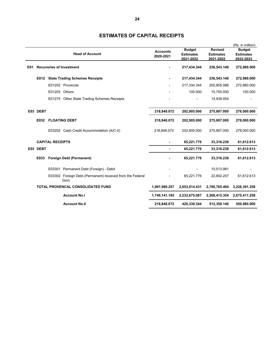|     |                        |                         |                                                                    |                          |                  |                  | (Rs. in million) |
|-----|------------------------|-------------------------|--------------------------------------------------------------------|--------------------------|------------------|------------------|------------------|
|     |                        |                         |                                                                    | <b>Accounts</b>          | <b>Budget</b>    | <b>Revised</b>   | <b>Budget</b>    |
|     | <b>Head of Account</b> |                         |                                                                    |                          | <b>Estimates</b> | <b>Estimates</b> | <b>Estimates</b> |
|     |                        |                         |                                                                    |                          | 2021-2022        | 2021-2022        | 2022-2023        |
| E01 |                        |                         | <b>Recoveries of Investment</b>                                    |                          | 217,434.344      | 236,543.140      | 272,980.000      |
|     | E012                   |                         | <b>State Trading Schemes Receipts</b>                              |                          | 217,434.344      | 236,543.140      | 272,980.000      |
|     |                        |                         | E01202 Provincial                                                  |                          | 217,334.344      | 205,855.086      | 272,880.000      |
|     |                        | E01203 Others           |                                                                    |                          | 100.000          | 15,750.000       | 100.000          |
|     |                        |                         | E01275 Other State Trading Schemes Receipts                        |                          |                  | 14,938.054       |                  |
|     | E03 DEBT               |                         |                                                                    | 218,848.072              | 202,905.000      | 275,807.000      | 278,000.000      |
|     | E032                   |                         | <b>FLOATING DEBT</b>                                               | 218,848.072              | 202,905.000      | 275,807.000      | 278,000.000      |
|     |                        |                         | E03202 Cash Credit Accommodation (A/C-II)                          | 218,848.072              | 202,905.000      | 275,807.000      | 278,000.000      |
|     |                        | <b>CAPITAL RECEIPTS</b> |                                                                    | $\overline{\phantom{a}}$ | 65,221.776       | 33,316.238       | 61,612.613       |
|     | E03 DEBT               |                         |                                                                    |                          | 65,221.776       | 33,316.238       | 61,612.613       |
|     | E033                   |                         | <b>Foreign Debt (Permanent)</b>                                    |                          | 65,221.776       | 33,316.238       | 61,612.613       |
|     |                        |                         | E03301 Permanent Debt (Foreign) - Debit                            |                          |                  | 10,513.981       |                  |
|     |                        |                         | E03302 Foreign Debt (Permanent) received from the Federal<br>Govt. |                          | 65,221.776       | 22,802.257       | 61,612.613       |
|     |                        |                         | TOTAL PROVENCAL CONSOLIDATED FUND                                  | 1,967,989.257            | 2,653,014.431    | 2,780,765.494    | 3,226,391.258    |
|     |                        |                         | <b>Account No.I</b>                                                | 1,749,141.185            | 2,232,675.087    | 2,268,415.354    | 2,675,411.258    |
|     | <b>Account No.II</b>   |                         |                                                                    |                          | 420,339.344      | 512,350.140      | 550,980.000      |

#### **ESTIMATES OF CAPITAL RECEIPTS**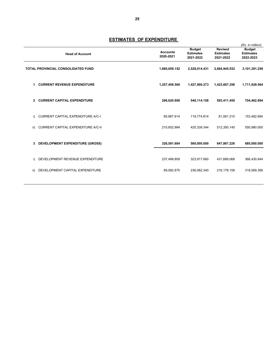|     |                                           |                              |                                                |                                                 | (Rs. in million)                               |
|-----|-------------------------------------------|------------------------------|------------------------------------------------|-------------------------------------------------|------------------------------------------------|
|     | <b>Head of Account</b>                    | <b>Accounts</b><br>2020-2021 | <b>Budget</b><br><b>Estimates</b><br>2021-2022 | <b>Revised</b><br><b>Estimates</b><br>2021-2022 | <b>Budget</b><br><b>Estimates</b><br>2022-2023 |
|     | <b>TOTAL PROVINCIAL CONSOLIDATED FUND</b> | 1,880,659.152                | 2,528,014.431                                  | 2,664,945.932                                   | 3,101,391.258                                  |
| 1.  | <b>CURRENT REVENUE EXPENDITURE</b>        | 1,257,456.560                | 1,427,900.273                                  | 1,423,667.256                                   | 1,711,928.564                                  |
| 2   | <b>CURRENT CAPITAL EXPENDITURE</b>        | 296,620.908                  | 540,114.158                                    | 593,411.450                                     | 704,462.694                                    |
| i)  | <b>CURRENT CAPITAL EXPENDITURE A/C-I</b>  | 85,967.914                   | 119,774.814                                    | 81,061.310                                      | 153,482.694                                    |
| ii) | CURRENT CAPITAL EXPENDITURE A/C-II        | 210,652.994                  | 420,339.344                                    | 512,350.140                                     | 550,980.000                                    |
| 3.  | <b>DEVELOPMENT EXPENDITURE (GROSS)</b>    | 326,581.684                  | 560,000.000                                    | 647,867.226                                     | 685,000.000                                    |
| i)  | DEVELOPMENT REVENUE EXPENDITURE           | 237,498.809                  | 323,917.660                                    | 431,689.068                                     | 366,430.644                                    |
| ii) | DEVELOPMENT CAPITAL EXPENDITURE           | 89,082.875                   | 236,082.340                                    | 216,178.158                                     | 318,569.356                                    |
|     |                                           |                              |                                                |                                                 |                                                |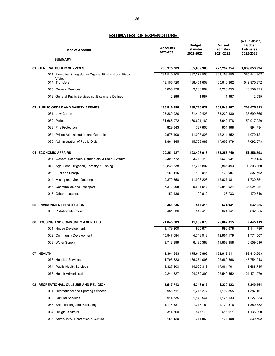| <b>Head of Account</b>                                   | <b>Accounts</b><br>2020-2021 | <b>Budget</b><br><b>Estimates</b><br>2021-2022 | <b>Revised</b><br><b>Estimates</b><br>2021-2022 | (Rs. in million)<br><b>Budget</b><br><b>Estimates</b><br>2022-2023 |
|----------------------------------------------------------|------------------------------|------------------------------------------------|-------------------------------------------------|--------------------------------------------------------------------|
| <b>SUMMARY</b>                                           |                              |                                                |                                                 |                                                                    |
| 01 GENERAL PUBLIC SERVICES                               | 706,375.789                  | 835,089.980                                    | 777,297.354                                     | 1,039,053.994                                                      |
| 011 Executive & Legislative Organs, Financial and Fiscal | 284,510.805                  | 337,372.500                                    | 308,158.150                                     | 385,841.362                                                        |
| Affairs<br>014 Transfers                                 | 413,156.720                  | 488,451.609                                    | 460,910.362                                     | 542,970.872                                                        |
| 015 General Services                                     | 8,695.978                    | 9,263.884                                      | 8,226.855                                       | 110,239.725                                                        |
| 019 General Public Services not Elsewhere Defined        | 12.286                       | 1.987                                          | 1.987                                           | 2.035                                                              |
|                                                          |                              |                                                |                                                 |                                                                    |
| 03 PUBLIC ORDER AND SAFETY AFFAIRS                       | 185,916.880                  | 189,716.027                                    | 209,948.307                                     | 208,675.313                                                        |
| 031 Law Courts                                           | 28,880.920                   | 31,442.425                                     | 33,239.330                                      | 35,699.865                                                         |
| 032 Police                                               | 131,668.972                  | 130,621.182                                    | 145,942.178                                     | 150,917.920                                                        |
| 033 Fire Protection                                      | 829.643                      | 787.606                                        | 901.968                                         | 894.734                                                            |
| 034 Prison Administration and Operation                  | 9,676.100                    | 11,095.825                                     | 12,211.852                                      | 14,070.121                                                         |
| 036 Administration of Public Order                       | 14,861.245                   | 15,768.989                                     | 17,652.979                                      | 7,092.673                                                          |
| 04 ECONOMIC AFFAIRS                                      | 120,251.927                  | 123,408.018                                    | 156,256.749                                     | 151,356.598                                                        |
| 041 General Economic, Commercial & Labour Affairs        | 2,399.772                    | 3,379.410                                      | 2,669.631                                       | 3,719.125                                                          |
| 042 Agri. Food, Irrigation, Forestry & Fishing           | 69,836.338                   | 77,216.807                                     | 99,865.493                                      | 99,503.960                                                         |
| 043 Fuel and Energy                                      | 150.415                      | 183.044                                        | 173.987                                         | 207.762                                                            |
| 044 Mining and Manufacturing                             | 10,370.358                   | 11,996.228                                     | 12,627.981                                      | 11,730.854                                                         |
| 045 Construction and Transport                           | 37,342.908                   | 30,531.917                                     | 40,810.924                                      | 36,024.051                                                         |
| 047 Other Industries                                     | 152.136                      | 100.612                                        | 108.733                                         | 170.846                                                            |
|                                                          |                              |                                                |                                                 |                                                                    |
| 05 ENVIRONMENT PROTECTION<br>053 Pollution Abetment      | 461.636<br>461.636           | 517.415<br>517.415                             | 624.941<br>624.941                              | 632.055<br>632.055                                                 |
|                                                          |                              |                                                |                                                 |                                                                    |
| 06 HOUSING AND COMMUNITY AMENITIES                       | 21,845.683                   | 11,909.070                                     | 25,807.315                                      | 9,445.419                                                          |
| 061 House Development                                    | 1,179.200                    | 965.674                                        | 996.678                                         | 1,114.796                                                          |
| 062 Community Development                                | 10,947.584                   | 4,748.013                                      | 12,951.179                                      | 1,771.007                                                          |
| 063 Water Supply                                         | 9,718.899                    | 6,195.383                                      | 11,859.458                                      | 6,559.616                                                          |
|                                                          | 142,364.653                  |                                                | 162,912.011                                     |                                                                    |
| 07 HEALTH<br>073 Hospital Services                       | 111,795.823                  | 175,646.806<br>136,384.098                     | 122,689.668                                     | 188,913.603<br>148,754.918                                         |
| 074 Public Health Services                               | 11,327.503                   | 14,900.318                                     | 17,681.791                                      | 15,686.715                                                         |
| 076 Health Administration                                | 19,241.327                   | 24,362.390                                     | 22,540.552                                      | 24,471.970                                                         |
|                                                          |                              |                                                |                                                 |                                                                    |
| 08 RECREATIONAL, CULTURE AND RELIGION                    | 3,517.713                    | 4,343.017                                      | 4,230.823                                       | 5,340.464                                                          |
| 081 Recreational and Sporting Services                   | 956.711                      | 1,216.277                                      | 1,192.855                                       | 1,387.167                                                          |
| 082 Cultural Services                                    | 914.335                      | 1,149.544                                      | 1,125.133                                       | 1,227.033                                                          |
| 083 Broadcasting and Publishing                          | 1,176.387                    | 1,218.159                                      | 1,124.516                                       | 1,350.582                                                          |
| 084 Religious Affairs                                    | 314.860                      | 547.179                                        | 616.911                                         | 1,135.890                                                          |
| 086 Admn. Info/. Recreation & Culture                    | 155.420                      | 211.858                                        | 171.408                                         | 239.792                                                            |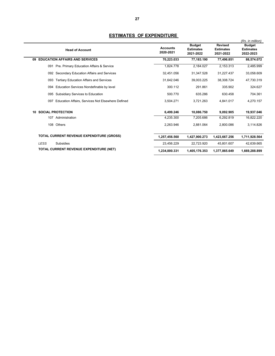|                                                          |                              |                                                |                                                 | (Rs. in million)                               |
|----------------------------------------------------------|------------------------------|------------------------------------------------|-------------------------------------------------|------------------------------------------------|
| <b>Head of Account</b>                                   | <b>Accounts</b><br>2020-2021 | <b>Budget</b><br><b>Estimates</b><br>2021-2022 | <b>Revised</b><br><b>Estimates</b><br>2021-2022 | <b>Budget</b><br><b>Estimates</b><br>2022-2023 |
| <b>EDUCATION AFFAIRS AND SERVICES</b><br>09              | 70,223.033                   | 77,183.190                                     | 77,496.851                                      | 88,574.072                                     |
| Pre. Primary Education Affairs & Service<br>091          | 1.824.778                    | 2,184.027                                      | 2,153.313                                       | 2,485.999                                      |
| Secondary Education Affairs and Services<br>092          | 32,451.056                   | 31,347.528                                     | 31,227.437                                      | 33,058.609                                     |
| <b>Tertiary Education Affairs and Services</b><br>093    | 31,642.046                   | 39,003.225                                     | 38,308.724                                      | 47,730.319                                     |
| Education Services Nondefinable by level<br>094          | 300.112                      | 291.861                                        | 335.902                                         | 324.627                                        |
| Subsidiary Services to Education<br>095                  | 500.770                      | 635.286                                        | 630.458                                         | 704.361                                        |
| Education Affairs, Services Not Elsewhere Defined<br>097 | 3,504.271                    | 3,721.263                                      | 4.841.017                                       | 4.270.157                                      |
| <b>SOCIAL PROTECTION</b><br>10                           | 6,499.246                    | 10,086.750                                     | 9,092.905                                       | 19,937.046                                     |
| 107<br>Administration                                    | 4,235.300                    | 7.205.686                                      | 6.292.819                                       | 16,822.220                                     |
| 108 Others                                               | 2.263.946                    | 2.881.064                                      | 2.800.086                                       | 3.114.826                                      |
| <b>TOTAL CURRENT REVENUE EXPENDITURE (GROSS)</b>         | 1,257,456.560                | 1,427,900.273                                  | 1,423,667.256                                   | 1,711,928.564                                  |
| <b>LESS</b><br>Subsidies                                 | 23.456.229                   | 22,723.920                                     | 45.801.607                                      | 42.639.665                                     |
| TOTAL CURRENT REVENUE EXPENDITURE (NET)                  | 1,234,000.331                | 1,405,176.353                                  | 1,377,865.649                                   | 1,669,288.899                                  |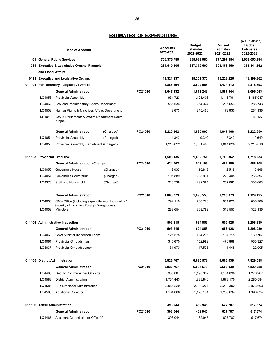|                                         | <b>Head of Account</b>                                                                           |           |           | <b>Accounts</b><br>2020-2021 | <b>Budget</b><br><b>Estimates</b><br>2021-2022 | <b>Revised</b><br><b>Estimates</b><br>2021-2022 | (Rs. in million)<br><b>Budget</b><br><b>Estimates</b><br>2022-2023 |
|-----------------------------------------|--------------------------------------------------------------------------------------------------|-----------|-----------|------------------------------|------------------------------------------------|-------------------------------------------------|--------------------------------------------------------------------|
|                                         | 01 General Public Services                                                                       |           |           | 706,375.789                  | 835,089.980                                    | 777,297.354                                     | 1,039,053.994                                                      |
|                                         | 011 Executive & Legislative Organs, Financial                                                    |           |           | 284,510.805                  | 337,372.500                                    | 308,158.150                                     | 385,841.362                                                        |
| and Fiscal Affairs                      |                                                                                                  |           |           |                              |                                                |                                                 |                                                                    |
|                                         | 0111 Executive and Legislative Organs                                                            |           |           | 13,321.237                   | 15,201.370                                     | 15,222.226                                      | 18,199.362                                                         |
|                                         | 011101 Parliamentary / Legislative Affairs                                                       |           |           | 2,868.294                    | 3,502.053                                      | 3,434.512                                       | 4,318.693                                                          |
|                                         | <b>General Administration</b>                                                                    |           | PC21010   | 1,647.932                    | 1,611.248                                      | 1,587.344                                       | 2,096.043                                                          |
| LQ4053                                  | <b>Provincial Assembly</b>                                                                       |           |           | 931.723                      | 1,101.408                                      | 1,118.761                                       | 1,465.037                                                          |
| LQ4062                                  | Law and Parliamentary Affairs Department                                                         |           |           | 566.536                      | 264.374                                        | 295.653                                         | 286.743                                                            |
| LQ4502                                  | Human Rights & Minorities Affairs Department                                                     |           |           | 149.673                      | 245.466                                        | 172.930                                         | 261.136                                                            |
| SP4013                                  | Law & Parliamentary Affairs Department South<br>Punjab                                           |           |           |                              |                                                |                                                 | 83.127                                                             |
|                                         | <b>General Administration</b>                                                                    | (Charged) | PC24010   | 1,220.362                    | 1,890.805                                      | 1,847.168                                       | 2,222.650                                                          |
| LQ4054                                  | <b>Provincial Assembly</b>                                                                       | (Charged) |           | 4.340                        | 9.340                                          | 5.340                                           | 9.640                                                              |
| LQ4055                                  | Provincial Assembly Department (Charged)                                                         |           |           | 1,216.022                    | 1,881.465                                      | 1.841.828                                       | 2,213.010                                                          |
| 011103 Provincial Executive             |                                                                                                  |           | 1,508.435 | 1,632.751                    | 1,708.362                                      | 1,718.033                                       |                                                                    |
| <b>General Administration (Charged)</b> |                                                                                                  | PC24010   | 424.662   | 542.193                      | 482.989                                        | 588.908                                         |                                                                    |
| LQ4056                                  | Governor's House                                                                                 | (Charged) |           | 2.037                        | 15.848                                         | 2.519                                           | 15.848                                                             |
| LQ4057                                  | Governor's Secretariat                                                                           | (Charged) |           | 195.889                      | 233.961                                        | 223.408                                         | 266.397                                                            |
| LQ4376                                  | Staff and Household                                                                              | (Charged) |           | 226.736                      | 292.384                                        | 257.062                                         | 306.663                                                            |
|                                         | <b>General Administration</b>                                                                    |           | PC21010   | 1,083.773                    | 1,090.558                                      | 1,225.373                                       | 1,129.125                                                          |
| LQ4058                                  | CM's Office (including expenditure on Hospitality /<br>Security of incoming Foreign Delegations) |           |           | 794.119                      | 780.776                                        | 911.820                                         | 805.989                                                            |
| LQ4059                                  | Ministers                                                                                        |           |           | 289.654                      | 309.782                                        | 313.553                                         | 323.136                                                            |
|                                         | 011104 Administrative Inspection                                                                 |           |           | 503.215                      | 624.853                                        | 656.028                                         | 1,208.939                                                          |
|                                         | <b>General Administration</b>                                                                    |           | PC21010   | 503.215                      | 624.853                                        | 656.028                                         | 1.208.939                                                          |
| LQ4060                                  | Chief Minister Inspection Team                                                                   |           |           | 125.575                      | 124.266                                        | 137.715                                         | 130.707                                                            |
| LQ4061                                  | Provincial Ombudsman                                                                             |           |           | 345.670                      | 452.992                                        | 476.868                                         | 955.327                                                            |
| LQ5037                                  | <b>Provincial Ombudsperson</b>                                                                   |           |           | 31.970                       | 47.595                                         | 41.445                                          | 122.905                                                            |
|                                         | 011105 District Administration                                                                   |           |           | 5,826.767                    | 6,695.578                                      | 6,606.039                                       | 7,829.088                                                          |
|                                         | <b>General Administration</b>                                                                    |           | PC21010   | 5,826.767                    | 6,695.578                                      | 6,606.039                                       | 7,829.088                                                          |
| LQ4466                                  | Deputy Commissioner Officer(s)                                                                   |           |           | 906.087                      | 1,198.337                                      | 1,184.838                                       | 1,276.267                                                          |
| LQ4583                                  | <b>District Administration</b>                                                                   |           |           | 1,731.443                    | 1,938.840                                      | 1,878.175                                       | 2,280.584                                                          |
| LQ4584                                  | Sub Divisional Administration                                                                    |           |           | 2,055.229                    | 2,380.227                                      | 2,289.392                                       | 2,873.603                                                          |
| LQ4586                                  | <b>Additional Collector</b>                                                                      |           |           | 1,134.008                    | 1,178.174                                      | 1,253.634                                       | 1,398.634                                                          |
|                                         | 011106 Tehsil Administration                                                                     |           |           | 393.044                      | 462.945                                        | 627.787                                         | 517.674                                                            |
|                                         | <b>General Administration</b>                                                                    |           | PC21010   | 393.044                      | 462.945                                        | 627.787                                         | 517.674                                                            |
| LQ4467                                  | Assistant Commissioner Office(s)                                                                 |           |           | 393.044                      | 462.945                                        | 627.787                                         | 517.674                                                            |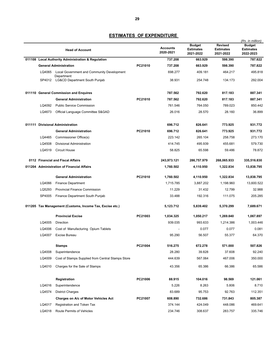|                                   | <b>Head of Account</b>                                   |         | <b>Accounts</b><br>2020-2021 | <b>Budget</b><br><b>Estimates</b><br>2021-2022 | <b>Revised</b><br><b>Estimates</b><br>2021-2022 | (Rs. in million)<br><b>Budget</b><br><b>Estimates</b><br>2022-2023 |
|-----------------------------------|----------------------------------------------------------|---------|------------------------------|------------------------------------------------|-------------------------------------------------|--------------------------------------------------------------------|
|                                   | 011108 Local Authority Administration & Regulation       |         | 737.208                      | 663.929                                        | 598.390                                         | 787.822                                                            |
|                                   | <b>General Administration</b>                            | PC21010 | 737.208                      | 663.929                                        | 598.390                                         | 787.822                                                            |
| LQ4065                            | Local Government and Community Development               |         | 698.277                      | 409.181                                        | 464.217                                         | 495.818                                                            |
|                                   | Department<br>SP4012 LG&CD Department South Punjab       |         | 38.931                       | 254.748                                        | 134.173                                         | 292.004                                                            |
|                                   | 011110 General Commission and Enquires                   |         | 787.562                      | 792.620                                        | 817.183                                         | 887.341                                                            |
|                                   | <b>General Administration</b>                            | PC21010 | 787.562                      | 792.620                                        | 817.183                                         | 887.341                                                            |
| LQ4092                            | <b>Public Service Commission</b>                         |         | 761.546                      | 764.050                                        | 789.023                                         | 850.442                                                            |
| LQ4673                            | Official Language Committee S&GAD                        |         | 26.016                       | 28.570                                         | 28.160                                          | 36.899                                                             |
| 011111 Divisional Administration  |                                                          |         | 696.712                      | 826.641                                        | 773.925                                         | 931.772                                                            |
|                                   | <b>General Administration</b>                            | PC21010 | 696.712                      | 826.641                                        | 773.925                                         | 931.772                                                            |
| LQ4465                            | Commissioner Office(s)                                   |         | 223.142                      | 265.104                                        | 258.758                                         | 273.170                                                            |
| LQ4508                            | Divisional Administration                                |         | 414.745                      | 495.939                                        | 455.681                                         | 579.730                                                            |
| LQ4519                            | <b>Circuit House</b>                                     |         | 58.825                       | 65.598                                         | 59.486                                          | 78.872                                                             |
| 0112 Financial and Fiscal Affairs |                                                          |         | 243,973.121                  | 286,757.979                                    | 268,065.933                                     | 335,516.830                                                        |
|                                   | 011204 Administration of Financial Affairs               |         | 1,760.502                    | 4,110.950                                      | 1,322.834                                       | 13,838.795                                                         |
|                                   | <b>General Administration</b>                            | PC21010 | 1,760.502                    | 4,110.950                                      | 1,322.834                                       | 13,838.795                                                         |
| LQ4066                            | Finance Department                                       |         | 1,715.785                    | 3,887.202                                      | 1,198.960                                       | 13,600.522                                                         |
| LQ5293                            | <b>Provincial Finance Commission</b>                     |         | 11.229                       | 31.432                                         | 12.799                                          | 32.988                                                             |
| SP4005                            | Finance Department South Punjab                          |         | 33.488                       | 192.316                                        | 111.075                                         | 205.285                                                            |
|                                   | 011205 Tax Management (Customs, Income Tax, Excise etc.) |         | 5,123.712                    | 5,839.402                                      | 5,370.299                                       | 7,689.671                                                          |
|                                   | <b>Provincial Excise</b>                                 | PC21003 | 1,034.325                    | 1,050.217                                      | 1,269.840                                       | 1,067.897                                                          |
| LQ4005                            | Direction                                                |         | 939.035                      | 993.633                                        | 1.214.386                                       | 1,003.446                                                          |
| LQ4006                            | Cost of Manufacturing Opium Tablets                      |         |                              | 0.077                                          | 0.077                                           | 0.081                                                              |
| LQ4007                            | <b>Excise Bureau</b>                                     |         | 95.290                       | 56.507                                         | 55.377                                          | 64.370                                                             |
|                                   | <b>Stamps</b>                                            | PC21004 | 516.275                      | 672.278                                        | 571.000                                         | 507.826                                                            |
| LQ4008                            | Superintendence                                          |         | 28.280                       | 39.828                                         | 37.608                                          | 92.240                                                             |
| LQ4009                            | Cost of Stamps Supplied from Central Stamps Store        |         | 444.639                      | 567.064                                        | 467.006                                         | 350.000                                                            |
| LQ4010                            | Charges for the Sale of Stamps                           |         | 43.356                       | 65.386                                         | 66.386                                          | 65.586                                                             |
|                                   | Registration                                             | PC21006 | 88.915                       | 104.016                                        | 98.569                                          | 121.061                                                            |
| LQ4016                            | Superintendence                                          |         | 5.226                        | 8.263                                          | 5.806                                           | 8.710                                                              |
| LQ4574                            | <b>District Charges</b>                                  |         | 83.689                       | 95.753                                         | 92.763                                          | 112.351                                                            |
|                                   | Charges on A/c of Motor Vehicles Act                     | PC21007 | 608.890                      | 732.686                                        | 731.843                                         | 805.387                                                            |
| LQ4017                            | Registration and Token Tax                               |         | 374.144                      | 424.049                                        | 448.086                                         | 469.641                                                            |
| LQ4018                            | Route Permits of Vehicles                                |         | 234.746                      | 308.637                                        | 283.757                                         | 335.746                                                            |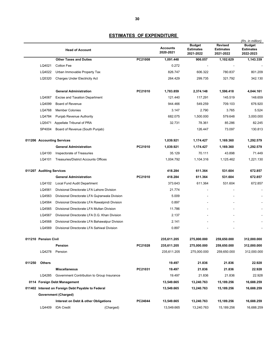|        |                          | <b>Head of Account</b>                             |         | <b>Accounts</b><br>2020-2021 | <b>Budget</b><br><b>Estimates</b><br>2021-2022 | <b>Revised</b><br><b>Estimates</b><br>2021-2022 | (Rs. in million)<br><b>Budget</b><br><b>Estimates</b><br>2022-2023 |
|--------|--------------------------|----------------------------------------------------|---------|------------------------------|------------------------------------------------|-------------------------------------------------|--------------------------------------------------------------------|
|        |                          | <b>Other Taxes and Duties</b>                      | PC21008 | 1,091.448                    | 906.057                                        | 1,102.629                                       | 1,143.339                                                          |
|        | LQ4021                   | <b>Cotton Fee</b>                                  |         | 0.272                        |                                                |                                                 |                                                                    |
|        | LQ4022                   | Urban Immovable Property Tax                       |         | 826.747                      | 606.322                                        | 780.837                                         | 801.209                                                            |
|        | LQ5320                   | <b>Charges Under Electricity Act</b>               |         | 264.429                      | 299.735                                        | 321.792                                         | 342.130                                                            |
|        |                          | <b>General Administration</b>                      | PC21010 | 1,783.859                    | 2,374.148                                      | 1,596.418                                       | 4,044.161                                                          |
|        | LQ4067                   | <b>Excise and Taxation Department</b>              |         | 121.440                      | 117.291                                        | 145.519                                         | 148.659                                                            |
|        | LQ4099                   | Board of Revenue                                   |         | 944.466                      | 549.259                                        | 709.103                                         | 676.920                                                            |
|        | LQ4768                   | <b>Member Colonies</b>                             |         | 3.147                        | 2.790                                          | 3.765                                           | 5.524                                                              |
|        | LQ4784                   | Punjab Revenue Authority                           |         | 682.075                      | 1,500.000                                      | 579.648                                         | 3,000.000                                                          |
|        | LQ5471                   | Appellate Tribunal of PRA                          |         | 32.731                       | 78.361                                         | 85.286                                          | 82.245                                                             |
|        | SP4004                   | Board of Revenue (South Punjab)                    |         |                              | 126.447                                        | 73.097                                          | 130.813                                                            |
|        |                          | 011206 Accounting Services                         |         | 1,039.921                    | 1,174.427                                      | 1,169.360                                       | 1,292.579                                                          |
|        |                          | <b>General Administration</b>                      | PC21010 | 1,039.921                    | 1,174.427                                      | 1,169.360                                       | 1,292.579                                                          |
|        | LQ4100                   | Inspectorate of Treasuries                         |         | 35.129                       | 70.111                                         | 43.898                                          | 71.449                                                             |
|        | LQ4101                   | <b>Treasuries/District Accounts Offices</b>        |         | 1,004.792                    | 1,104.316                                      | 1,125.462                                       | 1.221.130                                                          |
|        | 011207 Auditing Services |                                                    |         | 418.284                      | 611.364                                        | 531.604                                         | 672.857                                                            |
|        |                          | <b>General Administration</b>                      | PC21010 | 418.284                      | 611.364                                        | 531.604                                         | 672.857                                                            |
|        | LQ4102                   | Local Fund Audit Department                        |         | 373.643                      | 611.364                                        | 531.604                                         | 672.857                                                            |
|        | LQ4561                   | Divisional Directorate LFA Lahore Division         |         | 21.774                       |                                                |                                                 |                                                                    |
|        | LQ4563                   | Divisional Directorate LFA Gujranwala Division     |         | 5.009                        |                                                |                                                 |                                                                    |
|        | LQ4564                   | Divisional Directorate LFA Rawalpindi Division     |         | 0.897                        |                                                |                                                 |                                                                    |
|        | LQ4565                   | Divisional Directorate LFA Multan Division         |         | 11.786                       |                                                |                                                 |                                                                    |
|        | LQ4567                   | Divisional Directorate LFA D.G. Khan Division      |         | 2.137                        |                                                |                                                 |                                                                    |
|        | LQ4568                   | Divisional Directorate LFA Bahawalpur Division     |         | 2.141                        |                                                |                                                 |                                                                    |
|        | LQ4569                   | Divisional Directorate LFA Sahiwal Division        |         | 0.897                        |                                                |                                                 |                                                                    |
|        | 011210 Pension Civil     |                                                    |         | 235,611.205                  | 275,000.000                                    | 259,650.000                                     | 312,000.000                                                        |
|        |                          | Pension                                            | PC21028 | 235,611.205                  | 275,000.000                                    | 259,650.000                                     | 312,000.000                                                        |
|        | LQ4278                   | Pension                                            |         | 235,611.205                  | 275,000.000                                    | 259,650.000                                     | 312,000.000                                                        |
| 011250 | <b>Others</b>            |                                                    |         | 19.497                       | 21.836                                         | 21.836                                          | 22.928                                                             |
|        |                          | <b>Miscellaneous</b>                               | PC21031 | 19.497                       | 21.836                                         | 21.836                                          | 22.928                                                             |
|        | LQ4285                   | Government Contribution to Group Insurance         |         | 19.497                       | 21.836                                         | 21.836                                          | 22.928                                                             |
|        |                          | 0114 Foreign Debt Management                       |         | 13,549.665                   | 13,240.763                                     | 15,189.256                                      | 16,688.259                                                         |
|        |                          | 011402 Interest on Foreign Debt Payable to Federal |         | 13,549.665                   | 13,240.763                                     | 15,189.256                                      | 16,688.259                                                         |
|        |                          | Government (Charged)                               |         |                              |                                                |                                                 |                                                                    |
|        |                          | Interest on Debt & other Obligations               | PC24044 | 13,549.665                   | 13,240.763                                     | 15,189.256                                      | 16,688.259                                                         |
|        | LQ4409                   | <b>IDA Credit</b><br>(Charged)                     |         | 13,549.665                   | 13,240.763                                     | 15,189.256                                      | 16,688.259                                                         |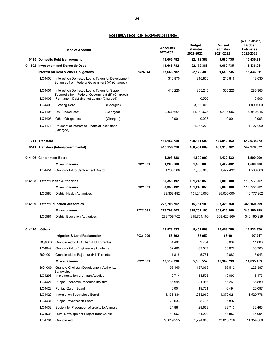|                               | <b>Head of Account</b>              |                                                                                                   |           |         | <b>Accounts</b><br>2020-2021 | <b>Budget</b><br><b>Estimates</b><br>2021-2022 | <b>Revised</b><br><b>Estimates</b><br>2021-2022 | (Rs. in million)<br><b>Budget</b><br><b>Estimates</b><br>2022-2023 |
|-------------------------------|-------------------------------------|---------------------------------------------------------------------------------------------------|-----------|---------|------------------------------|------------------------------------------------|-------------------------------------------------|--------------------------------------------------------------------|
| 0115 Domestic Debt Management |                                     |                                                                                                   |           |         | 13,666.782                   | 22,172.388                                     | 9,680.735                                       | 15,436.911                                                         |
|                               | 011502 Investment and Domestic Debt |                                                                                                   |           |         | 13,666.782                   | 22,172.388                                     | 9,680.735                                       | 15,436.911                                                         |
|                               |                                     | Interest on Debt & other Obligations                                                              |           | PC24044 | 13,666.782                   | 22,172.388                                     | 9,680.735                                       | 15,436.911                                                         |
|                               | LQ4400                              | Interest on Domestic Loans Taken for Development<br>Schemes from Federal Government (A) (Charged) |           |         | 310.870                      | 210.806                                        | 210.816                                         | 113.030                                                            |
|                               | LQ4401                              | Interest on Domestic Loans Taken for Scrap<br>Tubewells from Federal Government (B) (Charged)     |           |         | 416.220                      | 355.215                                        | 355.225                                         | 286.363                                                            |
|                               | LQ4402                              | Permanent Debt (Market Loans) (Charged)                                                           |           |         |                              | 0.500                                          |                                                 | 0.500                                                              |
|                               | LQ4403                              | <b>Floating Debt</b>                                                                              | (Charged) |         |                              | 3,000.000                                      |                                                 | 1,000.000                                                          |
|                               | LQ4404                              | Un-Funded Debt                                                                                    | (Charged) |         | 12,939.691                   | 14,350.635                                     | 9,114.693                                       | 9,910.015                                                          |
|                               | LQ4405                              | <b>Other Obligations</b>                                                                          | (Charged) |         | 0.001                        | 0.003                                          | 0.001                                           | 0.003                                                              |
|                               | LQ4477                              | Payment of interest to Financial Institutions<br>(Charged)                                        |           |         |                              | 4,255.229                                      |                                                 | 4,127.000                                                          |
|                               | 014 Transfers                       |                                                                                                   |           |         | 413,156.720                  | 488,451.609                                    | 460,910.362                                     | 542,970.872                                                        |
|                               |                                     | 0141 Transfers (Inter-Governmental)                                                               |           |         | 413,156.720                  | 488,451.609                                    | 460,910.362                                     | 542,970.872                                                        |
|                               | 014106 Cantonment Board             |                                                                                                   |           |         | 1,203.588                    | 1,500.000                                      | 1,422.432                                       | 1,500.000                                                          |
|                               |                                     | <b>Miscellaneous</b>                                                                              |           | PC21031 | 1,203.588                    | 1,500.000                                      | 1,422.432                                       | 1,500.000                                                          |
|                               | LQ4454                              | Grant-in-Aid to Cantonment Board                                                                  |           |         | 1,203.588                    | 1,500.000                                      | 1,422.432                                       | 1,500.000                                                          |
|                               |                                     | 014108 District Health Authorities                                                                |           |         | 89,358.492                   | 101,246.050                                    | 95,000.000                                      | 110,777.202                                                        |
|                               |                                     | <b>Miscellaneous</b>                                                                              |           | PC21031 | 89,358.492                   | 101,246.050                                    | 95,000.000                                      | 110,777.202                                                        |
|                               | LQ5580                              | <b>District Health Authorities</b>                                                                |           |         | 89,358.492                   | 101,246.050                                    | 95,000.000                                      | 110,777.202                                                        |
|                               |                                     |                                                                                                   |           |         |                              |                                                |                                                 |                                                                    |
| 014109                        |                                     | <b>District Education Authorities</b>                                                             |           |         | 273,708.702                  | 315,751.100                                    | 308,426.860                                     | 346,160.299                                                        |
|                               |                                     | <b>Miscellaneous</b>                                                                              |           | PC21031 | 273,708.702                  | 315,751.100                                    | 308,426.860                                     | 346,160.299                                                        |
|                               | LQ5581                              | <b>District Education Authorities</b>                                                             |           |         | 273,708.702                  | 315,751.100                                    | 308,426.860                                     | 346,160.299                                                        |
| 014110                        | <b>Others</b>                       |                                                                                                   |           |         | 13,578.622                   | 5,451.609                                      | 16,453.790                                      | 14,933.370                                                         |
|                               |                                     | <b>Irrigation &amp; Land Reclamation</b>                                                          |           | PC21009 | 58.692                       | 85.052                                         | 63.991                                          | 97.917                                                             |
|                               | DQ4003                              | Grant in Aid to DG Khan (Hill Torrents)                                                           |           |         | 4.408                        | 9.784                                          | 5.034                                           | 11.006                                                             |
|                               | LQ4049                              | Grant-in-Aid to Engineering Academy                                                               |           |         | 52.468                       | 69.517                                         | 56.877                                          | 80.968                                                             |
|                               | RQ4001                              | Grant in Aid to Rajanpur (Hill Torrents)                                                          |           |         | 1.816                        | 5.751                                          | 2.080                                           | 5.943                                                              |
|                               |                                     | <b>Miscellaneous</b>                                                                              |           | PC21031 | 13,519.930                   | 5,366.557                                      | 16,389.799                                      | 14,835.453                                                         |
|                               | BO4006                              | Grant to Cholistan Development Authority,<br>Bahawalpur                                           |           |         | 159.145                      | 197.063                                        | 193.512                                         | 228.397                                                            |
|                               | LQ4298                              | Implementation of Jinnah Abadies                                                                  |           |         | 10.714                       | 14.525                                         | 10.090                                          | 16.173                                                             |
|                               | LQ4427                              | Punjab Economic Research Institute                                                                |           |         | 65.998                       | 81.986                                         | 56.269                                          | 85.889                                                             |
|                               | LQ4428                              | Punjab Quran Board                                                                                |           |         | 6.001                        | 19.721                                         | 6.494                                           | 20.097                                                             |
|                               | LQ4429                              | Information Technology Board                                                                      |           |         | 1,136.334                    | 1,285.960                                      | 1,370.921                                       | 1,520.778                                                          |
|                               | LQ4431                              | <b>Punjab Privatization Board</b>                                                                 |           |         | 23.033                       | 38.735                                         | 5.892                                           |                                                                    |
|                               | LQ4432                              | Society for Prevention of cruelty to Animals                                                      |           |         | 24.881                       | 29.663                                         | 33.710                                          | 32.463                                                             |
|                               | LQ4534                              | Rural Development Project Bahawalpur                                                              |           |         | 53.667                       | 64.209                                         | 54.850                                          | 64.904                                                             |
|                               | LQ4761                              | Grant in Aid                                                                                      |           |         | 10,619.225                   | 1,794.000                                      | 13,015.710                                      | 11,354.000                                                         |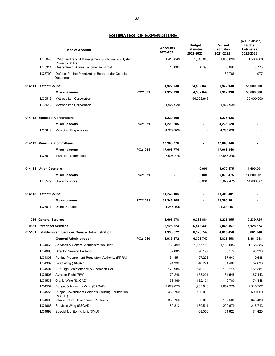|      |                                                           | <b>Head of Account</b>                                                                           |         | <b>Accounts</b><br>2020-2021 | <b>Budget</b><br><b>Estimates</b><br>2021-2022 | <b>Revised</b><br><b>Estimates</b><br>2021-2022 | (Rs. in million)<br>Budget<br><b>Estimates</b><br>2022-2023 |
|------|-----------------------------------------------------------|--------------------------------------------------------------------------------------------------|---------|------------------------------|------------------------------------------------|-------------------------------------------------|-------------------------------------------------------------|
|      | LQ5043<br>PMU Land record Management & Information System |                                                                                                  |         | 1,410.849                    | 1,840.000                                      | 1,608.890                                       | 1,500.000                                                   |
|      | LQ5311                                                    | (Project - BOR)<br>Guarantee of Annual Income Rom Post                                           |         | 10.083                       | 0.695                                          | 0.695                                           | 0.775                                                       |
|      | LQ5799                                                    | Defunct Punjab Privatization Board under Colonies<br>Department                                  |         |                              |                                                | 32.766                                          | 11.977                                                      |
|      | 014111 District Council                                   |                                                                                                  |         | 1,922.930                    | 64,502.849                                     | 1,922.930                                       | 55,000.000                                                  |
|      |                                                           | <b>Miscellaneous</b>                                                                             | PC21031 | 1,922.930                    | 64,502.849                                     | 1,922.930                                       | 55,000.000                                                  |
|      | LQ5512                                                    | <b>Metropolitan Corporation</b>                                                                  |         |                              | 64,502.849                                     |                                                 | 55,000.000                                                  |
|      | LQ5612                                                    | <b>Metropolitan Corporation</b>                                                                  |         | 1,922.930                    |                                                | 1,922.930                                       |                                                             |
|      |                                                           | 014112 Municipal Corporations                                                                    |         | 4,229.205                    |                                                | 4,235.628                                       |                                                             |
|      |                                                           | <b>Miscellaneous</b>                                                                             | PC21031 | 4,229.205                    |                                                | 4,235.628                                       |                                                             |
|      | LQ5613                                                    | <b>Municipal Corporations</b>                                                                    |         | 4,229.205                    |                                                | 4,235.628                                       |                                                             |
|      |                                                           | 014113 Municipal Committees                                                                      |         | 17,908.776                   |                                                | 17,068.846                                      |                                                             |
|      |                                                           | <b>Miscellaneous</b>                                                                             | PC21031 | 17,908.776                   |                                                | 17,068.846                                      |                                                             |
|      | LQ5614                                                    | <b>Municipal Committees</b>                                                                      |         | 17,908.776                   |                                                | 17,068.846                                      |                                                             |
|      | 014114 Union Councils                                     |                                                                                                  |         |                              | 0.001                                          | 5,079.475                                       | 14,600.001                                                  |
|      |                                                           | <b>Miscellaneous</b>                                                                             | PC21031 |                              | 0.001                                          | 5,079.475                                       | 14,600.001                                                  |
|      | LQ5579                                                    | <b>Union Councils</b>                                                                            |         |                              | 0.001                                          | 5,079.475                                       | 14,600.001                                                  |
|      | 014115 District Council                                   |                                                                                                  |         | 11,246.405                   |                                                | 11,300.401                                      |                                                             |
|      |                                                           | <b>Miscellaneous</b>                                                                             | PC21031 | 11,246.405                   |                                                | 11,300.401                                      |                                                             |
|      | LQ5611                                                    | <b>District Council</b>                                                                          |         | 11,246.405                   |                                                | 11,300.401                                      |                                                             |
|      | 015 General Services                                      |                                                                                                  |         | 8,695.978                    | 9,263.884                                      | 8,226.855                                       | 110,239.725                                                 |
| 0151 |                                                           | <b>Personnel Services</b>                                                                        |         | 5,125.824                    | 6,546.436                                      | 5,045.057                                       | 7,128.374                                                   |
|      |                                                           | 015101 Establishment Services General Administration                                             |         | 4,933.572                    | 6,326.749                                      | 4,825.458                                       | 6,861.948                                                   |
|      |                                                           | <b>General Administration</b>                                                                    | PC21010 | 4,933.572                    | 6,326.749                                      | 4,825.458                                       | 6,861.948                                                   |
|      | LQ4063                                                    | Services & General Administration Deptt.                                                         |         | 738.499                      | 1,155.199                                      | 1,138.083                                       | 1,165.386                                                   |
|      | LQ4090                                                    | <b>Director General Protocol</b>                                                                 |         | 67.885                       | 90.197                                         | 80.174                                          | 93.330                                                      |
|      | LQ4306                                                    | Punjab Procurement Regulatory Authority (PPRA)                                                   |         | 34.451                       | 97.278                                         | 37.640                                          | 110.688                                                     |
|      | LQ4307                                                    | I & C Wing (S&GAD)                                                                               |         | 94.390                       | 40.271                                         | 61.488                                          | 52.636                                                      |
|      | LQ4504                                                    | VIP Flight Maintenance & Operation Cell                                                          |         | 173.986                      | 640.709                                        | 190.118                                         | 151.881                                                     |
|      | LQ4507                                                    | Aviation Flight (RW)                                                                             |         | 170.248                      | 153.291                                        | 161.545                                         | 167.143                                                     |
|      | LQ4536                                                    | O & M Wing (S&GAD)                                                                               |         | 136.169                      | 152.134                                        | 149.700                                         | 174.848                                                     |
|      | LQ4537                                                    | Budget & Accounts Wing (S&GAD)                                                                   |         | 2,029.875                    | 1,983.018                                      | 1,852.978                                       | 2,310.702                                                   |
|      | LQ4556<br>LQ4638                                          | Punjab Government Servants Housing Foundation<br>(PGSHF)<br>Infrastructure Development Authority |         | 468.750<br>333.750           | 500.000<br>350.000                             | 192.500                                         | 500.000<br>345.430                                          |
|      | LQ4668                                                    | Services Wing (S&GAD)                                                                            |         | 180.813                      | 180.511                                        | 202.679                                         | 216.713                                                     |
|      | LQ4693                                                    | Special Monitoring Unit (SMU)                                                                    |         |                              | 68.056                                         | 51.627                                          | 74.420                                                      |
|      |                                                           |                                                                                                  |         |                              |                                                |                                                 |                                                             |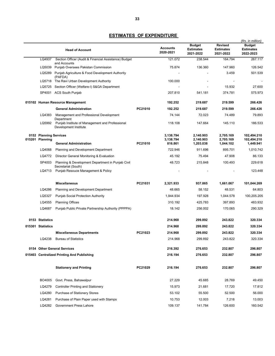|                                           |                                                                          |         |                              | <b>Budget</b>                 | <b>Revised</b>                | (Rs. in million)<br><b>Budget</b> |
|-------------------------------------------|--------------------------------------------------------------------------|---------|------------------------------|-------------------------------|-------------------------------|-----------------------------------|
|                                           | <b>Head of Account</b>                                                   |         | <b>Accounts</b><br>2020-2021 | <b>Estimates</b><br>2021-2022 | <b>Estimates</b><br>2021-2022 | <b>Estimates</b><br>2022-2023     |
| LQ4937                                    | Section Officer (Audit & Financial Assistance) Budget<br>and Accounts    |         | 121.072                      | 238.544                       | 164.794                       | 267.117                           |
| LQ5039                                    | Punjab Oversees Pakistan Commission                                      |         | 75.874                       | 136.360                       | 147.960                       | 126.542                           |
| LQ5289                                    | Punjab Agriculture & Food Development Authority<br>(PAFDA)               |         |                              |                               | 3.459                         | 501.539                           |
|                                           | LQ5718 The Ravi Urban Development Authority                              |         | 100.000                      |                               |                               |                                   |
| LQ5725                                    | Section Officer (Welfare-I) S&GA Department                              |         |                              |                               | 15.932                        | 27.600                            |
|                                           | SP4001 ACS South Punjab                                                  |         | 207.810                      | 541.181                       | 374.781                       | 575.973                           |
|                                           | 015102 Human Resource Management                                         |         | 192.252                      | 219.687                       | 219.599                       | 266.426                           |
|                                           | <b>General Administration</b>                                            | PC21010 | 192.252                      | 219.687                       | 219.599                       | 266.426                           |
| LQ4383                                    | Management and Professional Development<br>Department                    |         | 74.144                       | 72.023                        | 74.489                        | 79.893                            |
| LQ5992                                    | Punjab Institute of Management and Professional<br>Development Institute |         | 118.108                      | 147.664                       | 145.110                       | 186.533                           |
| 0152 Planning Services<br>015201 Planning |                                                                          |         | 3,138.794<br>3,138.794       | 2,140.903<br>2,140.903        | 2,705.169<br>2,705.169        | 102,494.210<br>102,494.210        |
|                                           | <b>General Administration</b>                                            | PC21010 | 816.861                      | 1,203.038                     | 1,044.102                     | 1,449.941                         |
| LQ4068                                    | <b>Planning and Development Department</b>                               |         | 722.946                      | 911.696                       | 895.701                       | 1,010.742                         |
| LQ4772                                    | Director General Monitoring & Evaluation                                 |         | 45.192                       | 75.494                        | 47.908                        | 86.133                            |
| SP4003                                    | Planning & Development Department in Punjab Civil<br>Secretariat (South) |         | 48.723                       | 215.848                       | 100.493                       | 229.618                           |
| LQ4713                                    | Punjab Resouce Management & Policy                                       |         |                              |                               |                               | 123.448                           |
|                                           | <b>Miscellaneous</b>                                                     | PC21031 | 2,321.933                    | 937.865                       | 1,661.067                     | 101,044.269                       |
| LQ4286                                    | Planning and Development Department                                      |         | 48.665                       | 58.152                        | 48.531                        | 64.803                            |
| LQ5327                                    | Punjab Social Protection Authority                                       |         | 1,944.934                    | 197.928                       | 1,044.578                     | 100,205.205                       |
| LQ4555                                    | <b>Planning Offices</b>                                                  |         | 310.192                      | 425.783                       | 397.893                       | 483.932                           |
| LQ4687                                    | Punjab Public Private Partnership Authority (PPPPA)                      |         | 18.142                       | 256.002                       | 170.065                       | 290.329                           |
| 0153 Statistics                           |                                                                          |         | 214.968                      | 299.892                       | 243.822                       | 320.334                           |
| 015301 Statistics                         |                                                                          |         | 214.968                      | 299.892                       | 243.822                       | 320.334                           |
|                                           | <b>Miscellaneous Departments</b>                                         | PC21023 | 214.968                      | 299.892                       | 243.822                       | 320.334                           |
| LQ4238                                    | <b>Bureau of Statistics</b>                                              |         | 214.968                      | 299.892                       | 243.822                       | 320.334                           |
|                                           | 0154 Other General Services                                              |         | 216.392                      | 276.653                       | 232.807                       | 296.807                           |
|                                           | 015403 Centralized Printing And Publishing                               |         | 216.194                      | 276.653                       | 232.807                       | 296.807                           |
|                                           | <b>Stationery and Printing</b>                                           | PC21029 | 216.194                      | 276.653                       | 232.807                       | 296.807                           |
| BO4005                                    | Govt. Press, Bahawalpur                                                  |         | 27.229                       | 45.685                        | 28.769                        | 49.450                            |
| LQ4279                                    | <b>Controller Printing and Stationery</b>                                |         | 15.973                       | 21.681                        | 17.720                        | 17.812                            |
| LQ4280                                    | <b>Purchase of Stationery Stores</b>                                     |         | 53.102                       | 55.500                        | 52.500                        | 56.000                            |
| LQ4281                                    | Purchase of Plain Paper used with Stamps                                 |         | 10.753                       | 12.003                        | 7.218                         | 13.003                            |
| LQ4282                                    | <b>Government Press Lahore</b>                                           |         | 109.137                      | 141.784                       | 126.600                       | 160.542                           |
|                                           |                                                                          |         |                              |                               |                               |                                   |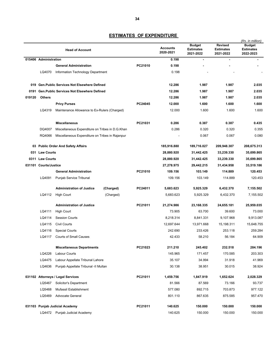|        | <b>Head of Account</b> |                                                 |           |         | <b>Accounts</b><br>2020-2021 | <b>Budget</b><br><b>Estimates</b><br>2021-2022 | <b>Revised</b><br><b>Estimates</b><br>2021-2022 | (Rs. in million)<br><b>Budget</b><br><b>Estimates</b><br>2022-2023 |
|--------|------------------------|-------------------------------------------------|-----------|---------|------------------------------|------------------------------------------------|-------------------------------------------------|--------------------------------------------------------------------|
|        | 015406 Administration  |                                                 |           |         | 0.198                        |                                                | ٠                                               |                                                                    |
|        |                        | <b>General Administration</b>                   |           | PC21010 | 0.198                        |                                                |                                                 |                                                                    |
|        | LQ4070                 | Information Technology Department               |           |         | 0.198                        |                                                |                                                 |                                                                    |
|        |                        | 019 Gen. Public Services Not Elsewhere Defined  |           |         | 12.286                       | 1.987                                          | 1.987                                           | 2.035                                                              |
|        |                        | 0191 Gen. Public Services Not Elsewhere Defined |           |         | 12.286                       | 1.987                                          | 1.987                                           | 2.035                                                              |
| 019120 | <b>Others</b>          |                                                 |           |         | 12.286                       | 1.987                                          | 1.987                                           | 2.035                                                              |
|        |                        | <b>Privy Purses</b>                             |           | PC24045 | 12.000                       | 1.600                                          | 1.600                                           | 1.600                                                              |
|        | LQ4319                 | Maintenance Allowance to Ex-Rulers (Charged)    |           |         | 12.000                       | 1.600                                          | 1.600                                           | 1.600                                                              |
|        |                        | <b>Miscellaneous</b>                            |           | PC21031 | 0.286                        | 0.387                                          | 0.387                                           | 0.435                                                              |
|        | DQ4007                 | Miscellaneous Expenditure on Tribes in D.G.Khan |           |         | 0.286                        | 0.320                                          | 0.320                                           | 0.355                                                              |
|        | RQ4066                 | Miscellaneous Expenditure on Tribes in Rajanpur |           |         |                              | 0.067                                          | 0.067                                           | 0.080                                                              |
|        |                        | 03 Public Order And Safety Affairs              |           |         | 185,916.880                  | 189,716.027                                    | 209,948.307                                     | 208,675.313                                                        |
|        | 031 Law Courts         |                                                 |           |         | 28,880.920                   | 31,442.425                                     | 33,239.330                                      | 35,699.865                                                         |
|        | 0311 Law Courts        |                                                 |           |         | 28,880.920                   | 31,442.425                                     | 33,239.330                                      | 35,699.865                                                         |
|        | 031101 Courts/Justice  |                                                 |           |         | 27,278.975                   | 29,442.215                                     | 31,434.958                                      | 33,519.186                                                         |
|        |                        | <b>General Administration</b>                   |           | PC21010 | 109.156                      | 103.149                                        | 114.889                                         | 120.453                                                            |
|        | LQ4091                 | Punjab Service Tribunal                         |           |         | 109.156                      | 103.149                                        | 114.889                                         | 120.453                                                            |
|        |                        | <b>Administration of Justice</b>                | (Charged) | PC24011 | 5,683.623                    | 5,925.329                                      | 6,432.370                                       | 7,155.502                                                          |
|        | LQ4112                 | <b>High Court</b>                               | (Charged) |         | 5,683.623                    | 5,925.329                                      | 6,432.370                                       | 7,155.502                                                          |
|        |                        | <b>Administration of Justice</b>                |           | PC21011 | 21,274.986                   | 23,168.335                                     | 24,655.181                                      | 25,959.035                                                         |
|        | LQ4111                 | <b>High Court</b>                               |           |         | 73.905                       | 63.700                                         | 39.600                                          | 73.000                                                             |
|        | LQ4114                 | <b>Session Courts</b>                           |           |         | 8,218.314                    | 8,841.331                                      | 9,107.968                                       | 9,913.087                                                          |
|        | LQ4115                 | <b>Civil Courts</b>                             |           |         | 12,697.644                   | 13,971.668                                     | 15,198.311                                      | 15,648.755                                                         |
|        | LQ4116                 | <b>Special Courts</b>                           |           |         | 242.690                      | 233.426                                        | 253.118                                         | 259.284                                                            |
|        | LQ4117                 | <b>Courts of Small Causes</b>                   |           |         | 42.433                       | 58.210                                         | 56.184                                          | 64.909                                                             |
|        |                        | <b>Miscellaneous Departments</b>                |           | PC21023 | 211.210                      | 245.402                                        | 232.518                                         | 284.196                                                            |
|        | LQ4226                 | <b>Labour Courts</b>                            |           |         | 145.965                      | 171.457                                        | 170.585                                         | 203.303                                                            |
|        | LQ4475                 | Labour Appellate Tribunal Lahore                |           |         | 35.107                       | 34.994                                         | 31.918                                          | 41.969                                                             |
|        | LQ4636                 | Punjab Appellate Tribunal -II Multan            |           |         | 30.138                       | 38.951                                         | 30.015                                          | 38.924                                                             |
|        |                        | 031102 Attorneys / Legal Services               |           | PC21011 | 1,459.756                    | 1,847.919                                      | 1,652.624                                       | 2,028.329                                                          |
|        | LQ5467                 | Solicitor's Department                          |           |         | 81.566                       | 87.569                                         | 73.166                                          | 93.737                                                             |
|        | LQ5468                 | Mufassil Establishment                          |           |         | 577.080                      | 892.715                                        | 703.873                                         | 977.122                                                            |
|        | LQ5469                 | <b>Advocate General</b>                         |           |         | 801.110                      | 867.635                                        | 875.585                                         | 957.470                                                            |
|        |                        | 031103 Punjab Judicial Academy                  |           | PC21011 | 140.625                      | 150.000                                        | 150.000                                         | 150.000                                                            |
|        |                        | LQ4472 Punjab Judicial Academy                  |           |         | 140.625                      | 150.000                                        | 150.000                                         | 150.000                                                            |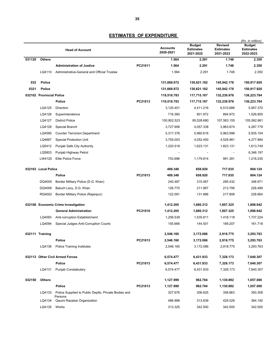|        |                          | <b>Head of Account</b>                                          |         | <b>Accounts</b><br>2020-2021 | <b>Budget</b><br><b>Estimates</b><br>2021-2022 | <b>Revised</b><br><b>Estimates</b><br>2021-2022 | (Rs. in million)<br>Budget<br><b>Estimates</b><br>2022-2023 |
|--------|--------------------------|-----------------------------------------------------------------|---------|------------------------------|------------------------------------------------|-------------------------------------------------|-------------------------------------------------------------|
| 031120 | <b>Others</b>            |                                                                 |         | 1.564                        | 2.291                                          | 1.748                                           | 2.350                                                       |
|        |                          | <b>Administration of Justice</b>                                | PC21011 | 1.564                        | 2.291                                          | 1.748                                           | 2.350                                                       |
|        | LQ4110                   | Administrative-General and Official Trustee                     |         | 1.564                        | 2.291                                          | 1.748                                           | 2.350                                                       |
| 032    | <b>Police</b>            |                                                                 |         | 131,668.972                  | 130,621.182                                    | 145,942.178                                     | 150,917.920                                                 |
| 0321   | <b>Police</b>            |                                                                 |         | 131,668.972                  | 130,621.182                                    | 145,942.178                                     | 150,917.920                                                 |
|        | 032102 Provincial Police |                                                                 |         | 119,518.783                  | 117,715.167                                    | 132,239.978                                     | 136,223.784                                                 |
|        |                          | Police                                                          | PC21013 | 119,518.783                  | 117,715.167                                    | 132,239.978                                     | 136,223.784                                                 |
|        | LQ4125                   | Direction                                                       |         | 3,125.401                    | 4,411.216                                      | 6,510.686                                       | 5,957.370                                                   |
|        | LQ4126                   | Superintendence                                                 |         | 716.360                      | 901.972                                        | 894.972                                         | 1,026.805                                                   |
|        | LQ4127                   | <b>District Police</b>                                          |         | 100,902.523                  | 95,528.680                                     | 107,563.155                                     | 105,562.661                                                 |
|        | LQ4129                   | Special Branch                                                  |         | 3,727.906                    | 4,057.338                                      | 3,963.674                                       | 4,287.779                                                   |
|        | LQ4590                   | <b>Counter Terrorism Department</b>                             |         | 5,317.376                    | 5,960.616                                      | 5,963.998                                       | 5,935.104                                                   |
|        | LQ4667                   | <b>Special Protection Unit</b>                                  |         | 3,755.003                    | 4,052.400                                      | 4,528.981                                       | 4,277.884                                                   |
|        | LQ5412                   | Punjab Safe City Authority                                      |         | 1,220.518                    | 1,623.131                                      | 1,823.131                                       | 1,613.749                                                   |
|        | LQ5803                   | Punjab Highway Petrol                                           |         |                              |                                                |                                                 | 6,346.197                                                   |
|        | LW4120                   | <b>Elite Police Force</b>                                       |         | 753.696                      | 1,179.814                                      | 991.381                                         | 1,216.235                                                   |
|        | 032103 Local Police      |                                                                 |         | 489.348                      | 658.920                                        | 717.035                                         | 804.124                                                     |
|        |                          | Police                                                          | PC21013 | 489.348                      | 658.920                                        | 717.035                                         | 804.124                                                     |
|        | DQ4005                   | Border Military Police (D.G. Khan)                              |         | 240.487                      | 315.067                                        | 285.432                                         | 348.971                                                     |
|        | DQ4006                   | Baluch Levy, D.G. Khan                                          |         | 126.770                      | 211.967                                        | 213.795                                         | 226.489                                                     |
|        | RQ4002                   | Border Military Police (Rajanpur)                               |         | 122.091                      | 131.886                                        | 217.808                                         | 228.664                                                     |
| 032108 |                          | <b>Economic Crime Investigation</b>                             |         | 1,412.205                    | 1,680.312                                      | 1,607.325                                       | 1,898.942                                                   |
|        |                          | <b>General Administration</b>                                   | PC21010 | 1,412.205                    | 1,680.312                                      | 1,607.325                                       | 1,898.942                                                   |
|        | LQ4093                   | Anti-corruption Establishment                                   |         | 1,256.539                    | 1,535.811                                      | 1,418.118                                       | 1,737.224                                                   |
|        | LQ4094                   | Special Judges Anti-Corruption Courts                           |         | 155.666                      | 144.501                                        | 189.207                                         | 161.718                                                     |
|        | 032111 Training          |                                                                 |         | 2,546.160                    | 3,172.086                                      | 2,918.775                                       | 3,293.763                                                   |
|        |                          | Police                                                          | PC21013 | 2,546.160                    | 3,172.086                                      | 2,918.775                                       | 3,293.763                                                   |
|        | LQ4136                   | <b>Police Training Institutes</b>                               |         | 2,546.160                    | 3,172.086                                      | 2,918.775                                       | 3,293.763                                                   |
|        |                          | 032113 Other Civil Armed Forces                                 |         | 6,574.477                    | 6,431.933                                      | 7,328.173                                       | 7,640.307                                                   |
|        |                          | Police                                                          | PC21013 | 6,574.477                    | 6,431.933                                      | 7,328.173                                       | 7,640.307                                                   |
|        | LQ4131                   | Punjab Constabulary                                             |         | 6,574.477                    | 6,431.933                                      | 7,328.173                                       | 7,640.307                                                   |
| 032150 | <b>Others</b>            |                                                                 |         | 1,127.999                    | 962.764                                        | 1,130.892                                       | 1,057.000                                                   |
|        |                          | Police                                                          | PC21013 | 1,127.999                    | 962.764                                        | 1,130.892                                       | 1,057.000                                                   |
|        | LQ4133                   | Police Supplied to Public Deptts. Private Bodies and<br>Persons |         | 327.676                      | 306.625                                        | 358.863                                         | 350.308                                                     |
|        | LQ4134                   | Qaumi Razakar Organization                                      |         | 486.998                      | 313.639                                        | 429.529                                         | 364.192                                                     |
|        | LQ4135 Works             |                                                                 |         | 313.325                      | 342.500                                        | 342.500                                         | 342.500                                                     |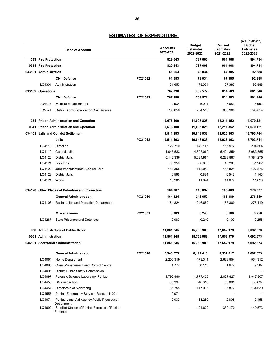|      |                       | <b>Head of Account</b>                                                                                     |         | <b>Accounts</b><br>2020-2021 | <b>Budget</b><br><b>Estimates</b><br>2021-2022 | <b>Revised</b><br><b>Estimates</b><br>2021-2022 | (Rs. in million)<br><b>Budget</b><br><b>Estimates</b><br>2022-2023 |
|------|-----------------------|------------------------------------------------------------------------------------------------------------|---------|------------------------------|------------------------------------------------|-------------------------------------------------|--------------------------------------------------------------------|
|      | 033 Fire Protection   |                                                                                                            |         | 829.643                      | 787.606                                        | 901.968                                         | 894.734                                                            |
|      | 0331 Fire Protection  |                                                                                                            |         | 829.643                      | 787.606                                        | 901.968                                         | 894.734                                                            |
|      | 033101 Administration |                                                                                                            |         | 61.653                       | 78.034                                         | 67.385                                          | 92.888                                                             |
|      |                       | <b>Civil Defence</b>                                                                                       | PC21032 | 61.653                       | 78.034                                         | 67.385                                          | 92.888                                                             |
|      | LQ4301                | Administration                                                                                             |         | 61.653                       | 78.034                                         | 67.385                                          | 92.888                                                             |
|      | 033102 Operations     |                                                                                                            |         | 767.990                      | 709.572                                        | 834.583                                         | 801.846                                                            |
|      |                       | <b>Civil Defence</b>                                                                                       | PC21032 | 767.990                      | 709.572                                        | 834.583                                         | 801.846                                                            |
|      | LQ4302                | <b>Medical Establishment</b>                                                                               |         | 2.934                        | 5.014                                          | 3.683                                           | 5.992                                                              |
|      | LQ5371                | District Administration for Civil Defence                                                                  |         | 765.056                      | 704.558                                        | 830.900                                         | 795.854                                                            |
|      |                       | 034 Prison Administration and Operation                                                                    |         | 9,676.100                    | 11,095.825                                     | 12,211.852                                      | 14,070.121                                                         |
| 0341 |                       | <b>Prison Administration and Operation</b>                                                                 |         | 9,676.100                    | 11,095.825                                     | 12,211.852                                      | 14,070.121                                                         |
|      |                       | 034101 Jails and Convict Settlement                                                                        |         | 9,511.193                    | 10,848.933                                     | 12,026.363                                      | 13,793.744                                                         |
|      |                       | Jails                                                                                                      | PC21012 | 9,511.193                    | 10,848.933                                     | 12,026.363                                      | 13,793.744                                                         |
|      | LQ4118                | Direction                                                                                                  |         | 122.710                      | 142.145                                        | 155.972                                         | 204.504                                                            |
|      | LQ4119                | <b>Central Jails</b>                                                                                       |         | 4,045.583                    | 4,895.060                                      | 5,424.859                                       | 5,983.355                                                          |
|      | LQ4120                | <b>District Jails</b>                                                                                      |         | 5,142.336                    | 5,624.964                                      | 6,233.887                                       | 7,384.275                                                          |
|      | LQ4121                | Lock Ups                                                                                                   |         | 38.358                       | 60.863                                         | 45.203                                          | 81.262                                                             |
|      | LQ4122                | Jails (manufactures) Central Jails                                                                         |         | 151.355                      | 113.943                                        | 154.821                                         | 127.575                                                            |
|      | LQ4123                | <b>District Jails</b>                                                                                      |         | 0.566                        | 0.884                                          | 0.547                                           | 1.145                                                              |
|      | LQ4124                | Works                                                                                                      |         | 10.285                       | 11.074                                         | 11.074                                          | 11.628                                                             |
|      |                       | 034120 Other Places of Detention and Correction                                                            |         | 164.907                      | 246.892                                        | 185.489                                         | 276.377                                                            |
|      |                       | <b>General Administration</b>                                                                              | PC21010 | 164.824                      | 246.652                                        | 185.389                                         | 276.119                                                            |
|      | LQ4103                | Reclamation and Probation Department                                                                       |         | 164.824                      | 246.652                                        | 185.389                                         | 276.119                                                            |
|      |                       | <b>Miscellaneous</b>                                                                                       | PC21031 | 0.083                        | 0.240                                          | 0.100                                           | 0.258                                                              |
|      | LQ4287                | <b>State Prisoners and Detenues</b>                                                                        |         | 0.083                        | 0.240                                          | 0.100                                           | 0.258                                                              |
| 036  |                       | <b>Administration of Public Order</b>                                                                      |         | 14,861.245                   | 15,768.989                                     | 17,652.979                                      | 7,092.673                                                          |
|      | 0361 Administration   |                                                                                                            |         | 14,861.245                   | 15,768.989                                     | 17,652.979                                      | 7,092.673                                                          |
|      |                       | 036101 Secretariat / Administration                                                                        |         | 14,861.245                   | 15,768.989                                     | 17,652.979                                      | 7,092.673                                                          |
|      |                       | <b>General Administration</b>                                                                              | PC21010 | 6,948.773                    | 6,197.413                                      | 8,557.617                                       | 7,092.673                                                          |
|      | LQ4064                | Home Department                                                                                            |         | 2,206.319                    | 473.311                                        | 2,633.954                                       | 564.312                                                            |
|      | LQ4095                | <b>Crisis Management and Control Centre</b>                                                                |         | 1.777                        | 8.113                                          | 1.679                                           | 9.587                                                              |
|      | LQ4096                | District Public Safety Commission                                                                          |         |                              |                                                |                                                 |                                                                    |
|      | LQ4097                | Forensic Science Laboratory Punjab                                                                         |         | 1,792.990                    | 1,777.425                                      | 2,027.827                                       | 1,947.807                                                          |
|      | LQ4456                | DG (Inspection)                                                                                            |         | 30.397                       | 48.616                                         | 36.091                                          | 53.637                                                             |
|      | LQ4457                | Directorate of Monitoring                                                                                  |         | 86.755                       | 117.006                                        | 86.877                                          | 134.639                                                            |
|      | LQ4557                | Punjab Emergency Service (Rescue 1122)                                                                     |         | 0.071                        |                                                |                                                 |                                                                    |
|      | LQ4674<br>LQ4692      | Punjab Legal Aid Agency Public Prosecution<br>Department<br>Satellite Station of Punjab Forensic of Punjab |         | 2.037                        | 38.280<br>424.602                              | 2.808<br>350.170                                | 2.156<br>440.573                                                   |
|      |                       | Forensic                                                                                                   |         |                              |                                                |                                                 |                                                                    |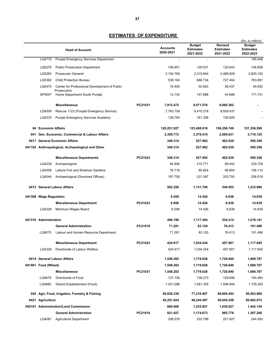|      |                        |                                                  |         |                              |                                                |                                                 | (Rs. in million)                        |
|------|------------------------|--------------------------------------------------|---------|------------------------------|------------------------------------------------|-------------------------------------------------|-----------------------------------------|
|      |                        | <b>Head of Account</b>                           |         | <b>Accounts</b><br>2020-2021 | <b>Budget</b><br><b>Estimates</b><br>2021-2022 | <b>Revised</b><br><b>Estimates</b><br>2021-2022 | Budget<br><b>Estimates</b><br>2022-2023 |
|      | LQ4716                 | Punjab Emergency Services Department             |         | $\blacksquare$               | $\sim$                                         | $\blacksquare$                                  | 185.448                                 |
|      | LQ5276                 | <b>Public Prosecution Department</b>             |         | 106.951                      | 129.531                                        | 120.643                                         | 148.808                                 |
|      | LQ5283                 | <b>Prosecutor General</b>                        |         | 2,154.769                    | 2,315.844                                      | 2,488.829                                       | 2,600.152                               |
|      | LQ5362                 | <b>Child Protection Bureau</b>                   |         | 538.164                      | 666.734                                        | 727.404                                         | 783.891                                 |
|      | LQ5470                 | Center for Professional Development of Public    |         | 16.409                       | 50.063                                         | 36.437                                          | 49.932                                  |
|      | SP4007                 | Prosecutors<br>Home Department South Punjab      |         | 12.134                       | 147.888                                        | 44.898                                          | 171.731                                 |
|      |                        | <b>Miscellaneous</b>                             | PC21031 | 7,912.472                    | 9,571.576                                      | 9,095.362                                       |                                         |
|      | LQ4509                 | Rescue 1122 (Punjab Emergency Service)           |         | 7,783.708                    | 9,410.218                                      | 8,939.437                                       |                                         |
|      | LQ4333                 | Punjab Emergency Services Academy                |         | 128.764                      | 161.358                                        | 155.925                                         |                                         |
|      | 04 Economic Affairs    |                                                  |         | 120,251.927                  | 123,408.018                                    | 156,256.749                                     | 151,356.598                             |
| 041  |                        | Gen. Economic, Commercial & Labour Affairs       |         | 2,399.772                    | 3,379.410                                      | 2,669.631                                       | 3,719.125                               |
| 0411 |                        | <b>General Economic Affairs</b>                  |         | 349.314                      | 527.992                                        | 402.039                                         | 595.358                                 |
|      |                        | 041102 Anthropological, Archaeological and Other |         | 349.314                      | 527.992                                        | 402.039                                         | 595.358                                 |
|      |                        | <b>Miscellaneous Departments</b>                 | PC21023 | 349.314                      | 527.992                                        | 402.039                                         | 595.358                                 |
|      | LQ4239                 | Archaeological                                   |         | 84.846                       | 210.771                                        | 99.442                                          | 230.729                                 |
|      | LQ4358                 | Lahore Fort and Shalimar Gardens                 |         | 76.718                       | 85.824                                         | 98.804                                          | 106.110                                 |
|      | LQ4544                 | Archaeological (Devolved Offices)                |         | 187.750                      | 231.397                                        | 203.793                                         | 258.519                                 |
|      |                        | 0413 General Labour Affairs                      |         | 502.256                      | 1,131.790                                      | 540.952                                         | 1,233.980                               |
|      | 041308 Wage Regulation |                                                  |         | 6.058                        | 14.426                                         | 6.638                                           | 14.839                                  |
|      |                        | <b>Miscellaneous Department</b>                  | PC21023 | 6.058                        | 14.426                                         | 6.638                                           | 14.839                                  |
|      | LQ4229                 | Minimum Wages Board                              |         | 6.058                        | 14.426                                         | 6.638                                           | 14.839                                  |
|      | 041310 Administration  |                                                  |         | 496.198                      | 1.117.364                                      | 534.314                                         | 1.219.141                               |
|      |                        | <b>General Administration</b>                    | PC21010 | 71.281                       | 83.120                                         | 76.413                                          | 101.496                                 |
|      | LQ4075                 | Labour and Human Resource Department             |         | 71.281                       | 83.120                                         | 76.413                                          | 101.496                                 |
|      |                        | <b>Miscellaneous Department</b>                  | PC21023 | 424.917                      | 1,034.244                                      | 457.901                                         | 1,117.645                               |
|      | LQ4228                 | Directorate of Labour Welfare                    |         | 424.917                      | 1,034.244                                      | 457.901                                         | 1,117.645                               |
|      |                        | 0414 General Labour Affairs                      |         | 1,548.202                    | 1,719.628                                      | 1,726.640                                       | 1,889.787                               |
|      | 041401 Food (Wheat)    |                                                  |         | 1,548.202                    | 1,719.628                                      | 1,726.640                                       | 1,889.787                               |
|      |                        | <b>Miscellaneous</b>                             | PC21031 | 1,548.202                    | 1,719.628                                      | 1,726.640                                       | 1,889.787                               |
|      | LQ4679                 | Directorate of Food                              |         | 127.106                      | 138.273                                        | 129.696                                         | 154.494                                 |
|      | LQ4680                 | District Establishment (Food)                    |         | 1,421.096                    | 1,581.355                                      | 1,596.944                                       | 1,735.293                               |
|      |                        | 042 Agri, Food, Irrigation, Forestry & Fishing   |         | 69,836.338                   | 77,216.807                                     | 99,865.493                                      | 99,503.960                              |
|      | 0421 Agriculture       |                                                  |         | 45,251.024                   | 48,244.497                                     | 50,645.258                                      | 60,892.072                              |
|      |                        | 042101 Administration/Land Commission            |         | 866.666                      | 1,235.801                                      | 1,036.627                                       | 1,443.154                               |
|      |                        | <b>General Administration</b>                    | PC21010 | 821.827                      | 1,174.673                                      | 985.778                                         | 1,367.200                               |
|      | LQ4081                 | <b>Agriculture Department</b>                    |         | 208.578                      | 233.799                                        | 201.927                                         | 244.593                                 |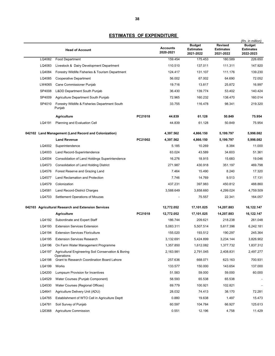|        | <b>Head of Account</b>                                            |         | <b>Accounts</b><br>2020-2021 | <b>Budget</b><br><b>Estimates</b><br>2021-2022 | <b>Revised</b><br><b>Estimates</b><br>2021-2022 | (Rs. in million)<br><b>Budget</b><br><b>Estimates</b><br>2022-2023 |
|--------|-------------------------------------------------------------------|---------|------------------------------|------------------------------------------------|-------------------------------------------------|--------------------------------------------------------------------|
| LQ4082 | <b>Food Department</b>                                            |         | 159.454                      | 175.453                                        | 180.589                                         | 226.650                                                            |
| LQ4083 | Livestock & Dairy Development Department                          |         | 110.510                      | 137.011                                        | 111.311                                         | 147.920                                                            |
| LQ4084 | Forestry Wildlife Fisheries & Tourism Department                  |         | 124.417                      | 131.107                                        | 111.176                                         | 139.230                                                            |
| LQ4085 | Cooperative Department                                            |         | 56.002                       | 67.002                                         | 64.690                                          | 72.052                                                             |
| LW4065 | <b>Cane Commissioner Punjab</b>                                   |         | 19.716                       | 13.817                                         | 25.872                                          | 16.997                                                             |
| SP4008 | <b>Lⅅ Department South Punjab</b>                                 |         | 36.430                       | 139.774                                        | 53.402                                          | 140.424                                                            |
| SP4009 | Agriculture Department South Punjab                               |         | 72.965                       | 160.232                                        | 138.470                                         | 160.014                                                            |
| SP4010 | Forestry Wildlife & Fisheries Department South<br>Punjab          |         | 33.755                       | 116.478                                        | 98.341                                          | 219.320                                                            |
|        | <b>Agriculture</b>                                                | PC21018 | 44.839                       | 61.128                                         | 50.849                                          | 75.954                                                             |
| LQ4191 | <b>Planning and Evaluation Cell</b>                               |         | 44.839                       | 61.128                                         | 50.849                                          | 75.954                                                             |
|        | 042102 Land Management (Land Record and Colonization)             |         | 4,397.562                    | 4,866.150                                      | 5,199.797                                       | 5,998.082                                                          |
|        | <b>Land Revenue</b>                                               | PC21002 | 4,397.562                    | 4,866.150                                      | 5,199.797                                       | 5,998.082                                                          |
| LQ4002 | Superintendence                                                   |         | 5.185                        | 10.269                                         | 8.384                                           | 11.000                                                             |
| LQ4003 | Land Record-Superintendence                                       |         | 63.024                       | 43.589                                         | 34.603                                          | 51.361                                                             |
| LQ4004 | Consolidation of Land Holdings Superintendence                    |         | 16.276                       | 18.915                                         | 15.683                                          | 19.046                                                             |
| LQ4573 | <b>Consolidation of Land Holding District</b>                     |         | 271.987                      | 430.918                                        | 351.197                                         | 469.798                                                            |
| LQ4576 | Forest Reserve and Grazing Land                                   |         | 7.464                        | 15.490                                         | 8.240                                           | 17.320                                                             |
| LQ4577 | Land Reclamation and Protection                                   |         | 7.746                        | 14.769                                         | 9.513                                           | 17.131                                                             |
| LQ4579 | Colonization                                                      |         | 437.231                      | 397.983                                        | 450.812                                         | 488.860                                                            |
| LQ4581 | Land Record-District Charges                                      |         | 3,588.649                    | 3,858.660                                      | 4,299.024                                       | 4,759.509                                                          |
| LQ4703 | Settlement Operations of Mouzas                                   |         |                              | 75.557                                         | 22.341                                          | 164.057                                                            |
|        | 042103 Agricultural Research and Extension Services               |         | 12,772.052                   | 17,101.025                                     | 14,207.883                                      | 16,122.147                                                         |
|        | <b>Agriculture</b>                                                | PC21018 | 12,772.052                   | 17,101.025                                     | 14,207.883                                      | 16,122.147                                                         |
| LQ4192 | Subordinate and Expert Staff                                      |         | 186.744                      | 209.621                                        | 218.238                                         | 261.048                                                            |
| LQ4193 | <b>Extension Services Extension</b>                               |         | 5,083.311                    | 5,507.514                                      | 5,617.396                                       | 6,242.181                                                          |
| LQ4194 | <b>Extension Services Floriculture</b>                            |         | 155.020                      | 193.512                                        | 190.297                                         | 245.364                                                            |
| LQ4195 | <b>Extension Services Research</b>                                |         | 3,132.691                    | 5,424.899                                      | 3,234.144                                       | 3,826.902                                                          |
| LQ4196 | On Farm Water Management Programme                                |         | 1,357.850                    | 1,612.082                                      | 1,377.732                                       | 1,837.312                                                          |
| LQ4197 | Agricultural Engineering Soil Conservation & Boring<br>Operations |         | 2,163.981                    | 2,791.045                                      | 2,408.831                                       | 2,497.277                                                          |
| LQ4198 | Grant to Research Coordination Board Lahore                       |         | 257.636                      | 668.071                                        | 623.163                                         | 700.931                                                            |
| LQ4199 | Works                                                             |         | 133.577                      | 150.000                                        | 143.654                                         | 137.000                                                            |
| LQ4200 | Lumpsum Provision for Incentives                                  |         | 51.583                       | 59.000                                         | 59.000                                          | 60.000                                                             |
| LQ4529 | Water Courses (Punjab Component)                                  |         | 58.593                       | 65.538                                         | 65.538                                          |                                                                    |
| LQ4530 | Water Courses (Regional Offices)                                  |         | 69.779                       | 100.921                                        | 102.821                                         |                                                                    |
| LQ4641 | Agriculture Delivery Unit (ADU)                                   |         | 28.032                       | 74.413                                         | 38.170                                          | 72.281                                                             |
| LQ4765 | Establishment of WTO Cell in Agriculture Deptt                    |         | 0.880                        | 19.638                                         | 1.497                                           | 15.473                                                             |
| LQ4781 | Soil Survey of Punjab                                             |         | 60.597                       | 104.784                                        | 66.927                                          | 125.613                                                            |
| LQ5368 | Agriculture Commission                                            |         | 0.551                        | 12.196                                         | 4.758                                           | 11.429                                                             |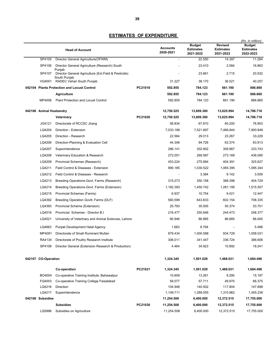|                         | <b>Head of Account</b>                                                          |         | <b>Accounts</b><br>2020-2021 | <b>Budget</b><br><b>Estimates</b><br>2021-2022 | <b>Revised</b><br><b>Estimates</b><br>2021-2022 | (Rs. in million)<br><b>Budget</b><br><b>Estimates</b><br>2022-2023 |
|-------------------------|---------------------------------------------------------------------------------|---------|------------------------------|------------------------------------------------|-------------------------------------------------|--------------------------------------------------------------------|
| SP4105                  | Director General Agriculture(OFWM)                                              |         | $\blacksquare$               | 22.550                                         | 14.397                                          | 11.284                                                             |
| SP4106                  | Director General Agriculture (Research) South                                   |         |                              | 23.410                                         | 2.084                                           | 16.863                                                             |
| SP4107                  | Punjab<br>Director General Agriculture (Ext. Field & Pesticide)<br>South Punjab |         |                              | 23.661                                         | 2.715                                           | 20.932                                                             |
|                         | VQ4001 RADEC Vehari South Punjab                                                |         | 31.227                       | 38.170                                         | 36.521                                          | 40.257                                                             |
|                         | 042104 Plants Protection and Locust Control                                     | PC21018 | 592.855                      | 784.123                                        | 661.190                                         | 886.860                                                            |
|                         | <b>Agriculture</b>                                                              |         | 592.855                      | 784.123                                        | 661.190                                         | 886.860                                                            |
| MP4006                  | <b>Plant Protection and Locust Control</b>                                      |         | 592.855                      | 784.123                                        | 661.190                                         | 886.860                                                            |
| 042106 Animal Husbandry |                                                                                 |         | 12,750.525                   | 13,809.300                                     | 13,625.994                                      | 14,786.718                                                         |
|                         | Veterinary                                                                      | PC21020 | 12,750.525                   | 13,809.300                                     | 13,625.994                                      | 14,786.718                                                         |
| JG4121                  | Directorate of RCCSC Jhang                                                      |         | 58.834                       | 67.810                                         | 65.200                                          | 76.903                                                             |
| LQ4204                  | Direction - Extension                                                           |         | 7,033.188                    | 7,521.897                                      | 7,466.844                                       | 7,900.848                                                          |
| LQ4205                  | Direction - Research                                                            |         | 22.564                       | 29.013                                         | 23.267                                          | 33.229                                                             |
| LQ4206                  | Direction-Planning & Evaluation Cell                                            |         | 44.348                       | 94.726                                         | 63.374                                          | 83.913                                                             |
| LQ4207                  | Superintendence                                                                 |         | 286.141                      | 302.902                                        | 309.967                                         | 333.743                                                            |
| LQ4208                  | Veterinary Education & Research                                                 |         | 272.051                      | 269.587                                        | 273.169                                         | 436.090                                                            |
| LQ4209                  | Provincial Schemes (Research)                                                   |         | 453.224                      | 275.684                                        | 404.391                                         | 325.627                                                            |
| LQ4211                  | Field Control & Diseases - Extension                                            |         | 990.185                      | 1,030.522                                      | 1.065.395                                       | 1.095.344                                                          |
| LQ4212                  | Field Control & Diseases - Research                                             |         |                              | 3.384                                          | 9.142                                           | 3.509                                                              |
| LQ4213                  | Breeding Operations-Govt. Farms (Research)                                      |         | 315.273                      | 350.158                                        | 388.398                                         | 404.729                                                            |
| LQ4214                  | Breeding Operations-Govt .Farms (Extension)                                     |         | 1,182.393                    | 1,450.742                                      | 1,281.195                                       | 1,515.557                                                          |
| LQ4215                  | Provincial Schemes (Farms)                                                      |         | 6.937                        | 10.754                                         | 9.421                                           | 12.447                                                             |
| LQ4392                  | Breeding Operation Govtt- Farms (DLF)                                           |         | 560.599                      | 643.833                                        | 602.154                                         | 708.335                                                            |
| LQ4393                  | Provincial Scheme (Extension)                                                   |         | 25.793                       | 35.005                                         | 50.374                                          | 53.701                                                             |
| LQ4516                  | Provincial Schemes - Director B.I.                                              |         | 216.477                      | 250.646                                        | 244.473                                         | 248.377                                                            |
| LQ4521                  | University of Veterinary and Animal Sciences, Lahore                            |         | 90.946                       | 86.885                                         | 86.885                                          | 86.000                                                             |
| LQ4663                  | Punjab Development Halal Agency                                                 |         | 1.663                        | 8.794                                          |                                                 | 5.488                                                              |
| MP4091                  | Directorate of Small Ruminant Multan                                            |         | 879.434                      | 1,000.588                                      | 934.729                                         | 1,058.031                                                          |
| RA4134                  | Directorate of Poultry Research Institute                                       |         | 306.011                      | 341.447                                        | 336.724                                         | 386.606                                                            |
| SP4108                  | Director General (Extension Research & Production)                              |         | 4.464                        | 34.923                                         | 10.892                                          | 18.241                                                             |
| 042107 CO-Operation     |                                                                                 |         | 1,324.345                    | 1,501.029                                      | 1,488.031                                       | 1,684.496                                                          |
|                         | Co-operation                                                                    | PC21021 | 1,324.345                    | 1,501.029                                      | 1,488.031                                       | 1,684.496                                                          |
| BO4004                  | Co-operative Training Institute, Bahawalpur                                     |         | 10.609                       | 13.261                                         | 9.295                                           | 15.197                                                             |
| FQ4003                  | Co-operative Training College Faisalabad                                        |         | 59.077                       | 57.711                                         | 49.970                                          | 66.375                                                             |
| LQ4216                  | Direction                                                                       |         | 104.948                      | 140.502                                        | 117.804                                         | 147.688                                                            |
| LQ4217                  | Superintendence                                                                 |         | 1,149.711                    | 1,289.555                                      | 1,310.962                                       | 1,455.236                                                          |
| 042108 Subsidies        |                                                                                 |         | 11,254.508                   | 6,400.000                                      | 12,372.515                                      | 17,755.000                                                         |
|                         | <b>Subsidies</b>                                                                | PC21030 | 11,254.508                   | 6,400.000                                      | 12,372.515                                      | 17,755.000                                                         |
| LQ5996                  | Subsidies on Agriculture                                                        |         | 11,254.508                   | 6,400.000                                      | 12,372.515                                      | 17,755.000                                                         |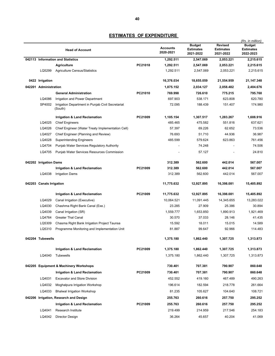|                          | <b>Head of Account</b>                                       |         | <b>Accounts</b><br>2020-2021 | <b>Budget</b><br><b>Estimates</b><br>2021-2022 | <b>Revised</b><br><b>Estimates</b><br>2021-2022 | (Rs. in million)<br><b>Budget</b><br><b>Estimates</b><br>2022-2023 |
|--------------------------|--------------------------------------------------------------|---------|------------------------------|------------------------------------------------|-------------------------------------------------|--------------------------------------------------------------------|
|                          | 042113 Information and Statistics                            |         | 1,292.511                    | 2,547.069                                      | 2,053.221                                       | 2,215.615                                                          |
|                          | <b>Agriculture</b>                                           | PC21018 | 1,292.511                    | 2,547.069                                      | 2,053.221                                       | 2,215.615                                                          |
| LQ5299                   | <b>Agriculture Census/Statistics</b>                         |         | 1,292.511                    | 2,547.069                                      | 2,053.221                                       | 2,215.615                                                          |
| 0422 Irrigation          |                                                              |         | 16,376.034                   | 18,655.059                                     | 21,554.959                                      | 21,147.348                                                         |
| 042201 Administration    |                                                              |         | 1,875.152                    | 2,034.127                                      | 2,058.482                                       | 2,404.676                                                          |
|                          | <b>General Administration</b>                                | PC21010 | 769.998                      | 726.610                                        | 775.215                                         | 795.760                                                            |
| LQ4086                   | Irrigation and Power Department                              |         | 697.903                      | 538.171                                        | 623.808                                         | 620.780                                                            |
| SP4002                   | Irrigation Department in Punjab Civil Secretariat<br>(South) |         | 72.095                       | 188.439                                        | 151.407                                         | 174.980                                                            |
|                          | <b>Irrigation &amp; Land Reclamation</b>                     | PC21009 | 1,105.154                    | 1,307.517                                      | 1,283.267                                       | 1,608.916                                                          |
| LQ4025                   | <b>Chief Engineers</b>                                       |         | 485.465                      | 475.582                                        | 551.816                                         | 637.621                                                            |
| LQ4026                   | Chief Engineer (Water Treaty Implementation Cell)            |         | 57.397                       | 69.226                                         | 62.652                                          | 73.536                                                             |
| LQ4027                   | Chief Engineer (Planning and Review)                         |         | 76.693                       | 51.710                                         | 44.936                                          | 36.987                                                             |
| LQ4028                   | <b>Superintending Engineers</b>                              |         | 485.599                      | 579.624                                        | 623.863                                         | 761.456                                                            |
| LQ4704                   | Punjab Water Services Regulatory Authority                   |         |                              | 74.248                                         |                                                 | 74.506                                                             |
| LQ4705                   | <b>Punjab Water Services Resources Commission</b>            |         |                              | 57.127                                         |                                                 | 24.810                                                             |
| 042202 Irrigation Dams   |                                                              |         | 312.389                      | 562.600                                        | 442.014                                         | 567.007                                                            |
|                          | <b>Irrigation &amp; Land Reclamation</b>                     | PC21009 | 312.389                      | 562.600                                        | 442.014                                         | 567.007                                                            |
| LQ4038                   | <b>Irrigation Dams</b>                                       |         | 312.389                      | 562.600                                        | 442.014                                         | 567.007                                                            |
| 042203 Canals Irrigation |                                                              |         | 11,775.632                   | 12,927.895                                     | 16,398.081                                      | 15,405.892                                                         |
|                          | <b>Irrigation &amp; Land Reclamation</b>                     | PC21009 | 11,775.632                   | 12,927.895                                     | 16,398.081                                      | 15,405.892                                                         |
| LQ4029                   | Canal Irrigation (Executive)                                 |         | 10,064.521                   | 11,091.445                                     | 14,345.655                                      | 13,283.022                                                         |
| LQ4030                   | Chashma Right Bank Canal (Exe.)                              |         | 23.285                       | 27.909                                         | 25.386                                          | 30.894                                                             |
| LQ4039                   | Canal Irrigation (SR)                                        |         | 1,559.777                    | 1,653.850                                      | 1,890.913                                       | 1,921.469                                                          |
| LQ4764                   | <b>Greater Thal Canal</b>                                    |         | 30.570                       | 37.033                                         | 28.146                                          | 41.435                                                             |
| LQ5309                   | Chasma Right Bank Irrigation Project Taunsa                  |         | 15.592                       | 18.011                                         | 15.015                                          | 14.589                                                             |
| LQ5310                   | Programme Monitoring and Implementation Unit                 |         | 81.887                       | 99.647                                         | 92.966                                          | 114.483                                                            |
| 042204 Tubewells         |                                                              |         | 1,375.180                    | 1,862.440                                      | 1,307.725                                       | 1,313.873                                                          |
|                          | <b>Irrigation &amp; Land Reclamation</b>                     | PC21009 | 1,375.180                    | 1,862.440                                      | 1,307.725                                       | 1,313.873                                                          |
| LQ4040                   | Tubewells                                                    |         | 1,375.180                    | 1,862.440                                      | 1,307.725                                       | 1,313.873                                                          |
|                          | 042205 Equipment & Machinery Workshops                       |         | 730.401                      | 707.381                                        | 790.907                                         | 860.648                                                            |
|                          | <b>Irrigation &amp; Land Reclamation</b>                     | PC21009 | 730.401                      | 707.381                                        | 790.907                                         | 860.648                                                            |
| LQ4031                   | <b>Excavator and Store Division</b>                          |         | 452.552                      | 419.160                                        | 467.489                                         | 490.263                                                            |
| LQ4032                   | Moghalpura Irrigation Workshop                               |         | 196.614                      | 182.594                                        | 218.778                                         | 261.664                                                            |
| LQ4033                   | <b>Bhalwal Irrigation Workshop</b>                           |         | 81.235                       | 105.627                                        | 104.640                                         | 108.721                                                            |
|                          | 042206 Irrigation, Research and Design                       |         | 255.763                      | 260.616                                        | 257.750                                         | 295.252                                                            |
|                          | <b>Irrigation &amp; Land Reclamation</b>                     | PC21009 | 255.763                      | 260.616                                        | 257.750                                         | 295.252                                                            |
| LQ4041                   | Research Institute                                           |         | 219.499                      | 214.959                                        | 217.546                                         | 254.183                                                            |
|                          |                                                              |         |                              |                                                |                                                 |                                                                    |
| LQ4042                   | Director Design                                              |         | 36.264                       | 45.657                                         | 40.204                                          | 41.069                                                             |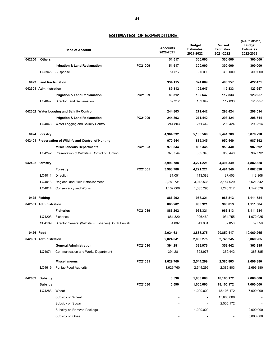|        |                       |                                                        |         |                              | <b>Budget</b>                 | <b>Revised</b>                | (Rs. in million)<br><b>Budget</b> |
|--------|-----------------------|--------------------------------------------------------|---------|------------------------------|-------------------------------|-------------------------------|-----------------------------------|
|        |                       | <b>Head of Account</b>                                 |         | <b>Accounts</b><br>2020-2021 | <b>Estimates</b><br>2021-2022 | <b>Estimates</b><br>2021-2022 | <b>Estimates</b><br>2022-2023     |
| 042250 | <b>Others</b>         |                                                        |         | 51.517                       | 300.000                       | 300.000                       | 300.000                           |
|        |                       | Irrigation & Land Reclamation                          | PC21009 | 51.517                       | 300.000                       | 300.000                       | 300.000                           |
|        | LQ5945                | Suspense                                               |         | 51.517                       | 300.000                       | 300.000                       | 300.000                           |
|        | 0423 Land Reclamation |                                                        |         | 334.115                      | 374.089                       | 406.257                       | 422.471                           |
|        | 042301 Administration |                                                        |         | 89.312                       | 102.647                       | 112.833                       | 123.957                           |
|        |                       | <b>Irrigation &amp; Land Reclamation</b>               | PC21009 | 89.312                       | 102.647                       | 112.833                       | 123.957                           |
|        | LQ4047                | <b>Director Land Reclamation</b>                       |         | 89.312                       | 102.647                       | 112.833                       | 123.957                           |
|        |                       | 042302 Water Logging and Salinity Control              |         | 244.803                      | 271.442                       | 293.424                       | 298.514                           |
|        |                       | <b>Irrigation &amp; Land Reclamation</b>               | PC21009 | 244.803                      | 271.442                       | 293.424                       | 298.514                           |
|        | LQ4048                | Water Logging and Salinity Control                     |         | 244.803                      | 271.442                       | 293.424                       | 298.514                           |
|        | 0424 Forestry         |                                                        |         | 4,964.332                    | 5,106.566                     | 5,441.789                     | 5,870.220                         |
|        |                       | 042401 Preservation of Wildlife and Control of Hunting |         | 970.544                      | 885.345                       | 950.440                       | 987.392                           |
|        |                       | <b>Miscellaneous Departments</b>                       | PC21023 | 970.544                      | 885.345                       | 950.440                       | 987.392                           |
|        | LQ4242                | Preservation of Wildlife & Control of Hunting          |         | 970.544                      | 885.345                       | 950.440                       | 987.392                           |
|        | 042402 Forestry       |                                                        |         | 3,993.788                    | 4,221.221                     | 4,491.349                     | 4,882.828                         |
|        |                       | Forestry                                               | PC21005 | 3.993.788                    | 4,221.221                     | 4,491.349                     | 4,882.828                         |
|        | LQ4011                | <b>Direction</b>                                       |         | 81.051                       | 113.388                       | 87.403                        | 113.908                           |
|        | LQ4013                | Regional and Field Establishment                       |         | 2,780.731                    | 3,072.538                     | 3,157.029                     | 3,621.342                         |
|        | LQ4014                | <b>Conservancy and Works</b>                           |         | 1,132.006                    | 1,035.295                     | 1,246.917                     | 1,147.578                         |
|        | 0425 Fishing          |                                                        |         | 886.202                      | 968.321                       | 966.813                       | 1,111.584                         |
|        | 042501 Administration |                                                        |         | 886.202                      | 968.321                       | 966.813                       | 1,111.584                         |
|        |                       | <b>Fisheries</b>                                       | PC21019 | 886.202                      | 968.321                       | 966.813                       | 1,111.584                         |
|        | LQ4203                | Fisheries                                              |         | 881.320                      | 926.460                       | 934.755                       | 1,072.025                         |
|        | SP4109                | Director General (Wildlife & Fisheries) South Punjab   |         | 4.882                        | 41.861                        | 32.058                        | 39.559                            |
|        | 0426 Food             |                                                        |         | 2,024.631                    | 3,868.275                     | 20,850.417                    | 10,060.265                        |
|        | 042601 Administration |                                                        |         | 2.024.041                    | 2,868.275                     | 2,745.245                     | 3.060.265                         |
|        |                       | <b>General Administration</b>                          | PC21010 | 394.281                      | 323.976                       | 359.442                       | 363.385                           |
|        | LQ4071                | <b>Communication and Works Department</b>              |         | 394.281                      | 323.976                       | 359.442                       | 363.385                           |
|        |                       | <b>Miscellaneous</b>                                   | PC21031 | 1,629.760                    | 2,544.299                     | 2,385.803                     | 2,696.880                         |
|        | LQ4619                | Punjab Food Authority                                  |         | 1,629.760                    | 2,544.299                     | 2,385.803                     | 2,696.880                         |
| 042602 | Subsidy               |                                                        |         | 0.590                        | 1,000.000                     | 18,105.172                    | 7,000.000                         |
|        | Subsidy               |                                                        | PC21030 | 0.590                        | 1,000.000                     | 18,105.172                    | 7,000.000                         |
|        | LQ4283                | Wheat                                                  |         |                              | 1,000.000                     | 18,105.172                    | 7,000.000                         |
|        |                       | Subsidy on Wheat                                       |         | ٠                            | $\overline{\phantom{a}}$      | 15,600.000                    |                                   |
|        |                       | Subsidy on Sugar                                       |         |                              |                               | 2,505.172                     |                                   |
|        |                       | Subsidy on Ramzan Package                              |         |                              | 1,000.000                     |                               | 2,000.000                         |
|        |                       | Subsidy on Ghee                                        |         |                              |                               |                               | 5,000.000                         |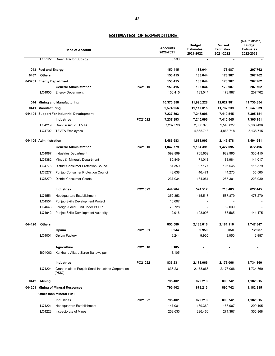|        |                          |                                                               |         |                              |                                                |                                                 | (Rs. in million)                               |
|--------|--------------------------|---------------------------------------------------------------|---------|------------------------------|------------------------------------------------|-------------------------------------------------|------------------------------------------------|
|        |                          | <b>Head of Account</b>                                        |         | <b>Accounts</b><br>2020-2021 | <b>Budget</b><br><b>Estimates</b><br>2021-2022 | <b>Revised</b><br><b>Estimates</b><br>2021-2022 | <b>Budget</b><br><b>Estimates</b><br>2022-2023 |
|        | LQ5122                   | <b>Green Tractor Subsidy</b>                                  |         | 0.590                        | $\blacksquare$                                 | $\blacksquare$                                  |                                                |
|        |                          |                                                               |         |                              | 183.044                                        |                                                 |                                                |
|        | 043 Fuel and Energy      |                                                               |         | 150.415                      |                                                | 173.987                                         | 207.762                                        |
| 0437   | <b>Others</b>            |                                                               |         | 150.415                      | 183.044                                        | 173.987                                         | 207.762                                        |
|        | 043701 Energy Department |                                                               | PC21010 | 150.415                      | 183.044                                        | 173.987                                         | 207.762                                        |
|        | LQ4905                   | <b>General Administration</b><br><b>Energy Department</b>     |         | 150.415<br>150.415           | 183.044<br>183.044                             | 173.987<br>173.987                              | 207.762<br>207.762                             |
| 044    |                          | <b>Mining and Manufacturing</b>                               |         | 10,370.358                   | 11,996.228                                     | 12,627.981                                      | 11,730.854                                     |
| 0441   | Manufacturing            |                                                               |         | 9,574.956                    | 11,117.015                                     | 11,737.239                                      | 10,547.939                                     |
| 044101 |                          | <b>Support For Industrial Development</b>                     |         | 7,237.393                    | 7,245.096                                      | 7,410.545                                       | 7,305.151                                      |
|        |                          | <b>Industries</b>                                             | PC21022 | 7,237.393                    | 7,245.096                                      | 7,410.545                                       | 7,305.151                                      |
|        | LQ4219                   | Grant in Aid to TEVTA                                         |         | 7,237.393                    | 2,386.378                                      | 2,546.827                                       | 2,166.436                                      |
|        | LQ4702                   | <b>TEVTA Employees</b>                                        |         |                              | 4,858.718                                      | 4,863.718                                       | 5,138.715                                      |
|        | 044105 Administration    |                                                               |         | 1,486.983                    | 1,688.903                                      | 2,145.578                                       | 1,494.941                                      |
|        |                          | <b>General Administration</b>                                 | PC21010 | 1,042.779                    | 1,164.391                                      | 1,427.095                                       | 872.496                                        |
|        | LQ4087                   | <b>Industries Department</b>                                  |         | 599.899                      | 765.669                                        | 922.995                                         | 336.410                                        |
|        | LQ4382                   | Mines & Minerals Department                                   |         | 80.849                       | 71.013                                         | 88.984                                          | 141.017                                        |
|        | LQ4776                   | <b>District Consumer Protection Council</b>                   |         | 81.359                       | 97.177                                         | 105.545                                         | 115.579                                        |
|        | LQ5277                   | <b>Punjab Consumer Protection Council</b>                     |         | 43.638                       | 46.471                                         | 44.270                                          | 55.560                                         |
|        | LQ5279                   | <b>District Consumer Courts</b>                               |         | 237.034                      | 184.061                                        | 265.301                                         | 223.930                                        |
|        |                          | <b>Industries</b>                                             | PC21022 | 444.204                      | 524.512                                        | 718.483                                         | 622.445                                        |
|        | LQ4551                   | Headquarters Establishment                                    |         | 352.853                      | 415.517                                        | 587.879                                         | 478.270                                        |
|        | LQ4554                   | Punjab Skills Development Project                             |         | 10.607                       |                                                |                                                 |                                                |
|        | LQ4643                   | Foreign Aided Fund under PSDP                                 |         | 78.728                       | $\overline{a}$                                 | 62.039                                          |                                                |
|        | LQ4942                   | Punjab Skills Development Authority                           |         | 2.016                        | 108.995                                        | 68.565                                          | 144.175                                        |
| 044120 | <b>Others</b>            |                                                               |         | 850.580                      | 2,183.016                                      | 2,181.116                                       | 1,747.847                                      |
|        |                          | Opium                                                         | PC21001 | 6.244                        | 9.950                                          | 8.050                                           | 12.987                                         |
|        | LQ4001                   | Opium Factory                                                 |         | 6.244                        | 9.950                                          | 8.050                                           | 12.987                                         |
|        |                          | <b>Agriculture</b>                                            | PC21018 | 8.105                        |                                                |                                                 |                                                |
|        | BO4003                   | Karkhana Allat-e-Zaree Bahawalpur                             |         | 8.105                        |                                                |                                                 |                                                |
|        |                          | <b>Industries</b>                                             | PC21022 | 836.231                      | 2,173.066                                      | 2,173.066                                       | 1,734.860                                      |
|        | LQ4224                   | Grant-in-aid to Punjab Small Industries Corporation<br>(PSIC) |         | 836.231                      | 2,173.066                                      | 2,173.066                                       | 1,734.860                                      |
| 0442   | <b>Mining</b>            |                                                               |         | 795.402                      | 879.213                                        | 890.742                                         | 1,182.915                                      |
| 044201 |                          | <b>Mining of Mineral Resources</b>                            |         | 795.402                      | 879.213                                        | 890.742                                         | 1,182.915                                      |
|        |                          | <b>Other than Mineral Fuel</b>                                |         |                              |                                                |                                                 |                                                |
|        |                          | <b>Industries</b>                                             | PC21022 | 795.402                      | 879.213                                        | 890.742                                         | 1,182.915                                      |
|        | LQ4221                   | <b>Headquarters Establishment</b>                             |         | 147.081                      | 139.369                                        | 158.007                                         | 200.405                                        |
|        | LQ4223                   | Inspectorate of Mines                                         |         | 253.633                      | 296.466                                        | 271.387                                         | 356.868                                        |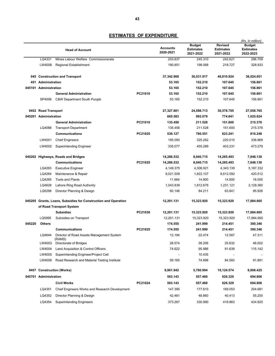|        |                       |                                                                |         |                              |                                                | <b>Revised</b>                | (Rs. in million)<br><b>Budget</b> |
|--------|-----------------------|----------------------------------------------------------------|---------|------------------------------|------------------------------------------------|-------------------------------|-----------------------------------|
|        |                       | <b>Head of Account</b>                                         |         | <b>Accounts</b><br>2020-2021 | <b>Budget</b><br><b>Estimates</b><br>2021-2022 | <b>Estimates</b><br>2021-2022 | <b>Estimates</b><br>2022-2023     |
|        | LQ4331                | Mines Labour Welfare Commissionerate                           |         | 203.837                      | 245.310                                        | 242.621                       | 296.709                           |
|        | LW4008                | Regional Establishment                                         |         | 190.851                      | 198.068                                        | 218.727                       | 328.933                           |
|        |                       | 045 Construction and Transport                                 |         | 37,342.908                   | 30,531.917                                     | 40,810.924                    | 36,024.051                        |
|        | 451 Administration    |                                                                |         | 53.165                       | 152.210                                        | 107.645                       | 156.861                           |
|        | 045101 Administration |                                                                |         | 53.165                       | 152.210                                        | 107.645                       | 156.861                           |
|        |                       | <b>General Administration</b>                                  | PC21010 | 53.165                       | 152.210                                        | 107.645                       | 156.861                           |
|        | SP4006                | C&W Department South Punjab                                    |         | 53.165                       | 152.210                                        | 107.645                       | 156.861                           |
|        | 0452 Road Transport   |                                                                |         | 27,327.801                   | 24,598.713                                     | 30,578.705                    | 27,058.765                        |
|        | 045201 Administration |                                                                |         | 665.583                      | 992.079                                        | 774.841                       | 1,025.624                         |
|        |                       | <b>General Administration</b>                                  | PC21010 | 135.456                      | 211.528                                        | 151.600                       | 215.376                           |
|        | LQ4088                | <b>Transport Department</b>                                    |         | 135.456                      | 211.528                                        | 151.600                       | 215.376                           |
|        |                       | <b>Communications</b>                                          | PC21025 | 530.127                      | 780.551                                        | 623.241                       | 810.248                           |
|        | LW4001                | <b>Chief Engineers</b>                                         |         | 195.050                      | 325.262                                        | 220.010                       | 336.969                           |
|        | LW4002                | <b>Superintending Engineer</b>                                 |         | 335.077                      | 455.289                                        | 403.231                       | 473.279                           |
|        |                       | 045202 Highways, Roads and Bridges                             |         | 14,286.532                   | 8,040.715                                      | 14,265.493                    | 7,848.130                         |
|        |                       | <b>Communications</b>                                          | PC21025 | 14,286.532                   | 8,040.715                                      | 14,265.493                    | 7,848.130                         |
|        | LQ4263                | <b>Executive Engineer</b>                                      |         | 4,149.375                    | 4,306.921                                      | 4,343.139                     | 5,187.332                         |
|        | LQ4264                | Maintenance & Repair                                           |         | 9,021.508                    | 1,822.107                                      | 8,612.592                     | 420.512                           |
|        | LQ4265                | <b>Tools and Plants</b>                                        |         | 11.664                       | 14.800                                         | 14.800                        | 16.000                            |
|        | LQ4628                | Lahore Ring Road Authority                                     |         | 1,043.839                    | 1,812.676                                      | 1,231.121                     | 2,128.360                         |
|        | LQ5298                | Director Planning & Design                                     |         | 60.146                       | 84.211                                         | 63.841                        | 95.926                            |
|        |                       | 045205 Grants, Loans, Subsidies for Construction and Operation |         | 12,201.131                   | 15,323.920                                     | 15,323.920                    | 17,884.665                        |
|        |                       | of Road Transport System                                       |         |                              |                                                |                               |                                   |
|        |                       | <b>Subsidies</b>                                               | PC21030 | 12,201.131                   | 15,323.920                                     | 15,323.920                    | 17,884.665                        |
|        | LQ5995                | Subsidies on Transport                                         |         | 12,201.131                   | 15,323.920                                     | 15,323.920                    | 17,884.665                        |
| 045220 | <b>Others</b>         |                                                                |         | 174.555                      | 241.999                                        | 214.451                       | 300.346                           |
|        |                       | <b>Communications</b>                                          | PC21025 | 174.555                      | 241.999                                        | 214.451                       | 300.346                           |
|        | LQ4644                | Director of Road Assets Management System<br>(RAMS)            |         | 12.194                       | 22.474                                         | 12.587                        | 47.311                            |
|        | LW4003                | Directorate of Bridges                                         |         | 28.574                       | 38.206                                         | 25.632                        | 46.002                            |
|        | LW4004                | Land Acquisition & Control Officers                            |         | 74.622                       | 95.986                                         | 91.639                        | 115.142                           |
|        | LW4005                | Superintending Engineer/Project Cell                           |         |                              | 10.435                                         |                               |                                   |
|        | LW4006                | Road Research and Material Testing Institute                   |         | 59.165                       | 74.898                                         | 84.593                        | 91.891                            |
|        |                       | 0457 Construction (Works)                                      |         | 9,961.942                    | 5,780.994                                      | 10,124.574                    | 8,808.425                         |
|        | 045701 Administration |                                                                |         | 563.143                      | 557.460                                        | 626.329                       | 694.806                           |
|        |                       | <b>Civil Works</b>                                             | PC21024 | 563.143                      | 557.460                                        | 626.329                       | 694.806                           |
|        | LQ4351                | <b>Chief Engineers Works and Research Development</b>          |         | 147.395                      | 177.610                                        | 169.053                       | 204.681                           |
|        | LQ4352                | Director Planning & Design                                     |         | 42.481                       | 48.860                                         | 40.413                        | 55.200                            |
|        | LQ4354                | <b>Superintending Engineers</b>                                |         | 373.267                      | 330.990                                        | 416.863                       | 434.925                           |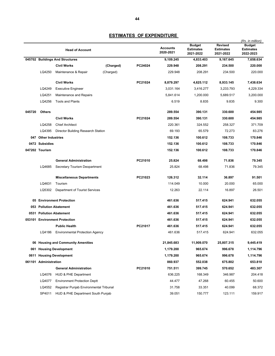|        |                       | <b>Head of Account</b>                  |           |         | <b>Accounts</b><br>2020-2021 | <b>Budget</b><br><b>Estimates</b><br>2021-2022 | <b>Revised</b><br><b>Estimates</b><br>2021-2022 | (Rs. in million)<br><b>Budget</b><br><b>Estimates</b><br>2022-2023 |
|--------|-----------------------|-----------------------------------------|-----------|---------|------------------------------|------------------------------------------------|-------------------------------------------------|--------------------------------------------------------------------|
|        |                       | 045702 Buildings And Structures         |           |         | 9,109.245                    | 4,833.403                                      | 9,167.645                                       | 7,658.634                                                          |
|        |                       | <b>Civil Works</b>                      | (Charged) | PC24024 | 229.948                      | 208.291                                        | 234.500                                         | 220.000                                                            |
|        | LQ4250                | Maintenance & Repair                    | (Charged) |         | 229.948                      | 208.291                                        | 234.500                                         | 220.000                                                            |
|        |                       | <b>Civil Works</b>                      |           | PC21024 | 8,879.297                    | 4,625.112                                      | 8,933.145                                       | 7,438.634                                                          |
|        | LQ4249                | <b>Executive Engineer</b>               |           |         | 3.031.164                    | 3,416.277                                      | 3,233.793                                       | 4,229.334                                                          |
|        | LQ4251                | Maintenance and Repairs                 |           |         | 5,841.614                    | 1.200.000                                      | 5.689.517                                       | 3,200.000                                                          |
|        | LQ4256                | <b>Tools and Plants</b>                 |           |         | 6.519                        | 8.835                                          | 9.835                                           | 9.300                                                              |
| 045720 | <b>Others</b>         |                                         |           |         | 289.554                      | 390.131                                        | 330.600                                         | 454.985                                                            |
|        |                       | <b>Civil Works</b>                      |           | PC21024 | 289.554                      | 390.131                                        | 330.600                                         | 454.985                                                            |
|        | LQ4258                | <b>Chief Architect</b>                  |           |         | 220.361                      | 324.552                                        | 258.327                                         | 371.709                                                            |
|        | LQ4395                | Director Building Research Station      |           |         | 69.193                       | 65.579                                         | 72.273                                          | 83.276                                                             |
|        | 047 Other Industries  |                                         |           |         | 152.136                      | 100.612                                        | 108.733                                         | 170.846                                                            |
|        | 0472 Subsidies        |                                         |           |         | 152.136                      | 100.612                                        | 108.733                                         | 170.846                                                            |
|        | 047202 Tourism        |                                         |           |         | 152.136                      | 100.612                                        | 108.733                                         | 170.846                                                            |
|        |                       | <b>General Administration</b>           |           | PC21010 | 25.824                       | 68.498                                         | 71.836                                          | 79.345                                                             |
|        | LQ4685                | Secretary Tourism Deopartment           |           |         | 25.824                       | 68.498                                         | 71.836                                          | 79.345                                                             |
|        |                       | <b>Miscellaneous Departments</b>        |           | PC21023 | 126.312                      | 32.114                                         | 36.897                                          | 91.501                                                             |
|        | LQ4631                | Tourism                                 |           |         | 114.049                      | 10.000                                         | 20.000                                          | 65.000                                                             |
|        | LQ5302                | Department of Tourist Services          |           |         | 12.263                       | 22.114                                         | 16.897                                          | 26.501                                                             |
|        |                       | 05 Environment Protection               |           |         | 461.636                      | 517.415                                        | 624.941                                         | 632.055                                                            |
| 053    |                       | <b>Pollution Abatement</b>              |           |         | 461.636                      | 517.415                                        | 624.941                                         | 632.055                                                            |
|        |                       | 0531 Pollution Abatement                |           |         | 461.636                      | 517.415                                        | 624.941                                         | 632.055                                                            |
|        |                       | 053101 Environment Protection           |           |         | 461.636                      | 517.415                                        | 624.941                                         | 632.055                                                            |
|        |                       | <b>Public Health</b>                    |           | PC21017 | 461.636                      | 517.415                                        | 624.941                                         | 632.055                                                            |
|        | LQ4186                | <b>Environmental Protection Agency</b>  |           |         | 461.636                      | 517.415                                        | 624.941                                         | 632.055                                                            |
|        |                       | 06 Housing and Community Amenities      |           |         | 21,845.683                   | 11,909.070                                     | 25,807.315                                      | 9,445.419                                                          |
|        |                       | 061 Housing Development                 |           |         | 1,179.200                    | 965.674                                        | 996.678                                         | 1,114.796                                                          |
|        |                       | 0611 Housing Development                |           |         | 1,179.200                    | 965.674                                        | 996.678                                         | 1,114.796                                                          |
|        | 061101 Administration |                                         |           |         | 860.937                      | 552.038                                        | 675.802                                         | 653.810                                                            |
|        |                       | <b>General Administration</b>           |           | PC21010 | 751.511                      | 399.745                                        | 570.652                                         | 483.307                                                            |
|        | LQ4076                | HUD & PHE Department                    |           |         | 636.225                      | 168.349                                        | 346.987                                         | 204.418                                                            |
|        | LQ4077                | <b>Environment Protection Deptt</b>     |           |         | 44.477                       | 47.268                                         | 60.455                                          | 50.600                                                             |
|        | LQ4552                | Registrar Punjab Environmental Tribunal |           |         | 31.758                       | 33.351                                         | 40.099                                          | 68.372                                                             |
|        | SP4011                | HUD & PHE Department South Punjab       |           |         | 39.051                       | 150.777                                        | 123.111                                         | 159.917                                                            |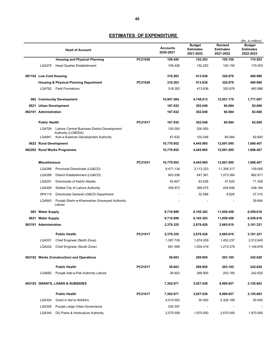|      | <b>Head of Account</b>           |                                                           |         | <b>Accounts</b><br>2020-2021 | <b>Budget</b><br><b>Estimates</b><br>2021-2022 | <b>Revised</b><br><b>Estimates</b><br>2021-2022 | (Rs. in million)<br><b>Budget</b><br><b>Estimates</b><br>2022-2023 |
|------|----------------------------------|-----------------------------------------------------------|---------|------------------------------|------------------------------------------------|-------------------------------------------------|--------------------------------------------------------------------|
|      |                                  | <b>Housing and Physical Planning</b>                      | PC21026 | 109.426                      | 152.293                                        | 105.150                                         | 170.503                                                            |
|      | LQ4275                           | <b>Head Quarter Establishment</b>                         |         | 109.426                      | 152.293                                        | 105.150                                         | 170.503                                                            |
|      |                                  |                                                           |         |                              |                                                |                                                 |                                                                    |
|      | 061102 Low Cost Housing          |                                                           |         | 318.263                      | 413.636                                        | 320.876                                         | 460.986                                                            |
|      |                                  | <b>Housing &amp; Physical Planning Department</b>         | PC21026 | 318.263                      | 413.636                                        | 320,876                                         | 460.986                                                            |
|      |                                  | LQ4762 Field Formations                                   |         | 318.263                      | 413.636                                        | 320.876                                         | 460.986                                                            |
|      |                                  | 062 Community Development                                 |         | 10,947.584                   | 4,748.013                                      | 12,951.179                                      | 1,771.007                                                          |
|      |                                  | 0621 Urban Development                                    |         |                              | 302.048                                        | 60.084                                          | 82.600                                                             |
|      |                                  | 062101 Administration                                     |         |                              | 302.048                                        | 60.084                                          | 82.600                                                             |
|      | <b>Public Health</b>             |                                                           | PC21017 | 167.632                      | 302.048                                        | 60.084                                          | 82.600                                                             |
|      | LQ4709                           | Lahore Central Business District Development              |         | 100.000                      | 200.000                                        |                                                 |                                                                    |
|      | LQ4941                           | Authority (LCBDDA)<br>Koh-e-Suleman Development Authority |         | 67.632                       | 102.048                                        | 60.084                                          | 82.600                                                             |
|      | 0622 Rural Development           |                                                           |         | 10,779.952                   | 4,445.965                                      | 12,891.095                                      | 1,688.407                                                          |
|      |                                  | 062202 Rural Works Programme                              |         | 10,779.952                   | 4,445.965                                      | 12,891.095                                      | 1,688.407                                                          |
|      |                                  |                                                           |         |                              |                                                |                                                 |                                                                    |
|      | <b>Miscellaneous</b>             |                                                           | PC21031 | 10,779.952                   | 4,445.965                                      | 12,891.095                                      | 1,688.407                                                          |
|      | LQ4288                           | Provincial Directorate (LG&CD)                            |         | 9,471.134                    | 3,113.323                                      | 11,306.317                                      | 139.065                                                            |
|      | LQ4289                           | District Establishment (LG&CD)                            |         | 903.038                      | 847.361                                        | 1,073.384                                       | 962.871                                                            |
|      | LQ4291                           | Directorate of Katchi Abadis                              |         | 45.807                       | 63.638                                         | 47.620                                          | 71.308                                                             |
|      | LQ4309                           | Walled City of Lahore Authority                           |         | 359.973                      | 389.075                                        | 454.946                                         | 438.184                                                            |
|      | SP4110                           | Directorate General LG&CD Department                      |         |                              | 32.568                                         | 8.828                                           | 37.315                                                             |
|      | LQ4943                           | Punjab Shehr-e-Khamoshan Graveyard Authority<br>Lahore    |         |                              |                                                |                                                 | 39.664                                                             |
| 063  | <b>Water Supply</b>              |                                                           |         | 9,718.899                    | 6,195.383                                      | 11,859.458                                      | 6,559.616                                                          |
| 0631 | <b>Water Supply</b>              |                                                           |         | 9,718.899                    | 6,195.383                                      | 11,859.458                                      | 6,559.616                                                          |
|      | 063101 Administration            |                                                           |         | 2,379.325                    | 2,878.428                                      | 2,665.616                                       | 3,161.321                                                          |
|      |                                  | <b>Public Health</b>                                      | PC21017 | 2,379.325                    | 2,878.428                                      | 2,665.616                                       | 3,161.321                                                          |
|      | LQ4201                           | Chief Engineer (North Zone)                               |         | 1,387.726                    | 1,874.009                                      | 1,452.237                                       | 2,012.645                                                          |
|      |                                  | LQ4202 Chief Engineer (South Zone)                        |         | 991.599                      | 1,004.419                                      | 1,213.379                                       | 1,148.676                                                          |
|      |                                  | 063102 Works (Construction) and Operations                |         | 36.603                       | 289.905                                        | 203.185                                         | 242.620                                                            |
|      |                                  | <b>Public Health</b>                                      | PC21017 | 36.603                       | 289.905                                        | 203.185                                         | 242.620                                                            |
|      | LQ4682                           | Punjab Aab-e-Pak Authority Lahore                         |         | 36.603                       | 289.905                                        | 203.185                                         | 242.620                                                            |
|      | 063103 GRANTS, LOANS & SUBSIDIES |                                                           |         | 7,302.971                    | 3,027.038                                      | 8,990.657                                       | 3,155.663                                                          |
|      |                                  | <b>Public Health</b>                                      | PC21017 | 7,302.971                    | 3,027.038                                      | 8,990.657                                       | 3,155.663                                                          |
|      | LQ4324                           | Grant in Aid to WASA's                                    |         | 4,015.002                    | 30.000                                         | 5,326.189                                       | 30.000                                                             |
|      | LQ4326                           | Punjab Large Cities Governance                            |         | 235.397                      |                                                |                                                 |                                                                    |
|      | LQ4340                           | DG Parks & Horticulture Authority                         |         | 2,075.558                    | 1,970.000                                      | 2,670.000                                       | 1,970.000                                                          |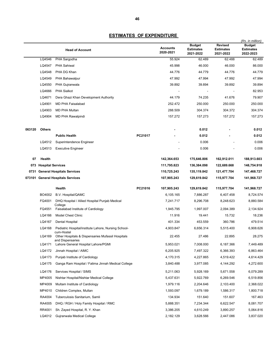|        |                          | <b>Head of Account</b>                                                              |         | <b>Accounts</b><br>2020-2021 | <b>Budget</b><br><b>Estimates</b><br>2021-2022 | <b>Revised</b><br><b>Estimates</b><br>2021-2022 | (Rs. in million)<br><b>Budget</b><br><b>Estimates</b><br>2022-2023 |
|--------|--------------------------|-------------------------------------------------------------------------------------|---------|------------------------------|------------------------------------------------|-------------------------------------------------|--------------------------------------------------------------------|
|        | LQ4546                   | PHA Sargodha                                                                        |         | 55.924                       | 62.489                                         | 62.488                                          | 62.489                                                             |
|        | LQ4547                   | <b>PHA Sahiwal</b>                                                                  |         | 45.998                       | 46.000                                         | 46.000                                          | 86.000                                                             |
|        | LQ4548                   | PHA DG Khan                                                                         |         | 44.776                       | 44.779                                         | 44.776                                          | 44.779                                                             |
|        | LQ4549                   | PHA Bahawalpur                                                                      |         | 47.992                       | 47.994                                         | 47.992                                          | 47.994                                                             |
|        | LQ4550                   | PHA Gujranwala                                                                      |         | 39.892                       | 39.894                                         | 39.892                                          | 39.894                                                             |
|        | LQ4666                   | <b>PHA Sialkot</b>                                                                  |         |                              |                                                |                                                 | 82.953                                                             |
|        | LQ4671                   | Dera Ghazi Khan Development Authority                                               |         | 44.179                       | 74.235                                         | 41.676                                          | 79.907                                                             |
|        | LQ4901                   | <b>MD PHA Faisalabad</b>                                                            |         | 252.472                      | 250.000                                        | 250.000                                         | 250.000                                                            |
|        | LQ4903                   | <b>MD PHA Multan</b>                                                                |         | 288.509                      | 304.374                                        | 304.372                                         | 304.374                                                            |
|        | LQ4904                   | <b>MD PHA Rawalpindi</b>                                                            |         | 157.272                      | 157.273                                        | 157.272                                         | 157.273                                                            |
| 063120 | <b>Others</b>            |                                                                                     |         |                              | 0.012                                          |                                                 | 0.012                                                              |
|        |                          | <b>Public Health</b>                                                                | PC21017 |                              | 0.012                                          |                                                 | 0.012                                                              |
|        | LQ4512                   | Superintendence Engineer                                                            |         |                              | 0.006                                          |                                                 | 0.006                                                              |
|        | LQ4513                   | <b>Executive Engineer</b>                                                           |         |                              | 0.006                                          |                                                 | 0.006                                                              |
| 07     | Health                   |                                                                                     |         | 142,364.653                  | 175,646.806                                    | 162,912.011                                     | 188,913.603                                                        |
| 073    | <b>Hospital Services</b> |                                                                                     |         | 111,795.823                  | 136,384.098                                    | 122,689.668                                     | 148,754.918                                                        |
| 0731   |                          | <b>General Hospitals Services</b>                                                   |         | 110,725.243                  | 135,119.842                                    | 121,477.704                                     | 147,468.727                                                        |
| 073101 |                          | <b>General Hospitals Services</b>                                                   |         | 107,905.243                  | 129,619.842                                    | 115,977.704                                     | 141,968.727                                                        |
|        |                          | Health                                                                              | PC21016 | 107,905.243                  | 129,619.842                                    | 115,977.704                                     | 141,968.727                                                        |
|        | BO4002                   | B.V. Hospital/QAMC                                                                  |         | 6,105.165                    | 7,886.287                                      | 6,407.458                                       | 8,724.574                                                          |
|        | FQ4001                   | DHQ Hospital / Allied Hospital Punjab Medical<br>College                            |         | 7,241.717                    | 8,296.708                                      | 8,248.623                                       | 8,880.584                                                          |
|        | FQ4551                   | Faisalabad Institute of Cardiology                                                  |         | 1,945.795                    | 1,997.007                                      | 2,094.389                                       | 2,134.924                                                          |
|        | LQ4166                   | <b>Model Chest Clinic</b>                                                           |         | 11.916                       | 19.441                                         | 15.732                                          | 18.236                                                             |
|        | LQ4167                   | Dental Hospital                                                                     |         | 401.334                      | 453.559                                        | 360.786                                         | 479.514                                                            |
|        | LQ4168                   | Pediatric Hospital/institute Lahore, Nursing School-                                |         | 4,903.847                    | 6,656.314                                      | 5,515.400                                       | 6,908.626                                                          |
|        | LQ4169                   | cum-Hostel<br>Other Hospitals & Dispensaries Mufassil Hospitals<br>and Dispensaries |         | 22.455                       | 27.486                                         | 22.895                                          | 28.275                                                             |
|        | LQ4171                   | Lahore General Hospital Lahore/PGMI                                                 |         | 5,953.021                    | 7,008.000                                      | 6,187.366                                       | 7,449.489                                                          |
|        | LQ4172                   | Jinnah Hospital / AIMC                                                              |         | 6,205.925                    | 7,497.322                                      | 6,366.393                                       | 6,863.464                                                          |
|        | LQ4173                   | Punjab Institute of Cardiology                                                      |         | 4,170.315                    | 4,227.865                                      | 4,519.422                                       | 4,614.429                                                          |
|        | LQ4175                   | Ganga Ram Hospital / Fatima Jinnah Medical College                                  |         | 3,840.488                    | 3,977.085                                      | 4,144.292                                       | 4,272.600                                                          |
|        | LQ4176                   | Services Hospital / SIMS                                                            |         | 5,211.063                    | 5,928.169                                      | 5,671.558                                       | 6,079.289                                                          |
|        | MP4005                   | Nishtar Hospital/Nishtar Medical College                                            |         | 5,437.631                    | 5,922.769                                      | 6,269.546                                       | 6,519.856                                                          |
|        | MP4009                   | Multam Institute of Cardiology                                                      |         | 1,979.116                    | 2,204.646                                      | 2,103.400                                       | 2,368.022                                                          |
|        | MP4010                   | Children Complex, Multan                                                            |         | 1,593.097                    | 1,679.189                                      | 1,586.317                                       | 1,800.718                                                          |
|        | RA4004                   | Tuberculosis Sanitarium, Samli                                                      |         | 134.934                      | 151.640                                        | 151.607                                         | 167.463                                                            |
|        | RA4005                   | DHQ / RGH / Holy Family Hospital / RMC                                              |         | 5,888.351                    | 7,234.344                                      | 6,622.547                                       | 8,081.707                                                          |
|        | RR4001                   | Sh. Zayed Hospital, R. Y. Khan                                                      |         | 3,386.205                    | 4,610.249                                      | 3,890.257                                       | 5,064.816                                                          |
|        | LQ4012                   | Gujranwala Medical College                                                          |         | 2,182.129                    | 3,628.566                                      | 2,447.086                                       | 3,837.020                                                          |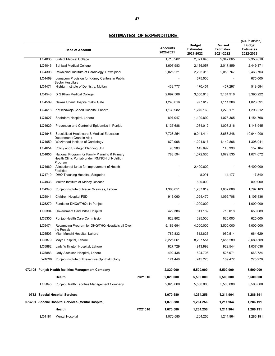|        | <b>Head of Account</b>                                                                                      |         | <b>Accounts</b><br>2020-2021 | <b>Budget</b><br><b>Estimates</b><br>2021-2022 | Revised<br><b>Estimates</b><br>2021-2022 | (Rs. in million)<br><b>Budget</b><br><b>Estimates</b><br>2022-2023 |
|--------|-------------------------------------------------------------------------------------------------------------|---------|------------------------------|------------------------------------------------|------------------------------------------|--------------------------------------------------------------------|
| LQ4035 | Sialkot Medical College                                                                                     |         | 1,710.282                    | 2,321.645                                      | 2,347.065                                | 2,353.810                                                          |
| LQ4046 | Sahiwal Medical College                                                                                     |         | 1,607.983                    | 2,136.057                                      | 2,017.859                                | 2,449.371                                                          |
| LQ4308 | Rawalpindi Institute of Cardiology, Rawalpindi                                                              |         | 2,026.221                    | 2,295.318                                      | 2,058.767                                | 2,463.703                                                          |
| LQ4469 | Lumspum Provision for Kidney Centers in Public<br>Sector Hospitals                                          |         |                              | 675.000                                        |                                          | 675.000                                                            |
| LQ4471 | Nishtar Institute of Dentistry, Multan                                                                      |         | 433.777                      | 470.451                                        | 457.297                                  | 519.584                                                            |
| LQ4543 | D G Khan Medical College                                                                                    |         | 2,697.588                    | 3,550.913                                      | 3,164.916                                | 3,390.222                                                          |
| LQ4589 | Nawaz Sharif Hospital Yakki Gate                                                                            |         | 1,240.016                    | 977.619                                        | 1,111.306                                | 1,023.591                                                          |
| LQ4618 | Kot Khawaja Saeed Hospital, Lahore                                                                          |         | 1,139.982                    | 1,270.163                                      | 1,273.171                                | 1,293.212                                                          |
| LQ4627 | Shahdara Hospital, Lahore                                                                                   |         | 897.047                      | 1,109.892                                      | 1,078.365                                | 1,154.768                                                          |
| LQ4629 | Prevention and Control of Epidemics in Punjab                                                               |         | 1,137.688                    | 1,034.012                                      | 1,007.216                                | 1,146.945                                                          |
| LQ4645 | Specialized Healthcare & Medical Education<br>Department (Grant in Aid)                                     |         | 7,728.254                    | 9,041.414                                      | 8,658.248                                | 10,944.000                                                         |
| LQ4650 | Wazirabad Institute of Cardiology                                                                           |         | 879.908                      | 1,221.817                                      | 1,142.806                                | 1,308.941                                                          |
| LQ4654 | Policy and Strategic Planning Unit                                                                          |         | 90.900                       | 145.697                                        | 145.398                                  | 152.184                                                            |
| LQ4655 | National Program for Family Planning & Primary<br>Health Clinic Punjab under IRMNCH of Nutrition<br>Program |         | 788.594                      | 1,072.535                                      | 1,072.535                                | 1,074.072                                                          |
| LQ4660 | Allocation of funds for improvement of Health<br><b>Facilities</b>                                          |         |                              | 2,400.000                                      |                                          | 6,400.000                                                          |
| LQ4710 | DHQ Teaching Hospital, Sargodha                                                                             |         |                              | 8.091                                          | 14.177                                   | 17.840                                                             |
| LQ4933 | Multan Institute of Kidney Disease                                                                          |         |                              | 800.000                                        |                                          | 800.000                                                            |
| LQ4940 | Punjab Institute of Neuro Sceinces, Lahore                                                                  |         | 1,300.051                    | 1,787.819                                      | 1,632.888                                | 1,797.183                                                          |
| LQ5041 | Children Hospital FSD                                                                                       |         | 916.060                      | 1,024.470                                      | 1,099.708                                | 1,105.436                                                          |
| LQ5270 | Funds for DHQs/THQs in Punjab                                                                               |         |                              | 1,000.000                                      |                                          | 1,000.000                                                          |
| LQ5304 | Government Said Mitha Hospital                                                                              |         | 429.386                      | 611.182                                        | 713.018                                  | 650.089                                                            |
| LQ5305 | Punjab Health Care Commission                                                                               |         | 623.802                      | 625.000                                        | 625.000                                  | 625.000                                                            |
| LQ5474 | Revamping Program for DHQ/THQ Hospitals all Over<br>the Punjab                                              |         | 5,183.694                    | 4,000.000                                      | 3,500.000                                | 4,000.000                                                          |
| LQ5503 | Mian Munshi Hospital, Lahore                                                                                |         | 789.832                      | 612.626                                        | 960.514                                  | 664.629                                                            |
|        | LQ5879 Mayo Hospital, Lahore                                                                                |         | 8,225.061                    | 8,237.551                                      | 7,655.289                                | 8,689.509                                                          |
| LQ5882 | Lady Willington Hospital, Lahore                                                                            |         | 827.729                      | 913.998                                        | 922.544                                  | 1,037.038                                                          |
| LQ5883 | Lady Aitchison Hospital, Lahore                                                                             |         | 492.438                      | 624.706                                        | 525.071                                  | 663.724                                                            |
| LW4096 | Punjab Institute of Preventive Ophthalmology                                                                |         | 124.446                      | 245.220                                        | 169.472                                  | 275.270                                                            |
|        | 073105 Punjab Health facilities Management Company                                                          |         | 2,820.000                    | 5,500.000                                      | 5,500.000                                | 5,500.000                                                          |
|        | Health                                                                                                      | PC21016 | 2,820.000                    | 5,500.000                                      | 5,500.000                                | 5,500.000                                                          |
| LQ5045 | Punjab Health Facilities Management Company                                                                 |         | 2,820.000                    | 5,500.000                                      | 5,500.000                                | 5,500.000                                                          |
|        | 0732 Special Hospital Services                                                                              |         | 1,070.580                    | 1,264.256                                      | 1,211.964                                | 1,286.191                                                          |
|        | 073201 Special Hospital Services (Mental Hospital)                                                          |         | 1,070.580                    | 1,264.256                                      | 1,211.964                                | 1,286.191                                                          |
|        | Health                                                                                                      | PC21016 | 1,070.580                    | 1,264.256                                      | 1,211.964                                | 1,286.191                                                          |
| LQ4181 | <b>Mental Hospital</b>                                                                                      |         | 1,070.580                    | 1,264.256                                      | 1,211.964                                | 1,286.191                                                          |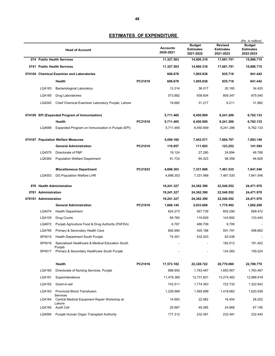|      | <b>Head of Account</b> |                                                            |         | <b>Accounts</b><br>2020-2021 | <b>Budget</b><br><b>Estimates</b><br>2021-2022 | <b>Revised</b><br><b>Estimates</b><br>2021-2022 | (Rs. in million)<br><b>Budget</b><br><b>Estimates</b><br>2022-2023 |
|------|------------------------|------------------------------------------------------------|---------|------------------------------|------------------------------------------------|-------------------------------------------------|--------------------------------------------------------------------|
|      |                        | 074 Public Health Services                                 |         | 11,327.503                   | 14,900.318                                     | 17,681.791                                      | 15,686.715                                                         |
|      |                        | 0741 Public Health Services                                |         | 11,327.503                   | 14,900.318                                     | 17,681.791                                      | 15,686.715                                                         |
|      |                        | 074104 Chemical Examiner and Laboratories                  |         | 606.878                      | 1,005.838                                      | 835.718                                         | 941.442                                                            |
|      |                        | Health                                                     | PC21016 | 606.878                      | 1,005.838                                      | 835.718                                         | 941.442                                                            |
|      | LQ4183                 | <b>Bacteriological Laboratory</b>                          |         | 13.314                       | 36.017                                         | 20.160                                          | 34.420                                                             |
|      | LQ4185                 | Drug Laboratories                                          |         | 573.882                      | 938.604                                        | 809.347                                         | 875.040                                                            |
|      | LQ4542                 | Chief Chemical Examiner Laboratory Punjab, Lahore          |         | 19.682                       | 31.217                                         | 6.211                                           | 31.982                                                             |
|      |                        | 074105 EPI (Expanded Program of Immunization)              |         | 5,711.465                    | 6,450.909                                      | 9,241.286                                       | 6,762.133                                                          |
|      |                        | <b>Health</b>                                              | PC21016 | 5,711.465                    | 6,450.909                                      | 9,241.286                                       | 6,762.133                                                          |
|      | LQ4689                 | Expanded Program on Immunization in Punjab (EPI)           |         | 5.711.465                    | 6,450.909                                      | 9,241.286                                       | 6,762.133                                                          |
|      |                        | 074107 Population Welfare Measures                         |         | 5,009.160                    | 7,443.571                                      | 7,604.787                                       | 7,983.140                                                          |
|      |                        | <b>General Administration</b>                              | PC21010 | 110.857                      | 111.603                                        | 123.252                                         | 141.594                                                            |
|      | LQ4575                 | Directorate of P&P                                         |         | 19.124                       | 27.280                                         | 24.894                                          | 46.768                                                             |
|      | LQ5364                 | <b>Population Welfare Department</b>                       |         | 91.733                       | 84.323                                         | 98.358                                          | 94.826                                                             |
|      |                        | <b>Miscellaneous Department</b>                            | PC21023 | 4,898.303                    | 7,331.968                                      | 7,481.535                                       | 7,841.546                                                          |
|      | LQ4553                 | DG Population Welfare LHR                                  |         | 4,898.303                    | 7,331.968                                      | 7,481.535                                       | 7,841.546                                                          |
|      |                        | 076 Health Administration                                  |         | 19,241.327                   | 24,362.390                                     | 22,540.552                                      | 24,471.970                                                         |
| 0761 | <b>Administration</b>  |                                                            |         | 19,241.327                   | 24,362.390                                     | 22,540.552                                      | 24,471.970                                                         |
|      | 076101 Administration  |                                                            |         | 19,241.327                   | 24,362.390                                     | 22,540.552                                      | 24,471.970                                                         |
|      |                        | <b>General Administration</b>                              | PC21010 | 1,668.145                    | 2,033.668                                      | 1,770.492                                       | 1,682.200                                                          |
|      | LQ4074                 | <b>Health Department</b>                                   |         | 624.273                      | 567.739                                        | 655.290                                         | 699.472                                                            |
|      | LQ4105                 | Drug Courts                                                |         | 69.760                       | 119.829                                        | 143.892                                         | 133.440                                                            |
|      | LQ4672                 | Punjab Agriculture Food & Drug Authority (PAFDA)           |         | 6.767                        | 488.709                                        | 9.709                                           |                                                                    |
|      | LQ4795                 | Primary & Secondary Health Care                            |         | 892.994                      | 425.188                                        | 591.791                                         | 498.662                                                            |
|      | SP4015                 | Health Department South Punjab                             |         | 74.351                       | 432.203                                        | 63.538                                          |                                                                    |
|      | SP4016                 | Specialized Healthcare & Medical Education South<br>Punjab |         |                              |                                                | 182.012                                         | 191.402                                                            |
|      | SP4017                 | Primary & Secondary Healthcare South Punjab                |         |                              |                                                | 124.260                                         | 159.224                                                            |
|      |                        | Health                                                     | PC21016 | 17,573.182                   | 22,328.722                                     | 20,770.060                                      | 22,789.770                                                         |
|      | LQ4160                 | Directorate of Nursing Services, Punjab                    |         | 888.950                      | 1,763.467                                      | 1,650.907                                       | 1,763.467                                                          |
|      | LQ4161                 | Superintendence                                            |         | 11,476.365                   | 12,731.601                                     | 13,274.482                                      | 12,868.918                                                         |
|      | LQ4162                 | Grant-in-aid                                               |         | 743.511                      | 1,774.363                                      | 722.732                                         | 1,322.842                                                          |
|      | LQ4163                 | <b>Provincial Blood Transfusion</b><br><b>Services</b>     |         | 1,226.989                    | 1,565.899                                      | 1,418.662                                       | 1,620.936                                                          |
|      | LQ4164                 | Central Medical Equipment Repair Workshop at<br>Lahore     |         | 14.693                       | 22.062                                         | 16.404                                          | 28.252                                                             |
|      | LQ4165                 | <b>Audit Cell</b>                                          |         | 20.667                       | 49.385                                         | 24.868                                          | 67.156                                                             |
|      | LQ4560                 | Punjab Human Organ Transplant Authority                    |         | 177.312                      | 232.491                                        | 232.491                                         | 232.440                                                            |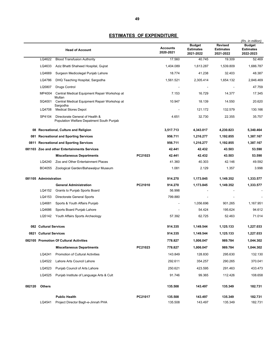|        |                        | <b>Head of Account</b>                                                       |         | <b>Accounts</b><br>2020-2021 | <b>Budget</b><br><b>Estimates</b><br>2021-2022 | Revised<br><b>Estimates</b><br>2021-2022 | (Rs. in million)<br><b>Budget</b><br><b>Estimates</b><br>2022-2023 |
|--------|------------------------|------------------------------------------------------------------------------|---------|------------------------------|------------------------------------------------|------------------------------------------|--------------------------------------------------------------------|
|        | LQ4622                 | <b>Blood Transfusion Authority</b>                                           |         | 17.560                       | 40.745                                         | 19.309                                   | 52.469                                                             |
|        | LQ4633                 | Aziz Bhatti Shaheed Hospital, Gujrat                                         |         | 1,404.089                    | 1,613.287                                      | 1,539.809                                | 1,686.787                                                          |
|        | LQ4669                 | Surgeon Medicolegal Punjab Lahore                                            |         | 18.774                       | 41.238                                         | 32.403                                   | 48.387                                                             |
|        | LQ4786                 | DHQ Teaching Hospital, Sargodha                                              |         | 1,561.521                    | 2,305.414                                      | 1,654.132                                | 2,846.469                                                          |
|        | LQ5807                 | <b>Drugs Control</b>                                                         |         |                              |                                                |                                          | 47.759                                                             |
|        | MP4004                 | Central Medical Equipment Repair Workshop at                                 |         | 7.153                        | 16.729                                         | 14.377                                   | 17.345                                                             |
|        | SQ4001                 | Multan<br>Central Medical Equipment Repair Workshop at                       |         | 10.947                       | 18.139                                         | 14.550                                   | 20.620                                                             |
|        | LQ4708                 | Sargodha<br><b>Medical Stores Depot</b>                                      |         |                              | 121.172                                        | 132.579                                  | 130.166                                                            |
|        | SP4104                 | Directorate General of Health &<br>Population Welfare Depatment South Punjab |         | 4.651                        | 32.730                                         | 22.355                                   | 35.757                                                             |
|        |                        | 08 Recreational, Culture and Religion                                        |         | 3,517.713                    | 4,343.017                                      | 4,230.823                                | 5,340.464                                                          |
|        |                        | 081 Recreational and Sporting Services                                       |         | 956.711                      | 1,216.277                                      | 1,192.855                                | 1,387.167                                                          |
|        |                        | 0811 Recreational and Sporting Services                                      |         | 956.711                      | 1,216.277                                      | 1,192.855                                | 1,387.167                                                          |
|        |                        | 081103 Zoo and other Entertainments Services                                 |         | 42.441                       | 42.432                                         | 43.503                                   | 53.590                                                             |
|        |                        | <b>Miscellaneous Departments</b>                                             | PC21023 | 42.441                       | 42.432                                         | 43.503                                   | 53.590                                                             |
|        | LQ4240                 | Zoo and Other Entertainment Places                                           |         | 41.360                       | 40.303                                         | 42.146                                   | 49.592                                                             |
|        | BO4055                 | Zoological Garden/Bahawalpur Museum                                          |         | 1.081                        | 2.129                                          | 1.357                                    | 3.998                                                              |
|        | 081105 Administration  |                                                                              |         | 914.270                      | 1,173.845                                      | 1,149.352                                | 1,333.577                                                          |
|        |                        | <b>General Administration</b>                                                | PC21010 | 914.270                      | 1,173.845                                      | 1,149.352                                | 1,333.577                                                          |
|        | LQ4152                 | Grants to Punjab Sports Board                                                |         | 56.998                       |                                                |                                          |                                                                    |
|        | LQ4153                 | Directorate General Sports                                                   |         | 799.880                      |                                                |                                          |                                                                    |
|        | LQ4681                 | Sports & Youth Affairs Punjab                                                |         |                              | 1,056.696                                      | 901.265                                  | 1,167.951                                                          |
|        | LQ4686                 | Sports Board Punjab Lahore                                                   |         |                              | 54.424                                         | 195.624                                  | 94.612                                                             |
|        | LQ5142                 | Youth Affairs Sports Archeology                                              |         | 57.392                       | 62.725                                         | 52.463                                   | 71.014                                                             |
|        | 082 Cultural Services  |                                                                              |         | 914.335                      | 1,149.544                                      | 1,125.133                                | 1,227.033                                                          |
|        | 0821 Cultural Services |                                                                              |         | 914.335                      | 1,149.544                                      | 1,125.133                                | 1,227.033                                                          |
|        |                        | 082105 Promotion Of Cultural Activities                                      |         | 778.827                      | 1,006.047                                      | 989.784                                  | 1,044.302                                                          |
|        |                        | <b>Miscellaneous Departments</b>                                             | PC21023 | 778.827                      | 1,006.047                                      | 989.784                                  | 1,044.302                                                          |
|        | LQ4241                 | Promotion of Cultural Activities                                             |         | 143.849                      | 128.830                                        | 295.630                                  | 132.130                                                            |
|        | LQ4522                 | Lahore Arts Council Lahore                                                   |         | 292.611                      | 354.257                                        | 290.265                                  | 370.041                                                            |
|        | LQ4523                 | Punjab Council of Arts Lahore                                                |         | 250.621                      | 423.595                                        | 291.463                                  | 433.473                                                            |
|        | LQ4525                 | Punjab Institute of Language Arts & Cult                                     |         | 91.746                       | 99.365                                         | 112.426                                  | 108.658                                                            |
| 082120 | <b>Others</b>          |                                                                              |         | 135.508                      | 143.497                                        | 135.349                                  | 182.731                                                            |
|        |                        | <b>Public Health</b>                                                         | PC21017 | 135.508                      | 143.497                                        | 135.349                                  | 182.731                                                            |
|        | LQ4541                 | Project Director Bagh-e-Jinnah PHA                                           |         | 135.508                      | 143.497                                        | 135.349                                  | 182.731                                                            |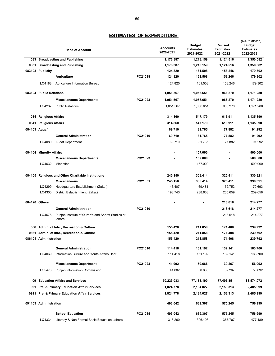|              |                         | <b>Head of Account</b>                                      |         | <b>Accounts</b><br>2020-2021 | <b>Budget</b><br><b>Estimates</b><br>2021-2022 | <b>Revised</b><br><b>Estimates</b><br>2021-2022 | (Rs. in million)<br><b>Budget</b><br><b>Estimates</b><br>2022-2023 |
|--------------|-------------------------|-------------------------------------------------------------|---------|------------------------------|------------------------------------------------|-------------------------------------------------|--------------------------------------------------------------------|
|              |                         | 083 Broadcasting and Publishing                             |         | 1,176.387                    | 1,218.159                                      | 1,124.516                                       | 1,350.582                                                          |
|              |                         | 0831 Broadcasting and Publishing                            |         | 1,176.387                    | 1,218.159                                      | 1,124.516                                       | 1,350.582                                                          |
|              | 083103 Publicity        |                                                             |         | 124.820                      | 161.508                                        | 158.246                                         | 179.302                                                            |
|              |                         | <b>Agriculture</b>                                          | PC21018 | 124.820                      | 161.508                                        | 158.246                                         | 179.302                                                            |
|              | LQ4188                  | Agriculture Information Bureau                              |         | 124.820                      | 161.508                                        | 158.246                                         | 179.302                                                            |
|              | 083104 Public Relations |                                                             |         | 1,051.567                    | 1,056.651                                      | 966.270                                         | 1,171.280                                                          |
|              |                         | <b>Miscellaneous Departments</b>                            | PC21023 | 1,051.567                    | 1,056.651                                      | 966.270                                         | 1,171.280                                                          |
|              | LQ4237                  | <b>Public Relations</b>                                     |         | 1,051.567                    | 1,056.651                                      | 966.270                                         | 1,171.280                                                          |
|              | 084 Religious Affairs   |                                                             |         | 314.860                      | 547.179                                        | 616.911                                         | 1,135.890                                                          |
|              | 0841 Religious Affairs  |                                                             |         | 314.860                      | 547.179                                        | 616.911                                         | 1,135.890                                                          |
| 084103 Augaf |                         |                                                             |         | 69.710                       | 81.765                                         | 77.882                                          | 91.292                                                             |
|              |                         | <b>General Administration</b>                               | PC21010 | 69.710                       | 81.765                                         | 77.882                                          | 91.292                                                             |
|              | LQ4080                  | <b>Augaf Department</b>                                     |         | 69.710                       | 81.765                                         | 77.882                                          | 91.292                                                             |
|              |                         |                                                             |         |                              |                                                |                                                 |                                                                    |
|              | 084104 Minority Affairs |                                                             |         |                              | 157.000                                        |                                                 | 500.000                                                            |
|              |                         | <b>Miscellaneous Departments</b>                            | PC21023 |                              | 157.000                                        |                                                 | 500.000                                                            |
|              | LQ4632                  | Minorities                                                  |         |                              | 157.000                                        |                                                 | 500.000                                                            |
|              |                         | 084105 Religious and Other Charitable Institutions          |         | 245.150                      | 308.414                                        | 325.411                                         | 330.321                                                            |
|              |                         | <b>Miscellaneous</b>                                        | PC21031 | 245.150                      | 308.414                                        | 325.411                                         | 330.321                                                            |
|              | LQ4299                  | Headquarters Establishment (Zakat)                          |         | 46.407                       | 69.481                                         | 59.752                                          | 70.663                                                             |
|              | LQ4300                  | District Establishment (Zakat)                              |         | 198.743                      | 238.933                                        | 265.659                                         | 259.658                                                            |
|              | 084120 Others           |                                                             |         |                              |                                                | 213.618                                         | 214.277                                                            |
|              |                         | <b>General Administration</b>                               | PC21010 |                              |                                                | 213.618                                         | 214.277                                                            |
|              | LQ4675                  | Punjab Institute of Quran's and Seerat Studies at<br>Lahore |         |                              |                                                | 213.618                                         | 214.277                                                            |
|              |                         | 086 Admin. of Info., Recreation & Culture                   |         | 155.420                      | 211.858                                        | 171.408                                         | 239.792                                                            |
|              |                         | 0861 Admin. of Info., Recreation & Culture                  |         | 155.420                      | 211.858                                        | 171.408                                         | 239.792                                                            |
|              | 086101 Administration   |                                                             |         | 155.420                      | 211.858                                        | 171.408                                         | 239.792                                                            |
|              |                         | <b>General Administration</b>                               | PC21010 | 114.418                      | 161.192                                        | 132.141                                         | 183.700                                                            |
|              | LQ4069                  | Information Culture and Youth Affairs Dept.                 |         | 114.418                      | 161.192                                        | 132.141                                         | 183.700                                                            |
|              |                         | <b>Miscellaneous Department</b>                             | PC21023 | 41.002                       | 50.666                                         | 39.267                                          | 56.092                                                             |
|              | LQ5473                  | <b>Punjab Information Commission</b>                        |         | 41.002                       | 50.666                                         | 39.267                                          | 56.092                                                             |
| 09           |                         | <b>Education Affairs and Services</b>                       |         | 70,223.033                   | 77,183.190                                     | 77,496.851                                      | 88,574.072                                                         |
|              |                         | 091 Pre. & Primary Education Affair Services                |         | 1,824.778                    | 2,184.027                                      | 2,153.313                                       | 2,485.999                                                          |
|              |                         | 0911 Pre. & Primary Education Affair Services               |         | 1,824.778                    | 2,184.027                                      | 2,153.313                                       | 2,485.999                                                          |
|              | 091103 Administration   |                                                             |         | 493.042                      | 639.307                                        | 575.245                                         | 756.999                                                            |
|              |                         | <b>School Education</b>                                     | PC21015 | 493.042                      | 639.307                                        | 575.245                                         | 756.999                                                            |
|              | LQ4334                  | Literacy & Non Formal Basic Education Lahore                |         | 318.260                      | 396.193                                        | 367.707                                         | 477.489                                                            |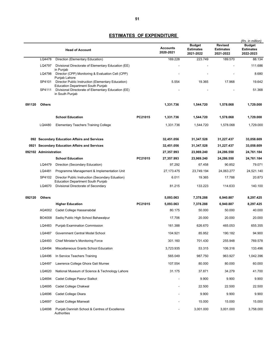|        |                       | <b>Head of Account</b>                                                                                                              |         | <b>Accounts</b><br>2020-2021 | <b>Budget</b><br><b>Estimates</b><br>2021-2022 | <b>Revised</b><br><b>Estimates</b><br>2021-2022 | (Rs. in million)<br><b>Budget</b><br><b>Estimates</b><br>2022-2023 |
|--------|-----------------------|-------------------------------------------------------------------------------------------------------------------------------------|---------|------------------------------|------------------------------------------------|-------------------------------------------------|--------------------------------------------------------------------|
|        | LQ4478                | Direction (Elementary Education)                                                                                                    |         | 169.228                      | 223.749                                        | 189.570                                         | 88.134                                                             |
|        | LQ4797                | Divisional Directorate of Elementary Education (EE)                                                                                 |         |                              |                                                |                                                 | 111.686                                                            |
|        | LQ4798                | in Punjab<br>Director (CPP) Monitoring & Evaluation Cell (CPP)                                                                      |         |                              |                                                |                                                 | 8.680                                                              |
|        | SP4101                | Punjab Lahore<br>Director Public Instruction (Elementary Education)                                                                 |         | 5.554                        | 19.365                                         | 17.968                                          | 19.642                                                             |
|        | SP4111                | <b>Education Department South Punjab</b><br>Divisional Directorate of Elementary Education (EE)<br>in South Punjab                  |         |                              |                                                |                                                 | 51.368                                                             |
| 091120 | <b>Others</b>         |                                                                                                                                     |         | 1,331.736                    | 1,544.720                                      | 1,578.068                                       | 1,729.000                                                          |
|        |                       | <b>School Education</b>                                                                                                             | PC21015 | 1,331.736                    | 1,544.720                                      | 1,578.068                                       | 1,729.000                                                          |
|        | LQ4480                | <b>Elementary Teachers Training College</b>                                                                                         |         | 1,331.736                    | 1,544.720                                      | 1,578.068                                       | 1,729.000                                                          |
|        |                       | 092 Secondary Education Affairs and Services                                                                                        |         | 32,451.056                   | 31,347.528                                     | 31,227.437                                      | 33,058.609                                                         |
|        |                       | 0921 Secondary Education Affairs and Services                                                                                       |         | 32,451.056                   | 31,347.528                                     | 31,227.437                                      | 33,058.609                                                         |
|        | 092102 Administration |                                                                                                                                     |         | 27,357.993                   | 23,969.240                                     | 24,286.550                                      | 24,761.184                                                         |
|        |                       | <b>School Education</b>                                                                                                             | PC21015 | 27,357.993                   | 23,969.240                                     | 24,286.550                                      | 24,761.184                                                         |
|        | LQ4479                | Direction (Secondary Education)                                                                                                     |         | 97.292                       | 67.458                                         | 90.852                                          | 79.071                                                             |
|        | LQ4481                | Programme Management & Implementation Unit                                                                                          |         | 27, 173. 475                 | 23,749.194                                     | 24,063.277                                      | 24,521.140                                                         |
|        | SP4102<br>LQ4670      | Director Public Instruction (Secondary Eduation)<br><b>Education Department South Punjab</b><br>Divisional Directorate of Secondary |         | 6.011<br>81.215              | 19.365<br>133.223                              | 17.788<br>114.633                               | 20.873<br>140.100                                                  |
|        |                       |                                                                                                                                     |         |                              |                                                |                                                 |                                                                    |
| 092120 | <b>Others</b>         | <b>Higher Education</b>                                                                                                             | PC21015 | 5,093.063<br>5,093.063       | 7,378.288<br>7,378.288                         | 6,940.887<br>6,940.887                          | 8,297.425<br>8,297.425                                             |
|        | AQ4002                | Cadet College Hassanabdal                                                                                                           |         | 80.175                       | 50.000                                         | 50.000                                          | 40.000                                                             |
|        | BO4008                | Sadiq Public High School Bahawalpur                                                                                                 |         | 17.706                       | 20.000                                         | 20.000                                          | 20.000                                                             |
|        | LQ4483                | Punjab Examination Commission                                                                                                       |         | 161.388                      | 626.670                                        | 465.053                                         | 655.355                                                            |
|        | LQ4487                | Government Central Model School                                                                                                     |         | 104.921                      | 85.952                                         | 190.182                                         | 94.900                                                             |
|        |                       | LQ4493 Chief Minister's Monitoring Force                                                                                            |         | 301.160                      | 701.430                                        | 255.948                                         | 769.578                                                            |
|        | LQ4494                | Miscellaneous Grants School Education                                                                                               |         | 3,723.935                    | 53.315                                         | 106.316                                         | 133.496                                                            |
|        | LQ4496                | In Service Teachers Training                                                                                                        |         | 565.049                      | 987.750                                        | 963.927                                         | 1,042.396                                                          |
|        | LQ4497                | Lawrence College Ghora Gali Murree                                                                                                  |         | 107.554                      | 80.000                                         | 80.000                                          | 60.000                                                             |
|        | LQ4620                | National Museum of Science & Technology Lahore                                                                                      |         | 31.175                       | 37.871                                         | 34.279                                          | 41.700                                                             |
|        | LQ4694                | Cadet College Pasrur Sialkot                                                                                                        |         |                              | 9.900                                          | 9.900                                           | 9.900                                                              |
|        | LQ4695                | Cadet College Chakwal                                                                                                               |         |                              | 22.500                                         | 22.500                                          | 22.500                                                             |
|        | LQ4696                | Cadet College Okara                                                                                                                 |         |                              | 9.900                                          | 9.900                                           | 9.900                                                              |
|        | LQ4697                | Cadet College Mianwali                                                                                                              |         |                              | 15.000                                         | 15.000                                          | 15.000                                                             |
|        | LQ4698                | Punjab Dannish School & Centres of Excellence<br>Authorities                                                                        |         |                              | 3,001.000                                      | 3,001.000                                       | 3,758.000                                                          |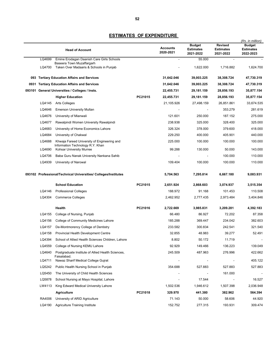|     |        | <b>Head of Account</b>                                               |         | <b>Accounts</b><br>2020-2021 | <b>Budget</b><br><b>Estimates</b><br>2021-2022 | <b>Revised</b><br><b>Estimates</b><br>2021-2022 | (Rs. in million)<br><b>Budget</b><br><b>Estimates</b><br>2022-2023 |
|-----|--------|----------------------------------------------------------------------|---------|------------------------------|------------------------------------------------|-------------------------------------------------|--------------------------------------------------------------------|
|     | LQ4699 | Emine Erodagan Daanish Care Girls Schools                            |         |                              | 55.000                                         |                                                 |                                                                    |
|     | LQ4700 | Baseera Town Muzaffargarh<br>Taken Over Madaaris & Schools in Punjab |         |                              | 1,622.000                                      | 1,716.882                                       | 1,624.700                                                          |
| 093 |        | <b>Tertiary Education Affairs and Services</b>                       |         | 31,642.046                   | 39,003.225                                     | 38,308.724                                      | 47,730.319                                                         |
|     |        | 0931 Tertiary Education Affairs and Services                         |         | 31,642.046                   | 39,003.225                                     | 38,308.724                                      | 47,730.319                                                         |
|     |        | 093101 General Universities / Colleges / Insts.                      |         | 22,455.731                   | 29,181.159                                     | 28,856.193                                      | 35,877.154                                                         |
|     |        | <b>Higher Education</b>                                              | PC21015 | 22,455.731                   | 29,181.159                                     | 28,856.193                                      | 35,877.154                                                         |
|     | LQ4145 | Arts Colleges                                                        |         | 21,105.926                   | 27,498.159                                     | 26,851.861                                      | 33,674.535                                                         |
|     | LQ4646 | <b>Emerson University Multan</b>                                     |         |                              |                                                | 353.279                                         | 281.619                                                            |
|     | LQ4676 | University of Mianwali                                               |         | 121.601                      | 250.000                                        | 187.152                                         | 275.000                                                            |
|     | LQ4677 | Rawalpindi Women University Rawalpindi                               |         | 238.938                      | 325.000                                        | 328.400                                         | 325.000                                                            |
|     | LQ4683 | University of Home Economics Lahore                                  |         | 326.324                      | 378.000                                        | 379.600                                         | 418.000                                                            |
|     | LQ4684 | University of Chakwal                                                |         | 229.250                      | 400.000                                        | 405.901                                         | 440.000                                                            |
|     | LQ4688 | Khwaja Fareed University of Engineering and                          |         | 225.000                      | 100.000                                        | 100.000                                         | 100.000                                                            |
|     | LQ4690 | Information Technology R.Y. Khan<br>Kohsar University Murree         |         | 99.288                       | 130.000                                        | 50.000                                          | 143.000                                                            |
|     | LQ4706 | Baba Guru Nanak University Nankana Sahib                             |         |                              |                                                | 100.000                                         | 110.000                                                            |
|     | LQ4939 | University of Narowal                                                |         | 109.404                      | 100.000                                        | 100.000                                         | 110.000                                                            |
|     |        | 093102 Professional/Technical Universities/ Colleges/Institutes      |         | 5,704.563                    | 7,295.814                                      | 6,667.180                                       | 9,083.931                                                          |
|     |        | <b>School Education</b>                                              | PC21015 | 2,651.924                    | 2,868.603                                      | 3,074.937                                       | 3,515.354                                                          |
|     | LQ4146 | <b>Professional Colleges</b>                                         |         | 188.972                      | 91.168                                         | 101.453                                         | 110.508                                                            |
|     | LQ4304 | <b>Commerce Colleges</b>                                             |         | 2,462.952                    | 2,777.435                                      | 2,973.484                                       | 3,404.846                                                          |
|     |        | Health                                                               | PC21016 | 2,722.669                    | 3,985.831                                      | 3,209.281                                       | 4,392.183                                                          |
|     | LQ4155 | College of Nursing, Punjab                                           |         | 66.480                       | 86.927                                         | 72.202                                          | 87.358                                                             |
|     | LQ4156 | College of Community Medicines Lahore                                |         | 185.288                      | 369.447                                        | 234.042                                         | 382.603                                                            |
|     | LQ4157 | De-Montmorency College of Dentistry                                  |         | 233.582                      | 300.834                                        | 242.541                                         | 321.540                                                            |
|     | LQ4158 | Provincial Health Development Centre                                 |         | 32.855                       | 48.983                                         | 39.277                                          | 52.491                                                             |
|     | LQ4394 | School of Allied Health Sciences Children, Lahore                    |         | 8.802                        | 50.172                                         | 11.719                                          |                                                                    |
|     | LQ4559 | College of Nursing KEMU Lahore                                       |         | 92.929                       | 149.466                                        | 136.223                                         | 139.049                                                            |
|     | LQ4640 | Postgraduate Institute of Allied Health Sciences,<br>Faisalabad.     |         | 245.509                      | 487.963                                        | 276.996                                         | 422.662                                                            |
|     | LQ4711 | Nawaz Sharif Medical College Gujrat                                  |         |                              |                                                |                                                 | 405.122                                                            |
|     | LQ5242 | Public Health Nursing School in Punjab                               |         | 354.688                      | 527.883                                        | 527.883                                         | 527.883                                                            |
|     | LQ5450 | The University of Child Health Sciences                              |         |                              |                                                | 161.000                                         |                                                                    |
|     | LQ5878 | School Nursing at Mayo Hospital, Lahore                              |         |                              | 17.544                                         |                                                 | 16.527                                                             |
|     | LW4113 | King Edward Medical University Lahore                                |         | 1,502.536                    | 1,946.612                                      | 1,507.398                                       | 2,036.948                                                          |
|     |        | <b>Agriculture</b>                                                   | PC21018 | 329.970                      | 441.380                                        | 382.962                                         | 564.394                                                            |
|     | RA4006 | University of ARID Agriculture                                       |         | 71.143                       | 50.000                                         | 58.606                                          | 44.920                                                             |
|     | LQ4190 | <b>Agriculture Training Institute</b>                                |         | 152.752                      | 277.315                                        | 193.931                                         | 309.474                                                            |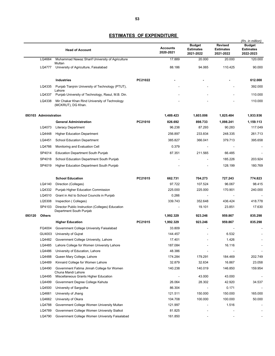|        |                       | <b>Head of Account</b>                                                                        |         | <b>Accounts</b><br>2020-2021 | <b>Budget</b><br><b>Estimates</b><br>2021-2022 | <b>Revised</b><br><b>Estimates</b><br>2021-2022 | (Rs. in million)<br><b>Budget</b><br><b>Estimates</b><br>2022-2023 |
|--------|-----------------------|-----------------------------------------------------------------------------------------------|---------|------------------------------|------------------------------------------------|-------------------------------------------------|--------------------------------------------------------------------|
|        | LQ4664                | Muhammad Nawaz Sharif University of Agriculture                                               |         | 17.889                       | 20.000                                         | 20.000                                          | 120.000                                                            |
|        | LQ4777                | Multan<br>University of Agriculture, Faisalabad                                               |         | 88.186                       | 94.065                                         | 110.425                                         | 90.000                                                             |
|        |                       | <b>Industries</b>                                                                             | PC21022 |                              |                                                |                                                 | 612.000                                                            |
|        | LQ4335                | Punjab Tianjnin University of Technology (PTUT),<br>Lahore                                    |         |                              |                                                |                                                 | 392.000                                                            |
|        | LQ4337                | Punjab University of Technology, Rasul, M.B. Din.                                             |         |                              |                                                |                                                 | 110.000                                                            |
|        | LQ4338                | Mir Chakar Khan Rind University of Technology<br>(MCKRUT), DG Khan.                           |         |                              |                                                |                                                 | 110.000                                                            |
|        | 093103 Administration |                                                                                               |         | 1,489.423                    | 1,603.006                                      | 1,825.484                                       | 1,933.936                                                          |
|        |                       | <b>General Administration</b>                                                                 | PC21010 | 826.692                      | 898.733                                        | 1,098.241                                       | 1,159.113                                                          |
|        | LQ4073                | <b>Literacy Department</b>                                                                    |         | 96.238                       | 87.293                                         | 90.283                                          | 117.049                                                            |
|        | LQ4448                | <b>Higher Education Department</b>                                                            |         | 256.897                      | 233.834                                        | 248.335                                         | 261.713                                                            |
|        | LQ4451                | <b>School Education Department</b>                                                            |         | 385.827                      | 366.041                                        | 379.713                                         | 395.658                                                            |
|        | LQ4766                | Monitoring and Evaluation Cell                                                                |         | 0.379                        |                                                |                                                 |                                                                    |
|        | SP4014                | <b>Education Department South Punjab</b>                                                      |         | 87.351                       | 211.565                                        | 66.485                                          |                                                                    |
|        | SP4018                | School Education Department South Punjab                                                      |         |                              |                                                | 185.226                                         | 203.924                                                            |
|        | SP4019                | Higher Education Department South Punjab                                                      |         |                              |                                                | 128.199                                         | 180.769                                                            |
|        |                       |                                                                                               |         |                              |                                                |                                                 |                                                                    |
|        |                       | <b>School Education</b>                                                                       | PC21015 | 662.731                      | 704.273                                        | 727.243                                         | 774.823                                                            |
|        | LQ4140                | Direction (Colleges)                                                                          |         | 97.722                       | 107.524                                        | 96.067                                          | 98.415                                                             |
|        | LQ4332                | Punjab Higher Education Commission                                                            |         | 225.000                      | 225.000                                        | 170.901                                         | 240.000                                                            |
|        | LQ4510                | Grant in Aid to School Councils in Punjab                                                     |         | 0.266                        |                                                |                                                 |                                                                    |
|        | LQ5308                | Inspection (Colleges)                                                                         |         | 339.743                      | 352.648                                        | 436.424                                         | 418.778                                                            |
|        | SP4103                | Director Public Instruction (Colleges) Education<br>Department South Punjab                   |         |                              | 19.101                                         | 23.851                                          | 17.630                                                             |
| 093120 | <b>Others</b>         |                                                                                               |         | 1,992.329                    | 923.246                                        | 959.867                                         | 835.298                                                            |
|        |                       | <b>Higher Education</b>                                                                       | PC21015 | 1,992.329                    | 923.246                                        | 959.867                                         | 835.298                                                            |
|        | FQ4004                | Government College University Faisalabad                                                      |         | 33.809                       |                                                | $\blacksquare$                                  | $\overline{\phantom{a}}$                                           |
|        | GU4003                | University of Gujrat                                                                          |         | 144.457                      |                                                | 6.532                                           |                                                                    |
|        | LQ4482                | Government College University, Lahore                                                         |         | 17.401                       |                                                | 1.426                                           |                                                                    |
|        | LQ4485<br>LQ4486      | Lahore College for Women University Lahore                                                    |         | 187.084<br>48.386            |                                                | 16.116                                          |                                                                    |
|        | LQ4488                | University of Education, Lahore<br>Queen Mary College, Lahore                                 |         | 174.284                      | 179.291                                        | 184.469                                         | 202.749                                                            |
|        | LQ4489                | Kinnaird College for Women Lahore                                                             |         | 32.879                       | 32.634                                         | 16.867                                          | 23.058                                                             |
|        | LQ4490                | Government Fatima Jinnah College for Women                                                    |         | 140.238                      | 140.019                                        | 146.850                                         | 159.954                                                            |
|        |                       | Chuna Mandi Lahore                                                                            |         |                              |                                                |                                                 |                                                                    |
|        | LQ4495                | Miscellaneous Grants Higher Education                                                         |         |                              | 43.000                                         | 43.000                                          |                                                                    |
|        | LQ4499                | Government Degree College Kahuta                                                              |         | 26.064                       | 28.302                                         | 42.920                                          | 34.537                                                             |
|        | LQ4500                | University of Sargodha                                                                        |         | 86.304                       | $\overline{\phantom{a}}$                       | 0.171                                           |                                                                    |
|        | LQ4661                | University of Jhang                                                                           |         | 121.511                      | 150.000                                        | 150.000                                         | 165.000                                                            |
|        | LQ4662                | University of Okara                                                                           |         | 104.708                      | 100.000                                        | 100.000                                         | 50.000                                                             |
|        | LQ4788                | Government College Women University Multan                                                    |         | 121.997                      |                                                | 1.516                                           |                                                                    |
|        | LQ4789<br>LQ4790      | Government College Women University Sialkot<br>Government College Women University Faisalabad |         | 81.825<br>161.850            |                                                |                                                 |                                                                    |
|        |                       |                                                                                               |         |                              |                                                |                                                 |                                                                    |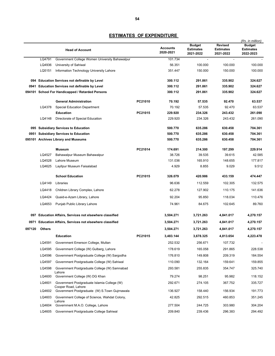|        |                                                             | <b>Head of Account</b>                                             |         | <b>Accounts</b><br>2020-2021 | <b>Budget</b><br><b>Estimates</b><br>2021-2022 | <b>Revised</b><br><b>Estimates</b><br>2021-2022 | (Rs. in million)<br><b>Budget</b><br><b>Estimates</b><br>2022-2023 |
|--------|-------------------------------------------------------------|--------------------------------------------------------------------|---------|------------------------------|------------------------------------------------|-------------------------------------------------|--------------------------------------------------------------------|
|        | LQ4791                                                      | Government College Women University Bahawalpur                     |         | 101.734                      | $\blacksquare$                                 | $\overline{\phantom{a}}$                        |                                                                    |
|        | LQ4936                                                      | University of Sahiwal                                              |         | 56.351                       | 100.000                                        | 100.000                                         | 100.000                                                            |
|        | LQ5151                                                      | Information Technology University Lahore                           |         | 351.447                      | 150.000                                        | 150.000                                         | 100.000                                                            |
|        |                                                             | 094 Education Services not definable by Level                      |         | 300.112                      | 291.861                                        | 335.902                                         | 324.627                                                            |
| 0941   |                                                             | <b>Education Services not definable by Level</b>                   |         | 300.112                      | 291.861                                        | 335.902                                         | 324.627                                                            |
|        |                                                             | 094101 School For Handicapped / Retarded Persons                   |         | 300.112                      | 291.861                                        | 335.902                                         | 324.627                                                            |
|        |                                                             | <b>General Administration</b>                                      | PC21010 | 70.192                       | 57.535                                         | 92.470                                          | 63.537                                                             |
|        | LQ4378                                                      | <b>Special Education Department</b>                                |         | 70.192                       | 57.535                                         | 92.470                                          | 63.537                                                             |
|        |                                                             | <b>Education</b>                                                   | PC21015 | 229.920                      | 234.326                                        | 243.432                                         | 261.090                                                            |
|        | LQ4148                                                      | Directorate of Special Education                                   |         | 229.920                      | 234.326                                        | 243.432                                         | 261.090                                                            |
|        |                                                             | 095 Subsidiary Services to Education                               |         | 500.770                      | 635.286                                        | 630.458                                         | 704.361                                                            |
| 0951   |                                                             | <b>Subsidiary Services to Education</b>                            |         | 500.770                      | 635.286                                        | 630.458                                         | 704.361                                                            |
| 095101 |                                                             | <b>Archives Library and Museums</b>                                |         | 500.770                      | 635.286                                        | 630.458                                         | 704.361                                                            |
|        |                                                             | <b>Museum</b>                                                      | PC21014 | 174.691                      | 214.300                                        | 197.299                                         | 229.914                                                            |
|        | LQ4527                                                      | Bahawalpur Museum Bahawalpur                                       |         | 38.726                       | 39.535                                         | 39.615                                          | 42.585                                                             |
|        | LQ4528                                                      | Lahore Museum                                                      |         | 131.036                      | 165.910                                        | 148.655                                         | 177.817                                                            |
|        | LQ4625                                                      | Layllpur Museum Faisalabad                                         |         | 4.929                        | 8.855                                          | 9.029                                           | 9.512                                                              |
|        |                                                             | <b>School Education</b>                                            | PC21015 | 326.079                      | 420.986                                        | 433.159                                         | 474.447                                                            |
|        | LQ4149                                                      | Libraries                                                          |         | 96.636                       | 112.559                                        | 102.305                                         | 132.575                                                            |
|        | LQ4418                                                      | Children Library Complex, Lahore                                   |         | 62.278                       | 127.902                                        | 110.175                                         | 141.636                                                            |
|        | LQ4424                                                      | Quaid-e-Azam Library, Lahore                                       |         | 92.204                       | 95.850                                         | 118.034                                         | 110.476                                                            |
|        | LQ4653                                                      | Punjab Public Library Lahore                                       |         | 74.961                       | 84.675                                         | 102.645                                         | 89.760                                                             |
| 097    | <b>Education Affairs, Services not elsewhere classified</b> |                                                                    |         | 3,504.271                    | 3,721.263                                      | 4,841.017                                       | 4,270.157                                                          |
| 0971   |                                                             | <b>Education Affairs, Services not elsewhere classified</b>        |         | 3,504.271                    | 3,721.263                                      | 4,841.017                                       | 4,270.157                                                          |
| 097120 | <b>Others</b>                                               |                                                                    |         | 3,504.271                    | 3,721.263                                      | 4,841.017                                       | 4,270.157                                                          |
|        |                                                             | <b>Education</b>                                                   | PC21015 | 3.483.144                    | 3.678.325                                      | 4.813.654                                       | 4.223.478                                                          |
|        | LQ4591                                                      | Government Emerson College, Multan                                 |         | 252.532                      | 256.671                                        | 107.732                                         |                                                                    |
|        | LQ4595                                                      | Government College (W) Gulberg, Lahore                             |         | 178.619                      | 165.058                                        | 291.865                                         | 228.538                                                            |
|        | LQ4596                                                      | Government Postgraduate College (W) Sargodha                       |         | 176.810                      | 149.808                                        | 209.319                                         | 184.554                                                            |
|        | LQ4597                                                      | Government Postgraduate College (W) Sahiwal                        |         | 110.090                      | 132.164                                        | 159.641                                         | 159.855                                                            |
|        | LQ4598                                                      | Government Postgraduate College (W) Samnabad<br>Lahore             |         | 293.581                      | 255.835                                        | 354.747                                         | 325.740                                                            |
|        | LQ4600                                                      | Government College (W) DG Khan                                     |         | 79.274                       | 98.251                                         | 95.982                                          | 118.152                                                            |
|        | LQ4601                                                      | Government Postgraduate Islamia College (W)<br>Cooper Road, Lahore |         | 292.671                      | 274.105                                        | 367.752                                         | 335.727                                                            |
|        | LQ4602                                                      | Government Postgraduate (W) S. Town Gujrnawala                     |         | 136.927                      | 158.440                                        | 156.934                                         | 191.773                                                            |
|        | LQ4603                                                      | Government College of Science, Wahdat Colony,<br>Lahore            |         | 42.825                       | 292.515                                        | 460.853                                         | 351.245                                                            |
|        | LQ4604                                                      | Government M.A.O. College, Lahore                                  |         | 277.504                      | 244.725                                        | 303.980                                         | 304.204                                                            |
|        | LQ4605                                                      | Government Postgraduate College Sahiwal                            |         | 209.840                      | 239.436                                        | 296.383                                         | 294.492                                                            |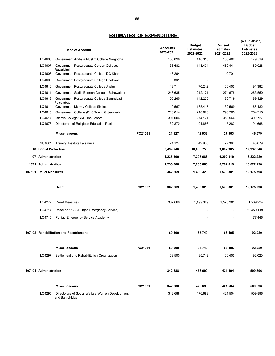|                             | <b>Head of Account</b>                                              |         | <b>Accounts</b><br>2020-2021 | <b>Budget</b><br><b>Estimates</b><br>2021-2022 | <b>Revised</b><br><b>Estimates</b><br>2021-2022 | (Rs. in million)<br><b>Budget</b><br><b>Estimates</b><br>2022-2023 |
|-----------------------------|---------------------------------------------------------------------|---------|------------------------------|------------------------------------------------|-------------------------------------------------|--------------------------------------------------------------------|
| LQ4606                      | Government Ambala Muslim College Sargodha                           |         | 135.096                      | 118.313                                        | 180.402                                         | 179.519                                                            |
| LQ4607                      | Government Postgraduate Gordon College,<br>Rawalpindi               |         | 136.682                      | 148.434                                        | 469.441                                         | 180.028                                                            |
| LQ4608                      | Government Postgraduate College DG Khan                             |         | 48.264                       |                                                | 0.701                                           | $\blacksquare$                                                     |
| LQ4609                      | Government Postgraduate College Chakwal                             |         | 0.361                        |                                                |                                                 |                                                                    |
| LQ4610                      | Government Postgraduate College Jhelum                              |         | 43.711                       | 70.242                                         | 66.405                                          | 91.382                                                             |
| LQ4611                      | Government Sadiq Egerton College, Bahawalpur                        |         | 246.635                      | 212.171                                        | 274.678                                         | 263.550                                                            |
| LQ4613                      | Government Postgraduate College Samnabad                            |         | 155.265                      | 142.225                                        | 180.719                                         | 189.129                                                            |
| LQ4614                      | Faisalabad<br>Government Murray College Sialkot                     |         | 119.567                      | 135.417                                        | 132.569                                         | 168.482                                                            |
| LQ4615                      | Government College (B) S.Town, Gujranwala                           |         | 213.014                      | 218.678                                        | 298.705                                         | 264.715                                                            |
| LQ4617                      | Islamia College Civil Line Lahore                                   |         | 301.006                      | 274.171                                        | 359.564                                         | 300.727                                                            |
| LQ4678                      | Directorate of Religious Education Punjab                           |         | 32.870                       | 91.666                                         | 45.282                                          | 91.666                                                             |
|                             | <b>Miscellaneous</b>                                                | PC21031 | 21.127                       | 42.938                                         | 27.363                                          | 46.679                                                             |
| GU4001                      | Training Institute Lalamusa                                         |         | 21.127                       | 42.938                                         | 27.363                                          | 46.679                                                             |
| <b>10 Social Protection</b> |                                                                     |         | 6,499.246                    | 10,086.750                                     | 9,092.905                                       | 19,937.046                                                         |
| 107 Administration          |                                                                     |         | 4,235.300                    | 7,205.686                                      | 6,292.819                                       | 16,822.220                                                         |
| 1071 Administration         |                                                                     |         | 4,235.300                    | 7,205.686                                      | 6,292.819                                       | 16,822.220                                                         |
| 107101 Relief Measures      |                                                                     |         | 362.669                      | 1,499.329                                      | 1,570.381                                       | 12,175.798                                                         |
|                             | Relief                                                              | PC21027 | 362.669                      | 1,499.329                                      | 1,570.381                                       | 12,175.798                                                         |
| LQ4277                      | <b>Relief Measures</b>                                              |         | 362.669                      | 1,499.329                                      | 1,570.381                                       | 1,539.234                                                          |
| LQ4714                      | Rescuee 1122 (Punjab Emergency Service)                             |         |                              |                                                |                                                 | 10,459.118                                                         |
|                             | LQ4715 Punjab Emergency Service Academy                             |         |                              |                                                |                                                 | 177.446                                                            |
|                             | 107102 Rehabilitation and Resettlement                              |         | 69.500                       | 85.749                                         | 66.405                                          | 92.020                                                             |
|                             | <b>Miscellaneous</b>                                                | PC21031 | 69.500                       | 85.749                                         | 66.405                                          | 92.020                                                             |
| LQ4297                      | Settlement and Rehabilitation Organization                          |         | 69.500                       | 85.749                                         | 66.405                                          | 92.020                                                             |
| 107104 Administration       |                                                                     |         | 342.688                      | 476.699                                        | 421.504                                         | 509.896                                                            |
|                             | <b>Miscellaneous</b>                                                | PC21031 | 342.688                      | 476.699                                        | 421.504                                         | 509.896                                                            |
| LQ4295                      | Directorate of Social Welfare Women Development<br>and Bait-ul-Maal |         | 342.688                      | 476.699                                        | 421.504                                         | 509.896                                                            |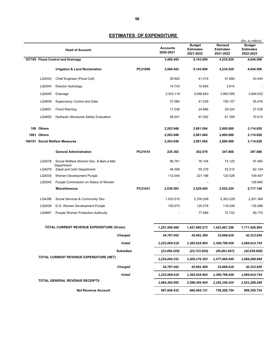|             | <b>Head of Account</b>                                |         | <b>Accounts</b><br>2020-2021 | <b>Budget</b><br><b>Estimates</b><br>2021-2022 | <b>Revised</b><br><b>Estimates</b><br>2021-2022 | (Rs. in million)<br><b>Budget</b><br><b>Estimates</b><br>2022-2023 |
|-------------|-------------------------------------------------------|---------|------------------------------|------------------------------------------------|-------------------------------------------------|--------------------------------------------------------------------|
|             | 107105 Flood Control and Drainage                     |         | 3,460.443                    | 5,143.909                                      | 4,234.529                                       | 4,044.506                                                          |
|             | Irrigation & Land Reclamation                         | PC21009 | 3,460.443                    | 5,143.909                                      | 4,234.529                                       | 4,044.506                                                          |
| LQ4043      | Chief Engineer (Flood Cell)                           |         | 39.920                       | 41.419                                         | 41.680                                          | 43.444                                                             |
| LQ4044      | Director Hydrology                                    |         | 14.743                       | 10.640                                         | 3.914                                           |                                                                    |
| LQ4045      | Drainage                                              |         | 3,303.119                    | 4,958.663                                      | 3,993.095                                       | 3,848.032                                                          |
| LQ4639      | Supervisory Control and Data                          |         | 37.084                       | 41.029                                         | 105.157                                         | 55.476                                                             |
| LQ4651      | <b>Flood Warning</b>                                  |         | 17.036                       | 24.866                                         | 29.324                                          | 27.039                                                             |
| LQ4652      | <b>Hydraulic Structures Safety Evaluation</b>         |         | 48.541                       | 67.292                                         | 61.359                                          | 70.515                                                             |
| 108 Others  |                                                       |         | 2,263.946                    | 2,881.064                                      | 2,800.086                                       | 3,114.826                                                          |
| 1081 Others |                                                       |         | 2,263.946                    | 2,881.064                                      | 2,800.086                                       | 3,114.826                                                          |
|             | 108101 Social Welfare Measures                        |         | 2,263.946                    | 2,881.064                                      | 2,800.086                                       | 3,114.826                                                          |
|             | <b>General Administration</b>                         | PC21010 | 225.363                      | 352.579                                        | 247.866                                         | 397.686                                                            |
| LQ4078      | Social Welfare Women Dev. & Bait-ul-Mal<br>Department |         | 66.761                       | 76.104                                         | 74.125                                          | 97.465                                                             |
| LQ4079      | Zakat and Ushr Department                             |         | 46.558                       | 55.279                                         | 53.215                                          | 62.104                                                             |
| LQ5035      | Women Development Punjab                              |         | 112.044                      | 221.196                                        | 120.526                                         | 109.457                                                            |
| LQ5042      | Punjab Commission on Status of Women                  |         |                              |                                                |                                                 | 128.660                                                            |
|             | <b>Miscellaneous</b>                                  | PC21031 | 2,038.583                    | 2,528.485                                      | 2,552.220                                       | 2,717.140                                                          |
| LQ4296      | Social Services & Community Dev.                      |         | 1,933.510                    | 2,330.208                                      | 2,363.229                                       | 2,501.384                                                          |
| LQ5036      | D.G. Women Development Punjab                         |         | 105.073                      | 120.578                                        | 116.249                                         | 135.586                                                            |
| LQ4691      | Punjab Women Protection Authouity                     |         |                              | 77.699                                         | 72.742                                          | 80.170                                                             |
|             | <b>TOTAL CURRENT REVENUE EXPENDITURE (Gross)</b>      |         | 1,257,456.560                | 1,427,900.273                                  | 1,423,667.256                                   | 1,711,928.564                                                      |
|             | Charged                                               |         | 34,787.042                   | 43,981.369                                     | 33,868.618                                      | 42,313.830                                                         |
|             | <b>Voted</b>                                          |         | 1,222,669.518                | 1,383,918.904                                  | 1,389,798.638                                   | 1,669,614.734                                                      |
|             | <b>Subsidies</b>                                      |         | (23, 456.229)                | (22, 723.920)                                  | (45,801.607)                                    | (42, 639.665)                                                      |
|             | TOTAL CURRENT REVENUE EXPENDITURE (NET)               |         | 1,234,000.331                | 1,405,176.353                                  | 1,377,865.649                                   | 1,669,288.899                                                      |
|             | Charged                                               |         | 34,787.042                   | 43,981.369                                     | 33,868.618                                      | 42,313.830                                                         |
|             | Voted                                                 |         | 1,222,669.518                | 1,383,918.904                                  | 1,389,798.638                                   | 1,669,614.734                                                      |
|             | TOTAL GENERAL REVENUE RECEIPTS                        |         | 1,665,304.992                | 2,088,304.404                                  | 2,182,196.010                                   | 2,521,288.298                                                      |
|             | <b>Net Revenue Account</b>                            |         | 407,848.432                  | 660,404.131                                    | 758,528.754                                     | 809,359.734                                                        |
|             |                                                       |         |                              |                                                |                                                 |                                                                    |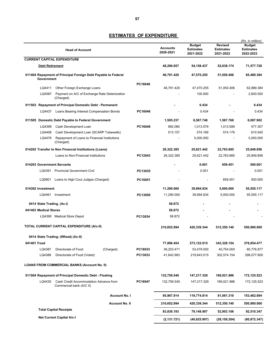|                            | <b>Head of Account</b>                                        |                       |         | <b>Accounts</b><br>2020-2021 | <b>Budget</b><br><b>Estimates</b><br>2021-2022 | <b>Revised</b><br><b>Estimates</b><br>2021-2022 | (Rs. in million)<br>Budget<br><b>Estimates</b><br>2022-2023 |
|----------------------------|---------------------------------------------------------------|-----------------------|---------|------------------------------|------------------------------------------------|-------------------------------------------------|-------------------------------------------------------------|
|                            | <b>CURRENT CAPITAL EXPENDITURE</b>                            |                       |         |                              |                                                |                                                 |                                                             |
| <b>Debt Retirement</b>     |                                                               |                       |         | 48,296.657                   | 54,158.437                                     | 52,638.174                                      | 71,577.720                                                  |
|                            | 011404 Repayment of Principal Foreign Debt Payable to Federal |                       |         | 46,791.420                   | 47,570.255                                     | 51,050.406                                      | 65,489.384                                                  |
| Government                 |                                                               |                       |         |                              |                                                |                                                 |                                                             |
|                            |                                                               |                       | PC16048 |                              |                                                |                                                 |                                                             |
| LQ4411<br>LQ4587           | Other Foreign Exchange Loans                                  |                       |         | 46,791.420                   | 47,470.255<br>100.000                          | 51,050.406                                      | 62,889.384<br>2,600.000                                     |
|                            | Payment on A/C of Exchange Rate Deterioration<br>(Charged)    |                       |         |                              |                                                |                                                 |                                                             |
|                            | 011503 Repayment of Principal Domestic Debt - Permanent       |                       |         |                              | 0.434                                          |                                                 | 0.434                                                       |
| LQ4437                     | Loans Bearing Interest Compensation Bonds                     |                       | PC16046 |                              | 0.434                                          |                                                 | 0.434                                                       |
|                            | 011505 Domestic Debt Payable to Federal Government            |                       |         | 1,505.237                    | 6,587.748                                      | 1,587.768                                       | 6,087.902                                                   |
| LQ4399                     | Cash Development Loan                                         |                       | PC16048 | 992.080                      | 1,013.579                                      | 1,013.589                                       | 477.357                                                     |
| LQ4406                     | Cash Development Loan (SCARP Tubewells)                       |                       |         | 513.157                      | 574.169                                        | 574.179                                         | 610.545                                                     |
| LQ4476                     | Repayment of Loans to Financial Institutions<br>(Charged)     |                       |         |                              | 5,000.000                                      |                                                 | 5,000.000                                                   |
|                            | 014202 Transfer to Non Financial Institutions (Loans)         |                       |         | 26,322.385                   | 25,621.442                                     | 22,763.685                                      | 25,849.856                                                  |
|                            | Loans to Non-Financial Institutions                           |                       | PC12043 | 26,322.385                   | 25.621.442                                     | 22.763.685                                      | 25,849.856                                                  |
| 014203 Government Servants |                                                               |                       |         |                              | 0.001                                          | 659.451                                         | 500.001                                                     |
|                            | LQ4391 Provincial Government Civil                            |                       | PC13035 |                              | 0.001                                          |                                                 | 0.001                                                       |
|                            |                                                               |                       |         |                              |                                                |                                                 |                                                             |
|                            | LQ5801 Loans to High Cout Judges (Charged)                    |                       | PC16051 |                              |                                                | 659.451                                         | 500.000                                                     |
| 014302 Investment          |                                                               |                       |         | 11,290.000                   | 39,994.934                                     | 5,000.000                                       | 55,555.117                                                  |
|                            | LQ4461 Investment                                             |                       | PC13050 | 11,290.000                   | 39,994.934                                     | 5,000.000                                       | 55,555.117                                                  |
| 0414 State Trading. (Ac.I) |                                                               |                       |         | 58.872                       |                                                |                                                 |                                                             |
| 041403 Medical Stores      |                                                               |                       |         | 58.872                       |                                                |                                                 |                                                             |
|                            | LQ4390 Medical Store Depot                                    |                       | PC13034 | 58.872                       |                                                |                                                 |                                                             |
|                            | TOTAL CURRENT CAPITAL EXPENDITURE (A/c-II)                    |                       |         | 210,652.994                  | 420,339.344                                    | 512,350.140                                     | 550,980.000                                                 |
|                            |                                                               |                       |         |                              |                                                |                                                 |                                                             |
| 041401 Food                | 0414 State Trading: (Wheat) (Ac-II)                           |                       |         | 77,896.454                   | 273,122.015                                    | 343,328.154                                     | 378,854.477                                                 |
| LQ4387                     | Directorate of Food                                           | (Charged)             | PC16033 | 36,253.471                   | 53,479.000                                     | 40,754.000                                      | 80,776.877                                                  |
| LQ4388                     | Directorate of Food (Voted)                                   |                       | PC13033 | 41,642.983                   | 219,643.015                                    | 302,574.154                                     | 298,077.600                                                 |
|                            | <b>LOANS FROM COMMERCIAL BANKS (Account No. II)</b>           |                       |         |                              |                                                |                                                 |                                                             |
|                            | 011504 Repayment of Principal Domestic Debt - Floating        |                       |         | 132,756.540                  | 147,217.329                                    | 169,021.986                                     | 172,125.523                                                 |
| LQ4435                     | Cash Credit Accommodation Advance from                        |                       | PC16047 | 132,756.540                  | 147,217.329                                    | 169,021.986                                     | 172,125.523                                                 |
|                            | Commercial bank (A/C II)                                      |                       |         |                              |                                                |                                                 |                                                             |
|                            |                                                               | <b>Account No. I</b>  |         | 85,967.914                   | 119,774.814                                    | 81,061.310                                      | 153,482.694                                                 |
|                            |                                                               | <b>Account No. II</b> |         | 210,652.994                  | 420,339.344                                    | 512,350.140                                     | 550,980.000                                                 |
|                            | <b>Total Capital Receipts</b>                                 |                       |         | 83,836.193                   | 79,148.907                                     | 52,903.106                                      | 92,510.347                                                  |
|                            | <b>Net Current Capital A/c-I</b>                              |                       |         | (2, 131.721)                 | (40, 625.907)                                  | (28, 158.204)                                   | (60, 972.347)                                               |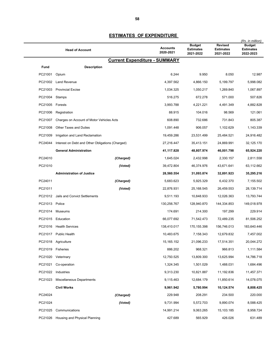|                 | <b>Head of Account</b>                           | <b>Accounts</b><br>2020-2021         | <b>Budget</b><br><b>Estimates</b><br>2021-2022 | <b>Revised</b><br><b>Estimates</b><br>2021-2022 | (Rs. in million)<br><b>Budget</b><br><b>Estimates</b><br>2022-2023 |
|-----------------|--------------------------------------------------|--------------------------------------|------------------------------------------------|-------------------------------------------------|--------------------------------------------------------------------|
|                 |                                                  | <b>Current Expenditure - SUMMARY</b> |                                                |                                                 |                                                                    |
| Fund            | <b>Description</b>                               |                                      |                                                |                                                 |                                                                    |
| PC21001         | Opium                                            | 6.244                                | 9.950                                          | 8.050                                           | 12.987                                                             |
| PC21002         | <b>Land Revenue</b>                              | 4,397.562                            | 4,866.150                                      | 5,199.797                                       | 5,998.082                                                          |
| PC21003         | <b>Provincial Excise</b>                         | 1,034.325                            | 1,050.217                                      | 1,269.840                                       | 1,067.897                                                          |
| PC21004 Stamps  |                                                  | 516.275                              | 672.278                                        | 571.000                                         | 507.826                                                            |
| PC21005 Forests |                                                  | 3,993.788                            | 4,221.221                                      | 4,491.349                                       | 4,882.828                                                          |
| PC21006         | Registration                                     | 88.915                               | 104.016                                        | 98.569                                          | 121.061                                                            |
| PC21007         | Charges on Account of Motor Vehicles Acts        | 608.890                              | 732.686                                        | 731.843                                         | 805.387                                                            |
| PC21008         | <b>Other Taxes and Duties</b>                    | 1,091.448                            | 906.057                                        | 1,102.629                                       | 1,143.339                                                          |
| PC21009         | Irrigation and Land Reclamation                  | 19,459.286                           | 23,531.499                                     | 25,484.521                                      | 24,916.482                                                         |
| PC24044         | Interest on Debt and Other Obligations (Charged) | 27,216.447                           | 35,413.151                                     | 24,869.991                                      | 32,125.170                                                         |
|                 | <b>General Administration</b>                    | 41,117.828                           | 48,807.974                                     | 46,001.798                                      | 65,924.220                                                         |
| PC24010         | (Charged)                                        | 1,645.024                            | 2,432.998                                      | 2,330.157                                       | 2,811.558                                                          |
| PC21010         | (Voted)                                          | 39,472.804                           | 46,374.976                                     | 43,671.641                                      | 63,112.662                                                         |
|                 | <b>Administration of Justice</b>                 | 28,560.554                           | 31,093.874                                     | 32,891.923                                      | 35,295.216                                                         |
| PC24011         | (Charged)                                        | 5,683.623                            | 5,925.329                                      | 6,432.370                                       | 7,155.502                                                          |
| PC21011         | (Voted)                                          | 22,876.931                           | 25,168.545                                     | 26,459.553                                      | 28,139.714                                                         |
| PC21012         | Jails and Convict Settlements                    | 9,511.193                            | 10,848.933                                     | 12,026.363                                      | 13,793.744                                                         |
| PC21013 Police  |                                                  | 130,256.767                          | 128,940.870                                    | 144,334.853                                     | 149,018.978                                                        |
| PC21014         | Museums                                          | 174.691                              | 214.300                                        | 197.299                                         | 229.914                                                            |
|                 | PC21015 Education                                | 66,077.692                           | 71,542.473                                     | 72,489.235                                      | 81,506.252                                                         |
| PC21016         | <b>Health Services</b>                           | 138,410.017                          | 170,155.398                                    | 156,746.013                                     | 183,640.446                                                        |
|                 | PC21017 Public Health                            | 10,483.675                           | 7,158.343                                      | 12,679.832                                      | 7,457.002                                                          |
|                 | PC21018 Agriculture                              | 15,165.152                           | 21,096.233                                     | 17,514.351                                      | 20,044.272                                                         |
|                 | PC21019 Fisheries                                | 886.202                              | 968.321                                        | 966.813                                         | 1,111.584                                                          |
|                 | PC21020 Veterinary                               | 12,750.525                           | 13,809.300                                     | 13,625.994                                      | 14,786.718                                                         |
| PC21021         | Co-operation                                     | 1,324.345                            | 1,501.029                                      | 1,488.031                                       | 1,684.496                                                          |
|                 | PC21022 Industries                               | 9,313.230                            | 10,821.887                                     | 11,192.836                                      | 11,457.371                                                         |
| PC21023         | <b>Miscellaneous Departments</b>                 | 9,115.463                            | 12,684.179                                     | 11,850.614                                      | 14,078.075                                                         |
|                 | <b>Civil Works</b>                               | 9,961.942                            | 5,780.994                                      | 10,124.574                                      | 8,808.425                                                          |
| PC24024         | (Charged)                                        | 229.948                              | 208.291                                        | 234.500                                         | 220.000                                                            |
| PC21024         | (Voted)                                          | 9,731.994                            | 5,572.703                                      | 9,890.074                                       | 8,588.425                                                          |
| PC21025         | Communications                                   | 14,991.214                           | 9,063.265                                      | 15,103.185                                      | 8,958.724                                                          |
|                 | PC21026 Housing and Physical Planning            | 427.689                              | 565.929                                        | 426.026                                         | 631.489                                                            |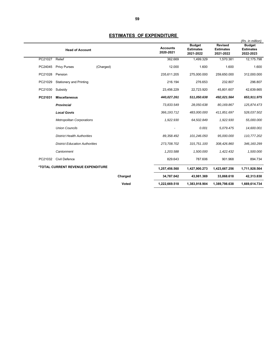|         | <b>Head of Account</b>                | <b>Accounts</b><br>2020-2021 | <b>Budget</b><br><b>Estimates</b><br>2021-2022 | <b>Revised</b><br><b>Estimates</b><br>2021-2022 | (Rs. in million)<br><b>Budget</b><br><b>Estimates</b><br>2022-2023 |
|---------|---------------------------------------|------------------------------|------------------------------------------------|-------------------------------------------------|--------------------------------------------------------------------|
| PC21027 | Relief                                | 362.669                      | 1.499.329                                      | 1.570.381                                       | 12,175.798                                                         |
| PC24045 | <b>Privy Purses</b><br>(Charged)      | 12.000                       | 1.600                                          | 1.600                                           | 1.600                                                              |
| PC21028 | Pension                               | 235,611.205                  | 275,000.000                                    | 259,650.000                                     | 312,000.000                                                        |
| PC21029 | Stationery and Printing               | 216.194                      | 276.653                                        | 232.807                                         | 296.807                                                            |
| PC21030 | Subsidy                               | 23,456.229                   | 22,723.920                                     | 45,801.607                                      | 42,639.665                                                         |
| PC21031 | <b>Miscellaneous</b>                  | 440,027.261                  | 511,050.638                                    | 492,021.564                                     | 653,911.975                                                        |
|         | <b>Provincial</b>                     | 73,833.549                   | 28,050.638                                     | 80,169.867                                      | 125,874.473                                                        |
|         | <b>Local Govts</b>                    | 366, 193.712                 | 483,000.000                                    | 411,851.697                                     | 528,037.502                                                        |
|         | <b>Metropolitan Corporations</b>      | 1,922.930                    | 64,502.849                                     | 1,922.930                                       | 55,000.000                                                         |
|         | <b>Union Councils</b>                 |                              | 0.001                                          | 5,079.475                                       | 14,600.001                                                         |
|         | <b>District Health Authorities</b>    | 89,358.492                   | 101,246.050                                    | 95,000.000                                      | 110,777.202                                                        |
|         | <b>District Education Authorities</b> | 273,708.702                  | 315,751.100                                    | 308,426.860                                     | 346, 160.299                                                       |
|         | Cantonment                            | 1,203.588                    | 1,500.000                                      | 1,422.432                                       | 1,500.000                                                          |
| PC21032 | Civil Defence                         | 829.643                      | 787.606                                        | 901.968                                         | 894.734                                                            |
|         | *TOTAL CURRENT REVENUE EXPENDITURE    | 1,257,456.560                | 1,427,900.273                                  | 1,423,667.256                                   | 1,711,928.564                                                      |
|         | Charged                               | 34,787.042                   | 43,981.369                                     | 33,868.618                                      | 42,313.830                                                         |
|         | Voted                                 | 1,222,669.518                | 1,383,918.904                                  | 1,389,798.638                                   | 1,669,614.734                                                      |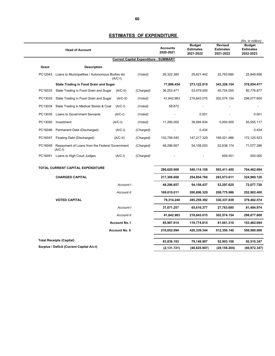|         | <b>Head of Account</b>                                      |                       |                                              | <b>Accounts</b><br>2020-2021 | <b>Budget</b><br><b>Estimates</b><br>2021-2022 | <b>Revised</b><br><b>Estimates</b><br>2021-2022 | (Rs. in million)<br><b>Budget</b><br><b>Estimates</b><br>2022-2023 |
|---------|-------------------------------------------------------------|-----------------------|----------------------------------------------|------------------------------|------------------------------------------------|-------------------------------------------------|--------------------------------------------------------------------|
|         |                                                             |                       | <b>Current Capital Expenditure - SUMMARY</b> |                              |                                                |                                                 |                                                                    |
| Grant   | <b>Description</b>                                          |                       |                                              |                              |                                                |                                                 |                                                                    |
| PC12043 | Loans to Municipalities / Autonomous Bodies etc             | $(A/C-I)$             | (Voted)                                      | 26,322.385                   | 25,621.442                                     | 22,763.685                                      | 25,849.856                                                         |
|         | <b>State Trading in Food Grain and Sugar</b>                |                       |                                              | 77,896.454                   | 273,122.015                                    | 343,328.154                                     | 378,854.477                                                        |
| PC16033 | State Trading in Food Grain and Sugar                       | $(A/C-II)$            | (Charged)                                    | 36,253.471                   | 53,479.000                                     | 40,754.000                                      | 80,776.877                                                         |
| PC13033 | State Trading in Food Grain and Sugar                       | $(A/C-II)$            | (Voted)                                      | 41,642.983                   | 219,643.015                                    | 302,574.154                                     | 298,077.600                                                        |
| PC13034 | State Trading in Medical Stores & Coal                      | $(A/C-I)$             | (Voted)                                      | 58.872                       |                                                |                                                 |                                                                    |
| PC13035 | <b>Loans to Government Servants</b>                         | $(A/C-I)$             | (Voted)                                      |                              | 0.001                                          |                                                 | 0.001                                                              |
| PC13050 | Investment                                                  | $(A/C-I)$             | (Voted)                                      | 11,290.000                   | 39,994.934                                     | 5,000.000                                       | 55,555.117                                                         |
| PC16046 | Permanent Debt (Discharged)                                 | $(A/C-I)$             | (Charged)                                    |                              | 0.434                                          |                                                 | 0.434                                                              |
| PC16047 | Floating Debt (Discharged)                                  | $(A/C-II)$            | (Charged)                                    | 132,756.540                  | 147,217.329                                    | 169,021.986                                     | 172,125.523                                                        |
| PC16048 | Repayment of Loans from the Federal Government<br>$(A/C-I)$ |                       | (Charged)                                    | 48,296.657                   | 54,158.003                                     | 52,638.174                                      | 71,577.286                                                         |
|         | PC16051 Loans to High Court Judges                          | $(A/C-I)$             | (Charged)                                    |                              |                                                | 659.451                                         | 500.000                                                            |
|         | TOTAL CURRENT CAPITAL EXPENDITURE                           |                       |                                              | 296,620.908                  | 540,114.158                                    | 593,411.450                                     | 704,462.694                                                        |
|         | <b>CHARGED CAPITAL</b>                                      |                       |                                              | 217,306.668                  | 254,854.766                                    | 263,073.611                                     | 324,980.120                                                        |
|         |                                                             | Account-I             |                                              | 48,296.657                   | 54,158.437                                     | 53,297.625                                      | 72,077.720                                                         |
|         |                                                             | Account-II            |                                              | 169,010.011                  | 200,696.329                                    | 209,775.986                                     | 252,902.400                                                        |
|         | <b>VOTED CAPITAL</b>                                        |                       |                                              | 79,314.240                   | 285,259.392                                    | 330,337.839                                     | 379,482.574                                                        |
|         |                                                             | Account-I             |                                              | 37,671.257                   | 65,616.377                                     | 27,763.685                                      | 81,404.974                                                         |
|         |                                                             | Account-II            |                                              | 41,642.983                   | 219,643.015                                    | 302,574.154                                     | 298,077.600                                                        |
|         |                                                             | <b>Account No. I</b>  |                                              | 85,967.914                   | 119,774.814                                    | 81,061.310                                      | 153,482.694                                                        |
|         |                                                             | <b>Account No. II</b> |                                              | 210,652.994                  | 420,339.344                                    | 512,350.140                                     | 550,980.000                                                        |
|         | <b>Total Receipts (Capital)</b>                             |                       |                                              | 83,836.193                   | 79,148.907                                     | 52,903.106                                      | 92,510.347                                                         |
|         | Surplus / Deficit (Current Capital A/c-I)                   |                       |                                              | (2, 131.721)                 | (40, 625.907)                                  | (28,158.204)                                    | (60, 972.347)                                                      |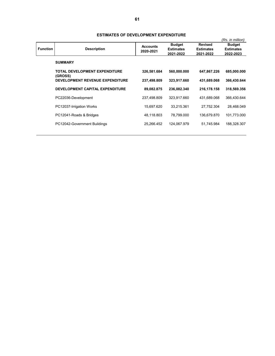|                 |                                          | <u>UI DEVEEUI MEIN EAN ENDITUINE</u> |                  |                  |                  |
|-----------------|------------------------------------------|--------------------------------------|------------------|------------------|------------------|
|                 |                                          |                                      |                  |                  | (Rs. in million) |
|                 |                                          | <b>Accounts</b>                      | <b>Budget</b>    | <b>Revised</b>   | <b>Budget</b>    |
| <b>Function</b> | <b>Description</b>                       | 2020-2021                            | <b>Estimates</b> | <b>Estimates</b> | <b>Estimates</b> |
|                 |                                          |                                      | 2021-2022        | 2021-2022        | 2022-2023        |
|                 | <b>SUMMARY</b>                           |                                      |                  |                  |                  |
|                 | TOTAL DEVELOPMENT EXPENDITURE<br>(GROSS) | 326,581.684                          | 560,000.000      | 647,867.226      | 685,000.000      |
|                 | <b>DEVELOPMENT REVENUE EXPENDITURE</b>   | 237,498.809                          | 323,917.660      | 431,689.068      | 366,430.644      |
|                 | DEVELOPMENT CAPITAL EXPENDITURE          | 89,082.875                           | 236,082.340      | 216,178.158      | 318,569.356      |
|                 | PC22036-Development                      | 237,498.809                          | 323,917.660      | 431,689.068      | 366,430.644      |
|                 | PC12037-Irrigation Works                 | 15.697.620                           | 33.215.361       | 27.752.304       | 28.468.049       |
|                 | PC12041-Roads & Bridges                  | 48,118.803                           | 78.799.000       | 136,679.870      | 101,773.000      |
|                 | PC12042-Government Buildings             | 25,266.452                           | 124.067.979      | 51,745.984       | 188,328.307      |

#### **ESTIMATES OF DEVELOPMENT EXPENDITURE**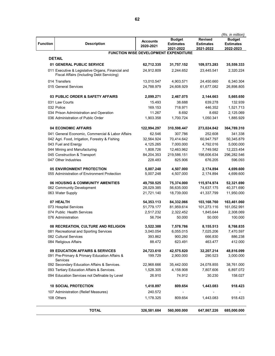|                 |                                                                                                |                              |                                       |                                    | (Rs. in million)                  |
|-----------------|------------------------------------------------------------------------------------------------|------------------------------|---------------------------------------|------------------------------------|-----------------------------------|
| <b>Function</b> | <b>Description</b>                                                                             | <b>Accounts</b><br>2020-2021 | <b>Budget</b><br><b>Estimates</b>     | <b>Revised</b><br><b>Estimates</b> | <b>Budget</b><br><b>Estimates</b> |
|                 |                                                                                                |                              | 2021-2022                             | 2021-2022                          | 2022-2023                         |
|                 |                                                                                                |                              | FUNCTION WISE DEVELOPMENT EXPENDITURE |                                    |                                   |
|                 | <b>DETAIL</b>                                                                                  |                              |                                       |                                    |                                   |
|                 | 01 GENERAL PUBLIC SERVICE                                                                      | 62,712.335                   | 31,757.152                            | 109,573.283                        | 35,559.333                        |
|                 | 011 Executive & Legislative Organs, Financial and<br>Fiscal Affairs (Including Debt Servicing) | 24,912.809                   | 2,244.652                             | 23,445.541                         | 2,320.224                         |
|                 | 014 Transfers                                                                                  | 13,010.547                   | 4,903.571                             | 24,450.660                         | 6,340.304                         |
|                 | 015 General Services                                                                           | 24,788.979                   | 24,608.929                            | 61,677.082                         | 26,898.805                        |
|                 | 03 PUBLIC ORDER & SAFETY AFFAIRS                                                               | 2,099.271                    | 2,467.075                             | 2,144.663                          | 5,665.650                         |
|                 | 031 Law Courts                                                                                 | 15.493                       | 38.688                                | 639.278                            | 132.939                           |
|                 | 032 Police                                                                                     | 169.153                      | 718.971                               | 446.352                            | 1,521.713                         |
|                 | 034 Prison Administration and Operation                                                        | 11.267                       | 8.692                                 | 8.692                              | 2,125.069                         |
|                 | 036 Administration of Public Order                                                             | 1,903.358                    | 1,700.724                             | 1,050.341                          | 1,885.929                         |
|                 | <b>04 ECONOMIC AFFAIRS</b>                                                                     | 122,994.297                  | 310,598.447                           | 273,024.842                        | 364,789.310                       |
|                 | 041 General Economic, Commercial & Labor Affairs                                               | 62.546                       | 307.786                               | 252.608                            | 341.338                           |
|                 | 042 Agri. Food, Irrigation, Forestry & Fishing                                                 | 32,564.924                   | 70,414.642                            | 60,947.797                         | 50,345.879                        |
|                 | 043 Fuel and Energy                                                                            | 4,125.265                    | 7,000.000                             | 4,792.016                          | 5,000.000                         |
|                 | 044 Mining and Manufacturing                                                                   | 1,808.726                    | 12,463.962                            | 7,749.582                          | 12,223.454                        |
|                 | 045 Construction & Transport                                                                   | 84,204.353                   | 219,586.151                           | 198,606.634                        | 296,282.546                       |
|                 | 047 Other Industries                                                                           | 228.483                      | 825.906                               | 676.205                            | 596.093                           |
|                 | <b>05 ENVIRONMENT PROTECTION</b>                                                               | 5,007.248                    | 4,507.000                             | 2,174.894                          | 4,699.600                         |
|                 | 055 Administration of Environment Protection                                                   | 5,007.248                    | 4,507.000                             | 2,174.894                          | 4,699.600                         |
|                 | 06 HOUSING & COMMUNITY AMENITIES                                                               | 49,750.525                   | 75,374.000                            | 115,974.974                        | 52,321.690                        |
|                 | 062 Community Development                                                                      | 28,029.385                   | 56,635.000                            | 74,637.175                         | 40,371.690                        |
|                 | 063 Water Supply                                                                               | 21,721.140                   | 18,739.000                            | 41,337.799                         | 11,950.000                        |
|                 | 07 HEALTH                                                                                      | 54,353.113                   | 84,332.066                            | 103,168.760                        | 163,461.060                       |
|                 | 073 Hospital Services                                                                          | 51,779.177                   | 81,959.614                            | 101,273.116                        | 161,052.991                       |
|                 | 074 Public Health Services                                                                     | 2,517.232                    | 2,322.452                             | 1,845.644                          | 2,308.069                         |
|                 | 076 Administration                                                                             | 56.704                       | 50.000                                | 50.000                             | 100.000                           |
|                 | 08 RECREATION, CULTURE AND RELIGION                                                            | 3,522.388                    | 7,578.786                             | 8,155.513                          | 8,768.835                         |
|                 | 081 Recreational and Sporting Services                                                         | 3,040.054                    | 6,055.015                             | 7,025.206                          | 7,470.597                         |
|                 | 082 Cultural Services                                                                          | 393.862                      | 900.280                               | 666.830                            | 886.238                           |
|                 | 084 Religious Affairs                                                                          | 88.472                       | 623.491                               | 463.477                            | 412.000                           |
|                 | <b>09 EDUCATION AFFAIRS &amp; SERVICES</b>                                                     | 24,723.610                   | 42,575.820                            | 32,207.214                         | 48,816.099                        |
|                 | 091 Pre-Primary & Primary Education Affairs &<br>Services                                      | 199.729                      | 2,900.000                             | 290.523                            | 3,000.000                         |
|                 | 092 Secondary Education Affairs & Services.                                                    | 22,968.666                   | 35,442.000                            | 24,078.855                         | 38,761.000                        |
|                 | 093 Tertiary Education Affairs & Services.                                                     | 1,528.305                    | 4,158.908                             | 7,807.606                          | 6,897.072                         |
|                 | 094 Education Services not Definable by Level                                                  | 26.910                       | 74.912                                | 30.230                             | 158.027                           |
|                 | <b>10 SOCIAL PROTECTION</b>                                                                    | 1,418.897                    | 809.654                               | 1,443.083                          | 918.423                           |
|                 | 107 Administration (Relief Measures)                                                           | 240.572                      |                                       |                                    |                                   |
|                 | 108 Others                                                                                     | 1,178.325                    | 809.654                               | 1,443.083                          | 918.423                           |
|                 | <b>TOTAL</b>                                                                                   | 326,581.684                  | 560,000.000                           | 647,867.226                        | 685,000.000                       |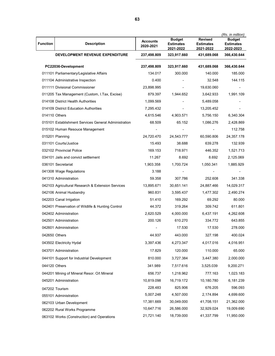|                 |                                                      |                              |                                                |                                                 | (Rs. in million)                               |
|-----------------|------------------------------------------------------|------------------------------|------------------------------------------------|-------------------------------------------------|------------------------------------------------|
| <b>Function</b> | <b>Description</b>                                   | <b>Accounts</b><br>2020-2021 | <b>Budget</b><br><b>Estimates</b><br>2021-2022 | <b>Revised</b><br><b>Estimates</b><br>2021-2022 | <b>Budget</b><br><b>Estimates</b><br>2022-2023 |
|                 | <b>DEVELOPMENT REVENUE EXPENDITURE</b>               | 237,498.809                  | 323,917.660                                    | 431,689.068                                     | 366,430.644                                    |
|                 | PC22036-Development                                  | 237,498.809                  | 323,917.660                                    | 431,689.068                                     | 366,430.644                                    |
|                 | 011101 Parliamentary/Legislative Affairs             | 134.017                      | 300.000                                        | 140.000                                         | 185.000                                        |
|                 | 011104 Administrative Inspection                     | 0.400                        |                                                | 32.548                                          | 144.115                                        |
|                 | 011111 Divisional Commissioner                       | 23,898.995                   |                                                | 19,630.060                                      | $\overline{\phantom{a}}$                       |
|                 | 011205 Tax Management (Custom, I.Tax, Excise)        | 879.397                      | 1,944.652                                      | 3,642.933                                       | 1,991.109                                      |
|                 | 014108 District Health Authorities                   | 1,099.569                    |                                                | 5,489.058                                       |                                                |
|                 | 014109 District Education Authorities                | 7,295.432                    | $\blacksquare$                                 | 13,205.452                                      |                                                |
| 014110 Others   |                                                      | 4,615.546                    | 4,903.571                                      | 5,756.150                                       | 6,340.304                                      |
|                 | 015101 Establishment Services General Administration | 68.509                       | 65.152                                         | 1,086.276                                       | 2,428.869                                      |
|                 | 015102 Human Resouce Management                      |                              | $\overline{\phantom{a}}$                       | $\qquad \qquad \blacksquare$                    | 112.758                                        |
|                 | 015201 Planning                                      | 24,720.470                   | 24,543.777                                     | 60,590.806                                      | 24,357.178                                     |
|                 | 031101 Courts/Justice                                | 15.493                       | 38.688                                         | 639.278                                         | 132.939                                        |
|                 | 032102 Provincial Police                             | 169.153                      | 718.971                                        | 446.352                                         | 1,521.713                                      |
|                 | 034101 Jails and convict settlement                  | 11.267                       | 8.692                                          | 8.692                                           | 2,125.069                                      |
|                 | 036101 Secretariat                                   | 1,903.358                    | 1,700.724                                      | 1,050.341                                       | 1,885.929                                      |
|                 | 041308 Wage Regulations                              | 3.188                        | $\overline{\phantom{a}}$                       |                                                 |                                                |
|                 | 041310 Administration                                | 59.358                       | 307.786                                        | 252.608                                         | 341.338                                        |
|                 | 042103 Agricultural Research & Extension Services    | 13,895.671                   | 30,651.141                                     | 24,887.466                                      | 14,029.317                                     |
|                 | 042106 Animal Husbandry                              | 960.831                      | 3,595.437                                      | 1,477.302                                       | 2,490.274                                      |
|                 | 042203 Canal Irrigation                              | 51.410                       | 169.292                                        | 69.292                                          | 80.000                                         |
|                 | 042401 Preservation of Wildlife & Hunting Control    | 44.372                       | 319.264                                        | 309.742                                         | 611.801                                        |
|                 | 042402 Administration                                | 2,620.529                    | 4,000.000                                      | 6,437.191                                       | 4,262.608                                      |
|                 | 042501 Administration                                | 200.126                      | 610.270                                        | 334.772                                         | 643.855                                        |
|                 | 042601 Administration                                |                              | 17.530                                         | 17.530                                          | 278.000                                        |
| 042650 Others   |                                                      | 44.937                       | 443.000                                        | 327.198                                         | 400.024                                        |
|                 | 043502 Electricity Hydal                             | 3,397.436                    | 4,273.347                                      | 4,017.016                                       | 4,016.951                                      |
|                 | 043701 Administration                                | 17.829                       | 120.000                                        | 110.000                                         | 65.000                                         |
|                 | 044101 Support for Industrial Development            | 810.000                      | 3,727.384                                      | 3,447.380                                       | 2,000.000                                      |
| 044120 Others   |                                                      | 341.989                      | 7,517.616                                      | 3,525.039                                       | 9,200.271                                      |
|                 | 044201 Mining of Mineral Resor. O/t Mineral          | 656.737                      | 1,218.962                                      | 777.163                                         | 1,023.183                                      |
|                 | 045201 Administration                                | 10,819.098                   | 16,719.172                                     | 10,180.780                                      | 6,181.239                                      |
|                 |                                                      | 228.483                      | 825.906                                        | 676.205                                         | 596.093                                        |
|                 | 047202 Tourism                                       | 5,007.248                    | 4,507.000                                      | 2,174.894                                       | 4,699.600                                      |
|                 | 055101 Administration                                | 17,381.669                   | 30,049.000                                     | 41,708.151                                      | 21,362.000                                     |
|                 | 062103 Urban Development                             | 10,647.716                   | 26,586.000                                     | 32,929.024                                      | 19,009.690                                     |
|                 | 062202 Rural Works Programme                         | 21,721.140                   | 18,739.000                                     | 41,337.799                                      | 11,950.000                                     |
|                 | 063102 Works (Construction) and Operations           |                              |                                                |                                                 |                                                |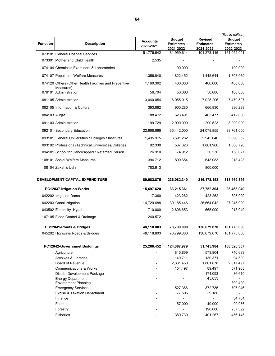|                                 |                                                                    |                              |                                   |                                    | (Rs. in million)                  |
|---------------------------------|--------------------------------------------------------------------|------------------------------|-----------------------------------|------------------------------------|-----------------------------------|
| <b>Function</b>                 | <b>Description</b>                                                 | <b>Accounts</b><br>2020-2021 | <b>Budget</b><br><b>Estimates</b> | <b>Revised</b><br><b>Estimates</b> | <b>Budget</b><br><b>Estimates</b> |
|                                 |                                                                    | 51,776.642                   | 2021-2022<br>81,959.614           | 2021-2022<br>101,273.116           | 2022-2023<br>161,052.991          |
|                                 | 073101 General Hospital Services<br>073301 Mother and Child Health | 2.535                        |                                   |                                    |                                   |
|                                 |                                                                    |                              |                                   |                                    |                                   |
|                                 | 074104 Chemicals Examiners & Laboratories                          |                              | 100.000                           |                                    | 100.000                           |
|                                 | 074107 Population Welfare Measures                                 | 1,356.840                    | 1,822.452                         | 1,445.644                          | 1,808.069                         |
|                                 | 074120 Others (Other Health Facilities and Preventive<br>Measures) | 1,160.392                    | 400.000                           | 400.000                            | 400.000                           |
|                                 | 076101 Administration                                              | 56.704                       | 50.000                            | 50.000                             | 100.000                           |
|                                 | 081105 Administration                                              | 3,040.054                    | 6,055.015                         | 7,025.206                          | 7,470.597                         |
|                                 | 082105 Information & Culture                                       | 393.862                      | 900.280                           | 666.830                            | 886.238                           |
| 084103 Augaf                    |                                                                    | 88.472                       | 623.491                           | 463.477                            | 412.000                           |
|                                 | 091103 Administration                                              | 199.729                      | 2,900.000                         | 290.523                            | 3,000.000                         |
|                                 | 092101 Secondary Education                                         | 22,968.666                   | 35,442.000                        | 24,078.855                         | 38,761.000                        |
|                                 | 093101 General Universities / Colleges / Institutes                | 1,435.975                    | 3,591.282                         | 5,945.640                          | 5,896.352                         |
|                                 | 093102 Professional/Technical Universities/Colleges                | 92.330                       | 567.626                           | 1,861.966                          | 1,000.720                         |
|                                 | 094101 School for Handicapped / Retarded Person                    | 26.910                       | 74.912                            | 30.230                             | 158.027                           |
|                                 | 108101 Social Welfare Measures                                     | 394.712                      | 809.654                           | 643.083                            | 918.423                           |
|                                 | 108104 Zakat & Ushr                                                | 783.613                      |                                   | 800.000                            |                                   |
|                                 |                                                                    |                              |                                   |                                    |                                   |
| DEVELOPMENT CAPITAL EXPENDITURE |                                                                    |                              |                                   |                                    |                                   |
|                                 |                                                                    | 89,082.875                   | 236,082.340                       | 216,178.158                        | 318,569.356                       |
|                                 | PC12037-Irrigation Works                                           | 15,697.620                   | 33,215.361                        | 27,752.304                         | 28,468.049                        |
|                                 | 042202 Irrigation Dams                                             | 17.360                       | 423.262                           | 423.262                            | 305.000                           |
|                                 | 042203 Canal Irrigation                                            | 14,729.688                   | 30,185.446                        | 26,664.042                         | 27,245.000                        |
|                                 | 043502 Electricity - Hydal                                         | 710.000                      | 2,606.653                         | 665.000                            | 918.049                           |
|                                 | 107105 Flood Control & Drainage                                    | 240.572                      |                                   |                                    |                                   |
|                                 |                                                                    |                              |                                   |                                    |                                   |
|                                 | PC12041-Roads & Bridges                                            | 48,118.803                   | 78,799.000                        | 136,679.870                        | 101,773.000                       |
|                                 | 045202 Highways Roads & Bridges                                    | 48,118.803                   | 78,799.000                        | 136,679.870                        | 101,773.000                       |
|                                 | PC12042-Governmnet Buildings                                       | 25,266.452                   | 124,067.979                       | 51,745.984                         | 188,328.307                       |
|                                 | Agriculture                                                        |                              | 845.859                           | 573.804                            | 740.683                           |
|                                 | <b>Archives &amp; Libraries</b>                                    |                              | 140.711                           | 130.371                            | 94.500                            |
|                                 | <b>Board of Revenue</b>                                            |                              | 2,331.450                         | 1,861.878                          | 2,817.497                         |
|                                 | <b>Communications &amp; Works</b>                                  |                              | 154.497                           | 89.497                             | 571.963                           |
|                                 | District Development Package                                       |                              |                                   | 174.093                            | 36.610                            |
|                                 | <b>Energy Department</b>                                           |                              |                                   | 45.653                             |                                   |
|                                 | <b>Environment Planning</b>                                        |                              |                                   |                                    | 300.400                           |
|                                 | <b>Emergency Services</b>                                          |                              | 527.366                           | 372.735                            | 707.946                           |
|                                 | Excise & Taxation Department                                       |                              | 77.505                            | 39.180                             |                                   |
|                                 | Finance                                                            |                              |                                   |                                    | 34.704                            |
|                                 | Food                                                               |                              | 57.000                            | 49.000                             | 99.976                            |
|                                 | Forestry                                                           |                              |                                   | 190.000                            | 237.392                           |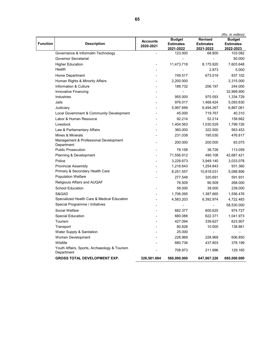|          |                                                            |                              |                                                |                                                 | (Rs. in million)                               |
|----------|------------------------------------------------------------|------------------------------|------------------------------------------------|-------------------------------------------------|------------------------------------------------|
| Function | <b>Description</b>                                         | <b>Accounts</b><br>2020-2021 | <b>Budget</b><br><b>Estimates</b><br>2021-2022 | <b>Revised</b><br><b>Estimates</b><br>2021-2022 | <b>Budget</b><br><b>Estimates</b><br>2022-2023 |
|          | Governance & Informatin Technology                         |                              | 123.000                                        | 68.800                                          | 103.082                                        |
|          | Governor Secretariat                                       |                              |                                                | $\overline{\phantom{a}}$                        | 50.000                                         |
|          | <b>Higher Education</b>                                    |                              | 11,473.718                                     | 8,175.920                                       | 7,603.648                                      |
|          | Health                                                     |                              |                                                | 2.873                                           | 5.000                                          |
|          | Home Department                                            |                              | 749.517                                        | 673.519                                         | 837.102                                        |
|          | Human Rights & Minority Affairs                            |                              | 2,200.000                                      |                                                 | 2,315.000                                      |
|          | Information & Culture                                      |                              | 188.732                                        | 206.197                                         | 244.000                                        |
|          | Innovative Financing                                       |                              |                                                |                                                 | 32,999.900                                     |
|          | Industries                                                 |                              | 955.000                                        | 975.593                                         | 1,334.729                                      |
|          | Jails                                                      |                              | 976.017                                        | 1,468.424                                       | 5,093.630                                      |
|          | Judiciary                                                  |                              | 5,997.699                                      | 6,494.267                                       | 6,867.061                                      |
|          | Local Government & Community Development                   |                              | 45.000                                         | 719.767                                         | 40.310                                         |
|          | Labor & Human Resource                                     |                              | 92.214                                         | 52.214                                          | 158.662                                        |
|          | Livestock                                                  |                              | 1,404.563                                      | 1,030.529                                       | 1,799.726                                      |
|          | Law & Parliamentary Affairs                                |                              | 360.000                                        | 322.500                                         | 563.453                                        |
|          | Mines & Minerals                                           |                              | 231.038                                        | 195.030                                         | 476.817                                        |
|          | Management & Professional Development<br>Department        |                              | 200.000                                        | 200.000                                         | 83.075                                         |
|          | <b>Public Prosecution</b>                                  |                              | 78.158                                         | 38.726                                          | 113.059                                        |
|          | Planning & Development                                     |                              | 71,556.912                                     | 490.108                                         | 42,687.421                                     |
|          | Police                                                     |                              | 3,228.673                                      | 3,949.140                                       | 3,033.078                                      |
|          | <b>Provincial Assembly</b>                                 |                              | 1,216.643                                      | 1,254.643                                       | 931.360                                        |
|          | Primary & Secondary Health Care                            |                              | 8,251.557                                      | 10,818.031                                      | 5,088.806                                      |
|          | <b>Population Welfare</b>                                  |                              | 277.548                                        | 320.691                                         | 591.931                                        |
|          | Religiouis Affairs and AUQAF                               |                              | 76.509                                         | 90.509                                          | 268.000                                        |
|          | <b>School Education</b>                                    |                              | 58.000                                         | 39.000                                          | 239.000                                        |
|          | S&GAD                                                      |                              | 1,706.095                                      | 1,387.665                                       | 1,556.476                                      |
|          | Specialized Health Care & Medical Education                |                              | 4,583.203                                      | 6,392.974                                       | 4,722.483                                      |
|          | Special Programme / Initiatives                            |                              |                                                |                                                 | 58,530.000                                     |
|          | Social Welfare                                             |                              | 682.377                                        | 600.620                                         | 974.727                                        |
|          | <b>Special Education</b>                                   |                              | 680.088                                        | 622.371                                         | 1,041.973                                      |
|          | Tourism                                                    |                              | 427.094                                        | 339.627                                         | 623.907                                        |
|          | Transport                                                  |                              | 80.828                                         | 10.000                                          | 138.861                                        |
|          | Water Supply & Sanitation                                  |                              | 25.000                                         |                                                 |                                                |
|          | Women Development                                          |                              | 228.969                                        | 228.969                                         | 606.850                                        |
|          | Wildlife                                                   |                              | 680.736                                        | 437.803                                         | 378.199                                        |
|          | Youth Affairs, Sports, Archaeology & Tourism<br>Department |                              | 708.973                                        | 211.996                                         | 129.165                                        |
|          | <b>GROSS TOTAL DEVELOPMENT EXP.</b>                        | 326,581.684                  | 560,000.000                                    | 647,867.226                                     | 685,000.000                                    |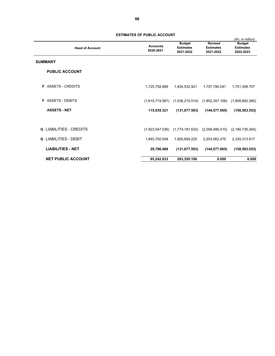| <b>Head of Account</b>       | <b>Accounts</b><br>2020-2021 | <b>Budget</b><br><b>Estimates</b><br>2021-2022        | <b>Revised</b><br><b>Estimates</b><br>2021-2022 | (Rs. in million)<br><b>Budget</b><br><b>Estimates</b><br>2022-2023 |
|------------------------------|------------------------------|-------------------------------------------------------|-------------------------------------------------|--------------------------------------------------------------------|
| <b>SUMMARY</b>               |                              |                                                       |                                                 |                                                                    |
| <b>PUBLIC ACCOUNT</b>        |                              |                                                       |                                                 |                                                                    |
| <b>F</b> ASSETS - CREDITS    | 1,725,758.888                | 1,404,532.921                                         | 1,707,780.041                                   | 1,751,308.707                                                      |
| <b>ASSETS - DEBITS</b><br>F. | (1,610,719.567)              | (1,536,210.514)                                       | (1,852,357.106)                                 | (1,909,892.260)                                                    |
| <b>ASSETS - NET</b>          | 115,039.321                  | (131, 677.593)                                        | (144, 577.065)                                  | (158, 583.553)                                                     |
| LIABILITIES - CREDITS<br>G.  |                              | $(1,923,547.036)$ $(1,774,181.632)$ $(2,058,485.410)$ |                                                 | (2, 180, 730.264)                                                  |
| LIABILITIES - DEBIT<br>G     | 1,893,750.548                | 1,905,859.225                                         | 2,203,062.475                                   | 2,339,313.817                                                      |
| <b>LIABILITIES - NET</b>     | 29,796.488                   | (131, 677.593)                                        | (144, 577.065)                                  | (158, 583.553)                                                     |
| <b>NET PUBLIC ACCOUNT</b>    | 85,242.833                   | 263,355.186                                           | 0.000                                           | 0.000                                                              |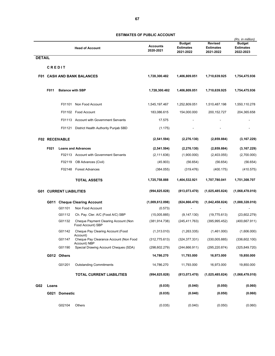|               |               |                                |                                                           |                              |                                                |                                                 | (Rs. in million)                               |
|---------------|---------------|--------------------------------|-----------------------------------------------------------|------------------------------|------------------------------------------------|-------------------------------------------------|------------------------------------------------|
|               |               |                                | <b>Head of Account</b>                                    | <b>Accounts</b><br>2020-2021 | <b>Budget</b><br><b>Estimates</b><br>2021-2022 | <b>Revised</b><br><b>Estimates</b><br>2021-2022 | <b>Budget</b><br><b>Estimates</b><br>2022-2023 |
| <b>DETAIL</b> |               |                                |                                                           |                              |                                                |                                                 |                                                |
|               | <b>CREDIT</b> |                                |                                                           |                              |                                                |                                                 |                                                |
|               |               |                                | <b>F01 CASH AND BANK BALANCES</b>                         | 1,728,300.482                | 1,406,809.051                                  | 1,710,639.925                                   | 1,754,475.936                                  |
|               | F011          | <b>Balance with SBP</b>        |                                                           | 1,728,300.482                | 1,406,809.051                                  | 1,710,639.925                                   | 1,754,475.936                                  |
|               |               | F01101                         | Non Food Account                                          | 1,545,197.467                | 1,252,809.051                                  | 1,510,487.198                                   | 1,550,110.278                                  |
|               |               |                                | F01102 Food Account                                       | 183,086.615                  | 154,000.000                                    | 200, 152. 727                                   | 204,365.658                                    |
|               |               |                                | F01113 Account with Government Servants                   | 17.575                       |                                                |                                                 |                                                |
|               |               | F01121                         | District Health Authority Punjab SBD                      | (1.175)                      |                                                |                                                 |                                                |
|               |               | <b>F02 RECEIVABLE</b>          |                                                           | (2,541.594)                  | (2, 276.130)                                   | (2,859.884)                                     | (3, 167.229)                                   |
|               | F021          |                                | <b>Loans and Advances</b>                                 | (2,541.594)                  | (2, 276.130)                                   | (2,859.884)                                     | (3, 167.229)                                   |
|               |               |                                | F02113 Account with Government Servants                   | (2, 111.636)                 | (1,900.000)                                    | (2,403.055)                                     | (2,700.000)                                    |
|               |               | F02119                         | OB Advances (Civil)                                       | (45.903)                     | (56.654)                                       | (56.654)                                        | (56.654)                                       |
|               |               | F02148                         | <b>Forest Advances</b>                                    | (384.055)                    | (319.476)                                      | (400.175)                                       | (410.575)                                      |
|               |               |                                | <b>TOTAL ASSETS</b>                                       | 1,725,758.888                | 1,404,532.921                                  | 1,707,780.041                                   | 1,751,308.707                                  |
|               |               | <b>G01 CURRENT LIABILITIES</b> |                                                           | (994, 825.828)               | (813,073.470)                                  | (1,025,485.824)                                 | (1,068,478.010)                                |
|               | G011          |                                | <b>Cheque Clearing Account</b>                            | (1,009,612.098)              | (824, 866.470)                                 | (1,042,458.824)                                 | (1,088,328.010)                                |
|               |               | G01101                         | Non Food Account                                          | (0.573)                      |                                                |                                                 |                                                |
|               |               | G01112                         | Ch. Pay. Cler. A/C (Food A/C) SBP                         | (15,005.885)                 | (9, 147.130)                                   | (19,775.613)                                    | (23,602.279)                                   |
|               |               | G01132                         | Cheque Payment Clearing Account (Non<br>Food Account) SBP | (381, 914.738)               | (245, 411.763)                                 | (395, 995.452)                                  | (400, 667.911)                                 |
|               |               | G01142                         | Cheque Pay Clearing Account (Food<br>Account)             | (1,313.010)                  | (1,263.335)                                    | (1,461.000)                                     | (1,606.000)                                    |
|               |               | G01147                         | Cheque Pay Clearance Account (Non Food                    | (312, 775.613)               | (324, 377.331)                                 | (330,005.885)                                   | (336, 602.100)                                 |
|               |               | G01190                         | Account) NBP<br>Special Drawing Account Cheques (SDA)     | (298, 602.279)               | (244, 666.911)                                 | (295, 220.874)                                  | (325, 849.720)                                 |
|               |               | G012 Others                    |                                                           | 14,786.270                   | 11,793.000                                     | 16,973.000                                      | 19,850.000                                     |
|               |               | G01201                         | <b>Outstanding Commitments</b>                            | 14,786.270                   | 11,793.000                                     | 16,973.000                                      | 19,850.000                                     |
|               |               |                                | <b>TOTAL CURRENT LIABILITIES</b>                          | (994, 825.828)               | (813,073.470)                                  | (1,025,485.824)                                 | (1,068,478.010)                                |
| G02           | Loans         |                                |                                                           | (0.035)                      | (0.040)                                        | (0.050)                                         | (0.060)                                        |
|               |               | G021 Domestic                  |                                                           | (0.035)                      | (0.040)                                        | (0.050)                                         | (0.060)                                        |
|               |               | G02104                         | Others                                                    | (0.035)                      | (0.040)                                        | (0.050)                                         | (0.060)                                        |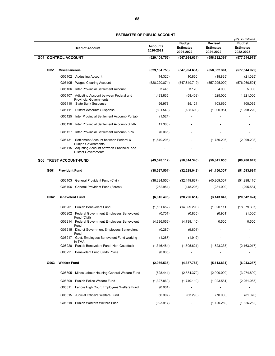|                               |                            | <b>Head of Account</b>                                                                                      | <b>Accounts</b><br>2020-2021 | <b>Budget</b><br><b>Estimates</b><br>2021-2022 | <b>Revised</b><br><b>Estimates</b><br>2021-2022 | (Rs. in million)<br><b>Budget</b><br><b>Estimates</b><br>2022-2023 |
|-------------------------------|----------------------------|-------------------------------------------------------------------------------------------------------------|------------------------------|------------------------------------------------|-------------------------------------------------|--------------------------------------------------------------------|
|                               | <b>G05 CONTROL ACCOUNT</b> |                                                                                                             | (529, 104.756)               | (547, 994.631)                                 | (558, 332.361)                                  | (577,544.979)                                                      |
| G051                          | <b>Miscellaneous</b>       |                                                                                                             | (529, 104.756)               | (547, 994.631)                                 | (558, 332.361)                                  | (577,544.979)                                                      |
|                               |                            | G05102 Audusting Account                                                                                    | (14.320)                     | 10.850                                         | (18.835)                                        | (21.025)                                                           |
|                               | G05105                     | <b>Wages Clearing Account</b>                                                                               | (528, 220.874)               | (547, 849.719)                                 | (557, 295.000)                                  | (576,060.501)                                                      |
|                               | G05106                     | Inter Provincial Settlement Account                                                                         | 3.446                        | 3.120                                          | 4.000                                           | 5.000                                                              |
|                               |                            | G05107 Adjusting Account between Federal and                                                                | 1,483.835                    | (58.403)                                       | 1,625.000                                       | 1,821.000                                                          |
|                               |                            | <b>Provincial Governments</b><br>G05110 State Bank Suspense                                                 | 96.973                       | 85.121                                         | 103.630                                         | 108.065                                                            |
|                               | G05111                     | <b>District Accounts Suspense</b>                                                                           | (891.549)                    | (185.600)                                      | (1,000.951)                                     | (1,298.220)                                                        |
|                               | G05125                     | Inter Provincial Settlement Account- Punjab                                                                 | (1.524)                      |                                                |                                                 |                                                                    |
|                               | G05126                     | Inter Provincial Settlement Account- Sindh                                                                  | (11.383)                     |                                                |                                                 |                                                                    |
|                               | G05127                     | Inter Provincial Settlement Account- KPK                                                                    | (0.065)                      |                                                |                                                 |                                                                    |
|                               |                            | G05131 Settlement Account between Federal &                                                                 | (1,549.295)                  |                                                | (1,750.205)                                     | (2,099.298)                                                        |
|                               |                            | <b>Punjab Governments</b><br>G05115 Adjusting Account between Provincial and<br><b>District Governments</b> |                              |                                                |                                                 |                                                                    |
| <b>G06 TRUST ACCOUNT-FUND</b> |                            |                                                                                                             | (49, 578.112)                | (58, 814.340)                                  | (50, 841.655)                                   | (80, 786.647)                                                      |
| G061                          | <b>Provident Fund</b>      |                                                                                                             | (38, 587.501)                | (32, 298.042)                                  | (41, 150.307)                                   | (51, 593.694)                                                      |
|                               |                            | G06103 General Provident Fund (Civil)                                                                       | (38, 324.550)                | (32, 149.837)                                  | (40, 869.307)                                   | (51, 298.110)                                                      |
|                               |                            | G06106 General Provident Fund (Forest)                                                                      | (262.951)                    | (148.205)                                      | (281.000)                                       | (295.584)                                                          |
| G062                          | <b>Benevolent Fund</b>     |                                                                                                             | (6,816.495)                  | (20, 796.614)                                  | (3, 143.847)                                    | (20, 542.824)                                                      |
|                               |                            | G06201 Punjab Benevolent Fund                                                                               | (1, 131.652)                 | (14, 399.298)                                  | (1,320.111)                                     | (18, 379.307)                                                      |
|                               |                            | G06202 Federal Government Employees Benevolent                                                              | (0.701)                      | (0.865)                                        | (0.901)                                         | (1.000)                                                            |
|                               |                            | Fund (Civil)<br>G06214 Federal Government Employees Benevolent                                              | (4,336.056)                  | (4,789.110)                                    | 0.500                                           | 0.500                                                              |
|                               |                            | Fund<br>G06215 District Government Employees Benevolent                                                     | (0.280)                      | (9.801)                                        |                                                 |                                                                    |
|                               |                            | Fund<br>G06217 Govt. Employees Benevolent Fund working                                                      | (1.287)                      | (1.919)                                        |                                                 |                                                                    |
|                               |                            | in TMA                                                                                                      |                              |                                                |                                                 |                                                                    |
|                               | G06220                     | Punjab Benevolent Fund (Non-Gazetted)                                                                       | (1,346.484)                  | (1,595.621)                                    | (1,823.335)                                     | (2, 163.017)                                                       |
|                               |                            | G06221 Benevolent Fund Sindh Police                                                                         | (0.035)                      |                                                |                                                 |                                                                    |
| G063                          | <b>Welfare Fund</b>        |                                                                                                             | (2,936.535)                  | (4,387.787)                                    | (5, 113.831)                                    | (6,943.287)                                                        |
|                               | G06305                     | Mines Labour Housing General Welfare Fund                                                                   | (628.441)                    | (2,584.379)                                    | (2,000.000)                                     | (3,274.890)                                                        |
|                               | G06309                     | Punjab Police Welfare Fund                                                                                  | (1,327.869)                  | (1,740.110)                                    | (1,923.581)                                     | (2,261.065)                                                        |
|                               | G06311                     | Lahore High Court Employees Welfare Fund                                                                    | (0.001)                      |                                                |                                                 |                                                                    |
|                               | G06315                     | Judicial Officer's Welfare Fund                                                                             | (56.307)                     | (63.298)                                       | (70.000)                                        | (81.070)                                                           |
|                               |                            | G06319 Punjab Workers Welfare Fund                                                                          | (923.917)                    |                                                | (1, 120.250)                                    | (1,326.262)                                                        |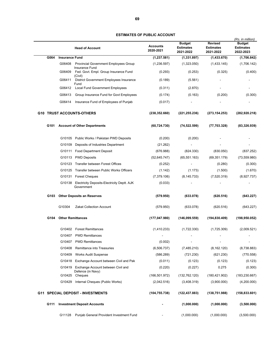|      |                          | <b>Head of Account</b>                                           | Accounts<br>2020-2021 | <b>Budget</b><br><b>Estimates</b><br>2021-2022 | <b>Revised</b><br><b>Estimates</b><br>2021-2022 | (Rs. in million)<br><b>Budget</b><br><b>Estimates</b><br>2022-2023 |
|------|--------------------------|------------------------------------------------------------------|-----------------------|------------------------------------------------|-------------------------------------------------|--------------------------------------------------------------------|
| G064 | <b>Insurance Fund</b>    |                                                                  | (1, 237.581)          | (1,331.897)                                    | (1,433.670)                                     | (1,706.842)                                                        |
|      | G06408                   | Provincial Government Employees Group                            | (1,236.597)           | (1,323.050)                                    | (1,433.145)                                     | (1,706.142)                                                        |
|      | G06409                   | Insurance Fund<br>Fed. Govt. Empl. Group Insurance Fund          | (0.293)               | (0.253)                                        | (0.325)                                         | (0.400)                                                            |
|      | G06411                   | (Civil)<br>District Government Employees Insurance               |                       |                                                |                                                 |                                                                    |
|      |                          | Fund                                                             | (0.189)               | (5.561)                                        |                                                 |                                                                    |
|      | G06412                   | Local Fund Government Employees                                  | (0.311)               | (2.870)                                        |                                                 |                                                                    |
|      | G06413                   | Group Insurance Fund for Govt Employees                          | (0.174)               | (0.163)                                        | (0.200)                                         | (0.300)                                                            |
|      | G06414                   | Insurance Fund of Employees of Punjab                            | (0.017)               |                                                |                                                 |                                                                    |
|      |                          | <b>G10 TRUST ACCOUNTS-OTHERS</b>                                 | (238, 352.660)        | (221, 255.236)                                 | (273, 154.253)                                  | (282,920.218)                                                      |
| G101 |                          | <b>Account of Other Departments</b>                              | (60, 724.730)         | (74, 522.599)                                  | (77, 703.328)                                   | (83,326.939)                                                       |
|      |                          | G10105 Public Works / Pakistan PWD Deposits                      | (0.200)               | (0.200)                                        |                                                 |                                                                    |
|      |                          | G10109 Deposits of Industries Department                         | (21.262)              |                                                |                                                 |                                                                    |
|      |                          | G10111 Food Department Deposit                                   | (676.988)             | (824.330)                                      | (830.050)                                       | (837.252)                                                          |
|      |                          | G10113 PWD Deposits                                              | (52, 645.747)         | (65, 551.163)                                  | (69, 351.179)                                   | (73, 559.980)                                                      |
|      |                          | G10123 Transfer between Forest Offices                           | (0.252)               | $\blacksquare$                                 | (0.280)                                         | (0.300)                                                            |
|      | G10125                   | Transfer between Public Works Officers                           | (1.142)               | (1.173)                                        | (1.500)                                         | (1.670)                                                            |
|      |                          | G10131 Forest Cheques                                            | (7,379.106)           | (8, 145.733)                                   | (7,520.319)                                     | (8,927.737)                                                        |
|      |                          | G10138 Electricity Deposits-Electricity Deptt. AJK<br>Government | (0.033)               |                                                |                                                 |                                                                    |
| G103 |                          | <b>Other Deposits an Reserves</b>                                | (579.950)             | (633.078)                                      | (620.516)                                       | (643.227)                                                          |
|      | G10304                   | <b>Zakat Collection Account</b>                                  | (579.950)             | (633.078)                                      | (620.516)                                       | (643.227)                                                          |
| G104 | <b>Other Remittances</b> |                                                                  | (177, 047.980)        | (146,099.559)                                  | (194, 830.409)                                  | (198,950.052)                                                      |
|      |                          | G10402 Forest Remittances                                        | (1,410.233)           | (1,722.330)                                    | (1,725.309)                                     | (2,009.521)                                                        |
|      | G10407                   | <b>PWD Remittances</b>                                           |                       |                                                |                                                 |                                                                    |
|      | G10407                   | <b>PWD Remittances</b>                                           | (0.002)               | $\overline{a}$                                 | $\blacksquare$                                  | $\overline{\phantom{a}}$                                           |
|      | G10408                   | Remittance into Treasuries                                       | (6,506.737)           | (7,485.210)                                    | (8, 162.120)                                    | (8,738.883)                                                        |
|      | G10409                   | <b>Works Audit Suspense</b>                                      | (586.289)             | (721.230)                                      | (621.230)                                       | (770.558)                                                          |
|      |                          | G10418 Exchange Account between Civil and Pak                    | (0.011)               | (0.123)                                        | (0.123)                                         | (0.123)                                                            |
|      |                          | G10419 Exchange Account between Civil and                        | (0.220)               | (0.227)                                        | 0.275                                           | (0.300)                                                            |
|      |                          | Defence (in Navy)<br>G10425 Cheques                              | (166, 501.972)        | (132, 762.120)                                 | (180, 421.902)                                  | (183, 230.667)                                                     |
|      |                          | G10429 Internal Cheques (Public Works)                           | (2,042.516)           | (3,408.319)                                    | (3,900.000)                                     | (4,200.000)                                                        |
|      |                          | <b>G11 SPECIAL DEPOSIT - INVESTMENTS</b>                         | (104, 755.738)        | (122, 437.883)                                 | (138, 751.988)                                  | (158, 833.601)                                                     |
| G111 |                          | <b>Investment Deposit Accounts</b>                               |                       | (1,000.000)                                    | (1,000.000)                                     | (3,500.000)                                                        |
|      | G11128                   | Punjab General Provident Investment Fund                         |                       | (1,000.000)                                    | (1,000.000)                                     | (3,500.000)                                                        |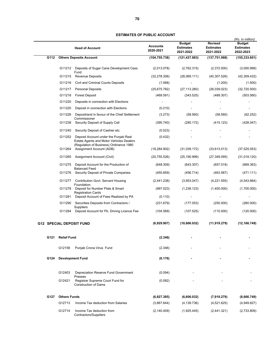|      |                     | <b>Head of Account</b>                                                                                                              | <b>Accounts</b><br>2020-2021 | <b>Budget</b><br><b>Estimates</b><br>2021-2022 | <b>Revised</b><br><b>Estimates</b><br>2021-2022 | (Rs. in million)<br><b>Budget</b><br><b>Estimates</b><br>2022-2023 |
|------|---------------------|-------------------------------------------------------------------------------------------------------------------------------------|------------------------------|------------------------------------------------|-------------------------------------------------|--------------------------------------------------------------------|
| G112 |                     | <b>Others Deposits Account</b>                                                                                                      | (104, 755.738)               | (121, 437.883)                                 | (137, 751.988)                                  | (155, 333.601)                                                     |
|      | G11212              | Deposits of Sugar Cane Development Cess<br>Fund                                                                                     | (2,013.078)                  | (2,762.315)                                    | (2,372.000)                                     | (3,000.999)                                                        |
|      | G11215              | Revenue Deposits                                                                                                                    | (32, 278.306)                | (28,069.111)                                   | (40, 307.526)                                   | (42,309.432)                                                       |
|      | G11216              | <b>Civil and Criminal Courts Deposits</b>                                                                                           | (1.068)                      |                                                | (1.200)                                         | (1.500)                                                            |
|      | G11217              | <b>Personal Deposits</b>                                                                                                            | (25,675.782)                 | (27, 113.260)                                  | (26,039.023)                                    | (32,720.500)                                                       |
|      | G11218              | <b>Forest Deposit</b>                                                                                                               | (468.591)                    | (343.525)                                      | (489.307)                                       | (503.560)                                                          |
|      | G11220              | Deposits in connection with Elections                                                                                               |                              |                                                |                                                 |                                                                    |
|      | G11220              | Deposit in connection with Elections                                                                                                | (0.210)                      |                                                |                                                 |                                                                    |
|      | G11226              | Deposit/and in favour of the Chief Settlement<br>Commissioner                                                                       | (3.273)                      | (58.560)                                       | (58.560)                                        | (62.252)                                                           |
|      | G11238              | Security Deposit of Supply Cell                                                                                                     | (395.740)                    | (285.172)                                      | (415.123)                                       | (428.047)                                                          |
|      | G11240              | Security Deposit of Cashier etc.                                                                                                    | (0.023)                      |                                                |                                                 |                                                                    |
|      | G11252              | Deposit Account under the Punjab Real<br><b>Estate Agents and Motor Vehicles Dealers</b><br>(Regulation of Business) Ordinance 1980 | (0.432)                      |                                                |                                                 |                                                                    |
|      | G11264              | Assignment Account (ADB)                                                                                                            | (18, 284.902)                | (31,039.172)                                   | (33,613.013)                                    | (37, 525.053)                                                      |
|      | G11265              | Assignment Account (Civil)                                                                                                          | (20, 755.526)                | (25, 190.999)                                  | (27, 349.095)                                   | (31,018.120)                                                       |
|      | G11275              | Deposit Account for the Production of<br><b>Balanced Feed</b>                                                                       | (648.309)                    | (643.307)                                      | (657.019)                                       | (669.363)                                                          |
|      | G11276              | Security Deposit of Private Companies                                                                                               | (455.859)                    | (456.714)                                      | (463.567)                                       | (471.111)                                                          |
|      | G11277              | Contribution Govt. Servant Housing<br>Foundation.                                                                                   | (2,441.238)                  | (3,953.047)                                    | (4,221.555)                                     | (4,543.664)                                                        |
|      | G11278              | Deposit for Number Plats & Smart<br><b>Registration Cards</b>                                                                       | (997.023)                    | (1,238.123)                                    | (1,400.000)                                     | (1,700.000)                                                        |
|      | G11281              | Deposit Account of Fees Realized by PA                                                                                              | (0.110)                      |                                                |                                                 |                                                                    |
|      | G11290              | Securities Deposits from Contractors /                                                                                              | (231.679)                    | (177.053)                                      | (250.000)                                       | (260.000)                                                          |
|      | G11294              | Suppliers<br>Deposit Account for Pb. Driving Licence Fee                                                                            | (104.589)                    | (107.525)                                      | (115.000)                                       | (120.000)                                                          |
|      |                     | <b>G12 SPECIAL DEPOSIT FUND</b>                                                                                                     | (6,929.907)                  | (10,606.032)                                   | (11, 919.279)                                   | (12, 166.749)                                                      |
| G121 | <b>Relief Fund</b>  |                                                                                                                                     | (2.346)                      |                                                |                                                 |                                                                    |
|      | G12158              | Punjab Crona Virus Fund                                                                                                             | (2.346)                      |                                                |                                                 |                                                                    |
| G124 |                     | <b>Development Fund</b>                                                                                                             | (0.176)                      |                                                |                                                 |                                                                    |
|      | G12403              | Depreciation Reserve Fund Government                                                                                                | (0.094)                      |                                                |                                                 |                                                                    |
|      | G12421              | Presses<br>Registrar Supreme Court Fund for<br><b>Construction of Dams</b>                                                          | (0.082)                      |                                                |                                                 |                                                                    |
| G127 | <b>Others Funds</b> |                                                                                                                                     | (6,927.385)                  | (6,606.032)                                    | (7,919.279)                                     | (8,666.749)                                                        |
|      | G12713              | Income Tax deduction from Salaries                                                                                                  | (3,867.644)                  | (4, 139.736)                                   | (4,521.625)                                     | (4,949.827)                                                        |
|      | G12714              | Income Tax deduction from<br>Contractors/Suppliers                                                                                  | (2, 140.409)                 | (1,925.445)                                    | (2,441.321)                                     | (2,733.809)                                                        |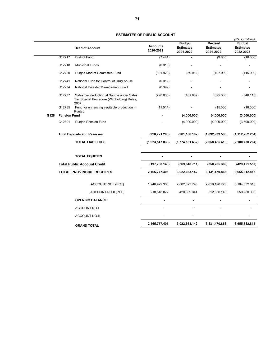|      |                                    | <b>Head of Account</b>                                                                          | <b>Accounts</b><br>2020-2021 | <b>Budget</b><br><b>Estimates</b><br>2021-2022 | <b>Revised</b><br><b>Estimates</b><br>2021-2022 | (Rs. in million)<br><b>Budget</b><br><b>Estimates</b><br>2022-2023 |
|------|------------------------------------|-------------------------------------------------------------------------------------------------|------------------------------|------------------------------------------------|-------------------------------------------------|--------------------------------------------------------------------|
|      | G12717                             | <b>District Fund</b>                                                                            | (7.441)                      | ÷.                                             | (9.000)                                         | (10.000)                                                           |
|      | G12718                             | <b>Municipal Funds</b>                                                                          | (0.010)                      |                                                |                                                 |                                                                    |
|      | G12720                             | Punjab Market Committee Fund                                                                    | (101.920)                    | (59.012)                                       | (107.000)                                       | (115.000)                                                          |
|      | G12741                             | National Fund for Control of Drug Abuse                                                         | (0.012)                      |                                                |                                                 |                                                                    |
|      | G12774                             | National Disaster Management Fund                                                               | (0.399)                      |                                                |                                                 |                                                                    |
|      | G12777                             | Sales Tax deduction at Source under Sales<br>Tax Special Procedure (Withholding) Rules,<br>2007 | (798.036)                    | (481.839)                                      | (825.333)                                       | (840.113)                                                          |
|      | G12785                             | Fund for enhancing vegitable production in<br>Punjab                                            | (11.514)                     |                                                | (15.000)                                        | (18.000)                                                           |
| G128 | <b>Pension Fund</b>                |                                                                                                 |                              | (4,000.000)                                    | (4,000.000)                                     | (3,500.000)                                                        |
|      | G12801                             | Punjab Pension Fund                                                                             |                              | (4,000.000)                                    | (4,000.000)                                     | (3,500.000)                                                        |
|      |                                    | <b>Total Deposits and Reserves</b>                                                              | (928, 721.208)               | (961, 108.162)                                 | (1,032,999.586)                                 | (1, 112, 252.254)                                                  |
|      |                                    | <b>TOTAL LIABILITIES</b>                                                                        | (1,923,547.036)              | (1,774,181.632)                                | (2,058,485.410)                                 | (2, 180, 730.264)                                                  |
|      |                                    | <b>TOTAL EQUITIES</b>                                                                           |                              |                                                |                                                 |                                                                    |
|      | <b>Total Public Account Credit</b> |                                                                                                 | (197, 788.148)               | (369, 648.711)                                 | (350, 705.369)                                  | (429, 421.557)                                                     |
|      | <b>TOTAL PROVINCIAL RECEIPTS</b>   |                                                                                                 | 2,165,777.405                | 3,022,663.142                                  | 3,131,470.863                                   | 3,655,812.815                                                      |
|      |                                    | ACCOUNT NO.I (PCF)                                                                              | 1,946,929.333                | 2,602,323.798                                  | 2,619,120.723                                   | 3,104,832.815                                                      |
|      |                                    | ACCOUNT NO.II (PCF)                                                                             | 218,848.072                  | 420,339.344                                    | 512,350.140                                     | 550,980.000                                                        |
|      |                                    | <b>OPENING BALANCE</b>                                                                          |                              |                                                |                                                 |                                                                    |
|      |                                    | <b>ACCOUNT NO.I</b>                                                                             |                              |                                                |                                                 |                                                                    |
|      |                                    | <b>ACCOUNT NO.II</b>                                                                            |                              |                                                |                                                 |                                                                    |
|      |                                    | <b>GRAND TOTAL</b>                                                                              | 2,165,777.405                | 3,022,663.142                                  | 3,131,470.863                                   | 3,655,812.815                                                      |
|      |                                    |                                                                                                 |                              |                                                |                                                 |                                                                    |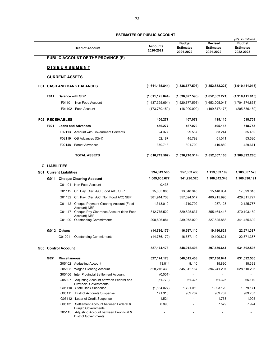| <b>Head of Account</b>            |                                |                                                                                                    | <b>Accounts</b> | <b>Budget</b><br><b>Estimates</b> | <b>Revised</b><br><b>Estimates</b> | (Rs. in million)<br><b>Budget</b><br><b>Estimates</b> |
|-----------------------------------|--------------------------------|----------------------------------------------------------------------------------------------------|-----------------|-----------------------------------|------------------------------------|-------------------------------------------------------|
|                                   |                                |                                                                                                    | 2020-2021       | 2021-2022                         | 2021-2022                          | 2022-2023                                             |
|                                   |                                | PUBLIC ACCOUNT OF THE PROVINCE (P)                                                                 |                 |                                   |                                    |                                                       |
|                                   |                                | <b>DISBURSEMENT</b>                                                                                |                 |                                   |                                    |                                                       |
|                                   | <b>CURRENT ASSETS</b>          |                                                                                                    |                 |                                   |                                    |                                                       |
| <b>F01 CASH AND BANK BALANCES</b> |                                |                                                                                                    | (1,611,175.844) | (1,536,677.593)                   | (1,852,852.221)                    | (1,910,411.013)                                       |
| F011                              | <b>Balance with SBP</b>        |                                                                                                    | (1,611,175.844) | (1,536,677.593)                   | (1,852,852.221)                    | (1,910,411.013)                                       |
|                                   |                                | F01101 Non Food Account                                                                            | (1,437,395.694) | (1,520,677.593)                   | (1,653,005.048)                    | (1,704,874.833)                                       |
|                                   |                                | F01102 Food Account                                                                                | (173, 780.150)  | (16,000.000)                      | (199, 847.173)                     | (205, 536.180)                                        |
|                                   | <b>F02 RECEIVABLES</b>         |                                                                                                    | 456.277         | 467.079                           | 495.115                            | 518.753                                               |
| F021                              |                                | <b>Loans and Advances</b>                                                                          | 456.277         | 467.079                           | 495.115                            | 518.753                                               |
|                                   |                                | F02113 Account with Government Servants                                                            | 24.377          | 29.587                            | 33.244                             | 35.462                                                |
|                                   | F02119                         | <b>OB Advances (Civil)</b>                                                                         | 52.187          | 45.792                            | 51.011                             | 53.620                                                |
|                                   | F02148                         | <b>Forest Advances</b>                                                                             | 379.713         | 391.700                           | 410.860                            | 429.671                                               |
|                                   |                                | <b>TOTAL ASSETS</b>                                                                                | (1,610,719.567) | (1,536,210.514)                   | (1,852,357.106)                    | (1,909,892.260)                                       |
| <b>G LIABILITIES</b>              |                                |                                                                                                    |                 |                                   |                                    |                                                       |
|                                   | <b>G01 Current Liabilities</b> |                                                                                                    | 994,819.505     | 957,833.430                       | 1,119,533.169                      | 1,183,067.578                                         |
|                                   |                                | G011 Cheque Clearing Account                                                                       | 1,009,605.677   | 941,296.320                       | 1,100,342.348                      | 1,160,396.191                                         |
|                                   |                                | G01101 Non Food Account                                                                            | 0.438           |                                   |                                    |                                                       |
|                                   |                                | G01112 Ch. Pay. Cler. A/C (Food A/C) SBP                                                           | 15,005.885      | 13,648.345                        | 15,148.934                         | 17,399.816                                            |
|                                   |                                | G01132 Ch. Pay. Cler. A/C (Non Food A/C) SBP                                                       | 381,914.738     | 357,024.517                       | 400,215.990                        | 429,311.727                                           |
|                                   |                                | G01142 Cheque Payment Clearing Account (Food                                                       | 1,313.010       | 1,719.792                         | 1,987.123                          | 2,125.767                                             |
|                                   |                                | Account) NBP<br>G01147 Cheque Pay Clearance Account (Non Food                                      | 312,775.522     | 329,825.637                       | 355,464.413                        | 370,103.189                                           |
|                                   |                                | Account) NBP<br>G01190 Outstanding Commitments                                                     | 298,596.084     | 239,078.029                       | 327,525.888                        | 341,455.692                                           |
|                                   | G012 Others                    |                                                                                                    | (14, 786.172)   | 16,537.110                        | 19,190.821                         | 22,671.387                                            |
|                                   | G01201                         | <b>Outstanding Commitments</b>                                                                     | (14, 786.172)   | 16,537.110                        | 19,190.821                         | 22,671.387                                            |
|                                   | <b>G05 Control Account</b>     |                                                                                                    | 527,174.178     | 548,012.408                       | 597,130.641                        | 631,592.505                                           |
| G051                              | <b>Miscellaneous</b>           |                                                                                                    | 527,174.178     | 548,012.408                       | 597,130.641                        | 631,592.505                                           |
|                                   |                                | G05102 Audusting Account                                                                           | 13.814          | 8.110                             | 15.890                             | 18.333                                                |
|                                   | G05105                         | <b>Wages Clearing Account</b>                                                                      | 528,216.433     | 545,312.187                       | 594,241.207                        | 628,610.295                                           |
|                                   | G05106                         | Inter Provincial Settlement Account                                                                | (0.001)         | $\overline{a}$                    | $\blacksquare$                     | $\overline{\phantom{0}}$                              |
|                                   | G05107                         | Adjusting Account between Federal and<br><b>Provincial Governments</b>                             | (51.770)        | 61.325                            | 61.325                             | 65.110                                                |
|                                   |                                | G05110 State Bank Suspense                                                                         | (1, 184.027)    | 1,721.019                         | 1,893.120                          | 1,979.171                                             |
|                                   | G05111                         | <b>District Accounts Suspense</b>                                                                  | 171.315         | 909.767                           | 909.767                            | 909.767                                               |
|                                   |                                | G05112 Letter of Credit Suspense                                                                   | 1.524           | $\blacksquare$                    | 1.753                              | 1.905                                                 |
|                                   |                                | G05131 Settlement Account between Federal &                                                        | 6.890           |                                   | 7.579                              | 7.924                                                 |
|                                   | G05115                         | <b>Punjab Governments</b><br>Adjusting Account between Provincial &<br><b>District Governments</b> |                 |                                   |                                    | $\blacksquare$                                        |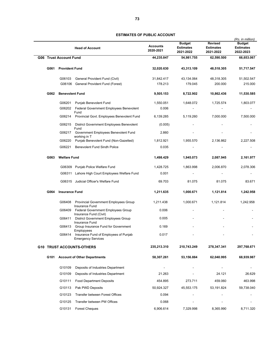|                                             |                               | <b>Head of Account</b>                                                           | <b>Accounts</b><br>2020-2021 | <b>Budget</b><br><b>Estimates</b><br>2021-2022 | <b>Revised</b><br><b>Estimates</b><br>2021-2022 | (Rs. in million)<br><b>Budget</b><br><b>Estimates</b><br>2022-2023 |
|---------------------------------------------|-------------------------------|----------------------------------------------------------------------------------|------------------------------|------------------------------------------------|-------------------------------------------------|--------------------------------------------------------------------|
|                                             | <b>G06 Trust Account Fund</b> |                                                                                  | 44,235.847                   | 54,981.755                                     | 62,590.500                                      | 66,653.067                                                         |
| G061                                        | <b>Provident Fund</b>         |                                                                                  | 32,020.630                   | 43,313.109                                     | 48,518.305                                      | 51,717.547                                                         |
|                                             | G06103                        | General Provident Fund (Civil)                                                   | 31,842.417                   | 43,134.064                                     | 48,318.305                                      | 51,502.547                                                         |
|                                             |                               | G06106 General Provident Fund (Forest)                                           | 178.213                      | 179.045                                        | 200.000                                         | 215.000                                                            |
| G062                                        | <b>Benevolent Fund</b>        |                                                                                  | 9,505.153                    | 8,722.902                                      | 10,862.436                                      | 11,530.585                                                         |
|                                             | G06201                        | Punjab Benevolent Fund                                                           | 1,550.051                    | 1,648.072                                      | 1,725.574                                       | 1,803.077                                                          |
|                                             | G06202                        | Federal Government Employees Benevolent<br>Fund                                  | 0.006                        |                                                |                                                 |                                                                    |
|                                             | G06214                        | Provincial Govt. Employees Benevolent Fund                                       | 6,139.285                    | 5,119.260                                      | 7,000.000                                       | 7,500.000                                                          |
|                                             | G06215                        | District Government Employees Benevolent                                         | (0.005)                      |                                                |                                                 |                                                                    |
|                                             | G06217                        | Fund<br>Government Employees Benevolent Fund                                     | 2.860                        |                                                |                                                 |                                                                    |
|                                             | G06220                        | working in T<br>Punjab Benevolent Fund (Non-Gazetted)                            | 1,812.921                    | 1,955.570                                      | 2,136.862                                       | 2,227.508                                                          |
|                                             | G06221                        | <b>Benevolent Fund Sindh Police</b>                                              | 0.035                        |                                                |                                                 |                                                                    |
| G063                                        | <b>Welfare Fund</b>           |                                                                                  | 1,498.429                    | 1,945.073                                      | 2,087.945                                       | 2,161.977                                                          |
|                                             |                               | G06309 Punjab Police Welfare Fund                                                | 1,428.725                    | 1,863.998                                      | 2,006.870                                       | 2,078.306                                                          |
|                                             |                               | G06311 Lahore High Court Employees Welfare Fund                                  | 0.001                        |                                                |                                                 |                                                                    |
|                                             |                               | G06315 Judicial Officer's Welfare Fund                                           | 69.703                       | 81.075                                         | 81.075                                          | 83.671                                                             |
| G064                                        | <b>Insurance Fund</b>         |                                                                                  | 1,211.635                    | 1,000.671                                      | 1,121.814                                       | 1,242.958                                                          |
|                                             | G06408                        | <b>Provincial Government Employees Group</b><br>Insurance Fund                   | 1,211.438                    | 1,000.671                                      | 1,121.814                                       | 1,242.958                                                          |
|                                             | G06409                        | Federal Government Employees Group<br>Insurance Fund (Civil)                     | 0.006                        |                                                |                                                 |                                                                    |
|                                             | G06411                        | District Government Employees Group<br>Insurance Fund                            | 0.005                        |                                                |                                                 |                                                                    |
|                                             | G06413                        | Group Insurance Fund for Government                                              | 0.169                        |                                                |                                                 |                                                                    |
|                                             | G06414                        | Emplopyees<br>Insurance Fund of Employees of Punjab<br><b>Emergency Services</b> | 0.017                        |                                                |                                                 |                                                                    |
|                                             |                               | <b>G10 TRUST ACCOUNTS-OTHERS</b>                                                 | 235,213.310                  | 210,743.249                                    | 278,347.341                                     | 297,768.671                                                        |
| G101<br><b>Account of Other Departments</b> |                               |                                                                                  | 58,307.261                   | 53,156.884                                     | 62,040.995                                      | 68,939.987                                                         |
|                                             | G10109                        | Deposits of Industries Department                                                |                              |                                                |                                                 |                                                                    |
|                                             | G10109                        | Deposits of Industries Department                                                | 21.263                       |                                                | 24.121                                          | 26.629                                                             |
|                                             | G10111                        | <b>Food Department Deposits</b>                                                  | 454.895                      | 273.711                                        | 459.060                                         | 463.998                                                            |
|                                             | G10113                        | Pak PWD Deposits                                                                 | 50,924.327                   | 45,553.175                                     | 53,191.824                                      | 59,738.040                                                         |
|                                             | G10123                        | <b>Transfer between Forest Offices</b>                                           | 0.094                        |                                                |                                                 |                                                                    |
|                                             | G10125                        | Transfer between PW Offices                                                      | 0.068                        |                                                |                                                 |                                                                    |
|                                             | G10131                        | <b>Forest Cheques</b>                                                            | 6,906.614                    | 7,329.998                                      | 8,365.990                                       | 8,711.320                                                          |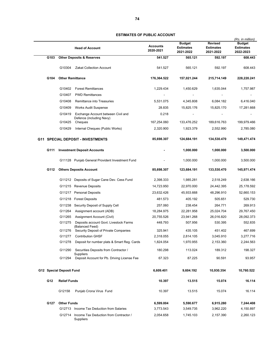|      | <b>Head of Account</b>                   |                                                                | <b>Accounts</b><br>2020-2021 | <b>Budget</b><br><b>Estimates</b><br>2021-2022 | <b>Revised</b><br><b>Estimates</b><br>2021-2022 | (Rs. in million)<br><b>Budget</b><br><b>Estimates</b><br>2022-2023 |
|------|------------------------------------------|----------------------------------------------------------------|------------------------------|------------------------------------------------|-------------------------------------------------|--------------------------------------------------------------------|
| G103 | <b>Other Deposits &amp; Reserves</b>     |                                                                | 541.527                      | 565.121                                        | 592.197                                         | 608.443                                                            |
|      | G10304                                   | <b>Zakat Collection Account</b>                                | 541.527                      | 565.121                                        | 592.197                                         | 608.443                                                            |
| G104 | <b>Other Remittance</b>                  |                                                                | 176,364.522                  | 157,021.244                                    | 215,714.149                                     | 228,220.241                                                        |
|      | G10402                                   | <b>Forest Remittances</b>                                      | 1,229.434                    | 1,450.629                                      | 1,635.044                                       | 1,757.987                                                          |
|      | G10407                                   | <b>PWD Remittances</b>                                         |                              |                                                |                                                 |                                                                    |
|      | G10408                                   | Remittance into Treasuries                                     | 5,531.075                    | 4,345.808                                      | 6,084.182                                       | 6,416.040                                                          |
|      | G10409                                   | <b>Works Audit Suspense</b>                                    | 28.835                       | 15,825.176                                     | 15,825.170                                      | 17,281.668                                                         |
|      | G10419                                   | Exchange Account between Civil and<br>Defence (including Navy) | 0.218                        |                                                |                                                 |                                                                    |
|      | G10425                                   | Cheques                                                        | 167,254.060                  | 133,476.252                                    | 189,616.763                                     | 199,979.466                                                        |
|      | G10429                                   | Internal Cheques (Public Works)                                | 2,320.900                    | 1,923.379                                      | 2,552.990                                       | 2,785.080                                                          |
|      | <b>G11 SPECIAL DEPOSIT - INVESTMENTS</b> |                                                                | 85,698.307                   | 124,684.191                                    | 134,530.470                                     | 149,471.474                                                        |
| G111 |                                          | <b>Investment Deposit Accounts</b>                             |                              | 1,000.000                                      | 1,000.000                                       | 3,500.000                                                          |
|      |                                          | G11128 Punjab General Provident Investment Fund                |                              | 1,000.000                                      | 1,000.000                                       | 3,500.000                                                          |
| G112 | <b>Others Deposits Account</b>           |                                                                | 85,698.307                   | 123,684.191                                    | 133,530.470                                     | 145,971.474                                                        |
|      |                                          | G11212 Deposits of Sugar Cane Dev. Cess Fund                   | 2,398.333                    | 1,985.281                                      | 2,518.249                                       | 2,638.166                                                          |
|      |                                          | G11215 Revenue Deposits                                        | 14,723.950                   | 22,970.000                                     | 24,442.395                                      | 25,178.592                                                         |
|      |                                          | G11217 Personal Deposits                                       | 23,632.426                   | 45,933.668                                     | 48,296.910                                      | 52,660.153                                                         |
|      | G11218                                   | <b>Forest Deposits</b>                                         | 481.573                      | 405.192                                        | 505.651                                         | 529.730                                                            |
|      | G11238                                   | Security Deposit of Supply Cell                                | 257.060                      | 238.454                                        | 264.771                                         | 269.913                                                            |
|      | G11264                                   | Assignment account (ADB)                                       | 18,284.975                   | 22,281.958                                     | 25,024.704                                      | 29,767.450                                                         |
|      | G11265                                   | Assignment Account (Civil)                                     | 20,755.526                   | 23,941.268                                     | 26,016.820                                      | 28,092.373                                                         |
|      | G11275                                   | Deposits account Govt. Livestock Farms<br>(Balanced Feed)      | 448.793                      | 507.956                                        | 530.395                                         | 552.835                                                            |
|      | G11276                                   | Security Deposit of Private Companies                          | 325.941                      | 435.105                                        | 451.402                                         | 467.699                                                            |
|      | G11277                                   | <b>Contribution GHSF</b>                                       | 2,318.055                    | 2,814.105                                      | 3,045.910                                       | 3,277.716                                                          |
|      | G11278                                   | Deposit for number plats & Smart Reg. Cards                    | 1,824.054                    | 1,970.955                                      | 2,153.360                                       | 2,244.563                                                          |
|      | G11290                                   | Securities Deposits from Contractor /<br>Suppliers             | 180.298                      | 113.024                                        | 189.312                                         | 198.327                                                            |
|      | G11294                                   | Deposit Account for Pb. Driving License Fee                    | 67.323                       | 87.225                                         | 90.591                                          | 93.957                                                             |
|      | G12 Special Deposit Fund                 |                                                                | 6,609.401                    | 9,604.192                                      | 10,930.354                                      | 10,760.522                                                         |
| G12  | <b>Relief Funds</b>                      |                                                                | 10.397                       | 13.515                                         | 15.074                                          | 16.114                                                             |
|      | G12158                                   | Punjab Crona Virus Fund                                        | 10.397                       | 13.515                                         | 15.074                                          | 16.114                                                             |
| G127 | <b>Other Funds</b>                       |                                                                | 6,599.004                    | 5,590.677                                      | 6,915.280                                       | 7,244.408                                                          |
|      |                                          | G12713 Income Tax Deduction from Salaries                      | 3,773.543                    | 3,549.735                                      | 3,962.220                                       | 4,150.897                                                          |
|      | G12714                                   | Income Tax Deduction from Contractor /<br>Suppliers            | 2,054.658                    | 1,745.103                                      | 2,157.390                                       | 2,260.123                                                          |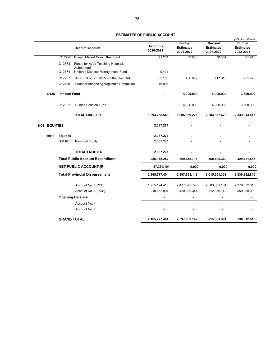|     |      |                     | <b>Head of Account</b>                          | <b>Accounts</b><br>2020-2021 | <b>Budget</b><br><b>Estimates</b><br>2021-2022 | <b>Revised</b><br><b>Estimates</b><br>2021-2022 | (Rs. in million)<br><b>Budget</b><br><b>Estimates</b><br>2022-2023 |
|-----|------|---------------------|-------------------------------------------------|------------------------------|------------------------------------------------|-------------------------------------------------|--------------------------------------------------------------------|
|     |      | G12720              | Punjab Market Committee Fund                    | 71.231                       | 39.000                                         | 78.354                                          | 81.915                                                             |
|     |      | G12773              | Funds for Ayub Teaching Hospital,<br>Abbottabad |                              |                                                |                                                 |                                                                    |
|     |      | G12774              | National Disaster Management Fund               | 0.421                        |                                                |                                                 |                                                                    |
|     |      | G12777              | Adv. pmt of tax U/S 53 of the I.tax Ord.        | 683.156                      | 256.839                                        | 717.316                                         | 751.473                                                            |
|     |      | G12785              | Fund for enhancing Vegitatble Production        | 15.995                       |                                                |                                                 |                                                                    |
|     | G128 | <b>Pension Fund</b> |                                                 |                              | 4,000.000                                      | 4,000.000                                       | 3,500.000                                                          |
|     |      | G12801              | <b>Punjab Pension Fund</b>                      |                              | 4,000.000                                      | 4,000.000                                       | 3,500.000                                                          |
|     |      |                     | <b>TOTAL LIABILITY</b>                          | 1,893,750.548                | 1,905,859.225                                  | 2,203,062.475                                   | 2,339,313.817                                                      |
| H01 |      | <b>EQUITIES</b>     |                                                 | 2,087.271                    |                                                |                                                 |                                                                    |
|     | H011 | <b>Equities</b>     |                                                 | 2,087.271                    |                                                |                                                 |                                                                    |
|     |      | H01101              | <b>Residual Equity</b>                          | 2,087.271                    |                                                |                                                 |                                                                    |
|     |      |                     | <b>TOTAL EQUITIES</b>                           | 2,087.271                    | $\blacksquare$                                 | $\blacksquare$                                  | ۰                                                                  |
|     |      |                     | <b>Total Public Account Expenditure</b>         | 285,118.252                  | 369,648.711                                    | 350,705.369                                     | 429,421.557                                                        |
|     |      |                     | <b>NET PUBLIC ACCOUNT (P)</b>                   | 87,330.104                   | 0.000                                          | 0.000                                           | 0.000                                                              |
|     |      |                     | <b>Total Provincial Disbursement</b>            | 2,165,777.404                | 2,897,663.142                                  | 3,015,651.301                                   | 3,530,812.815                                                      |
|     |      |                     | Account No. I (PCF)                             | 1,955,124.410                | 2,477,323.798                                  | 2,503,301.161                                   | 2,979,832.815                                                      |
|     |      |                     | Account No. II (PCF)                            | 210,652.994                  | 420,339.344                                    | 512,350.140                                     | 550,980.000                                                        |
|     |      |                     | <b>Opening Balance</b>                          |                              | ä,                                             | $\blacksquare$                                  |                                                                    |
|     |      |                     | Account No. I                                   |                              | L,                                             |                                                 |                                                                    |
|     |      |                     | Account No. II                                  |                              |                                                |                                                 |                                                                    |
|     |      | <b>GRAND TOTAL</b>  |                                                 | 2,165,777.404                | 2,897,663.142                                  | 3,015,651.301                                   | 3,530,812.815                                                      |